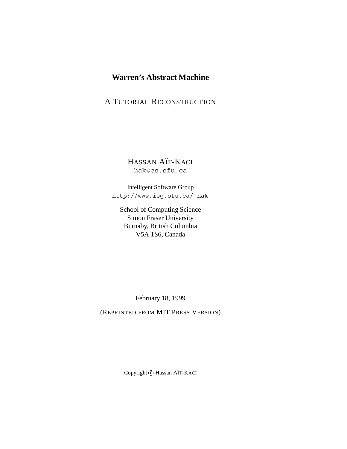### **Warren's Abstract Machine**

A TUTORIAL RECONSTRUCTION

HASSAN AÏT-KACI hak@cs.sfu.ca

Intelligent Software Group http://www.isg.sfu.ca/˜hak

School of Computing Science Simon Fraser University Burnaby, British Columbia V5A 1S6, Canada

February 18, 1999

(REPRINTED FROM MIT PRESS VERSION)

Copyright C Hassan AÏT-KACI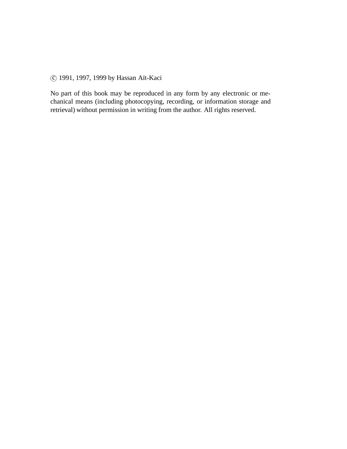c 1991, 1997, 1999 by Hassan A¨ıt-Kaci

No part of this book may be reproduced in any form by any electronic or mechanical means (including photocopying, recording, or information storage and retrieval) without permission in writing from the author. All rights reserved.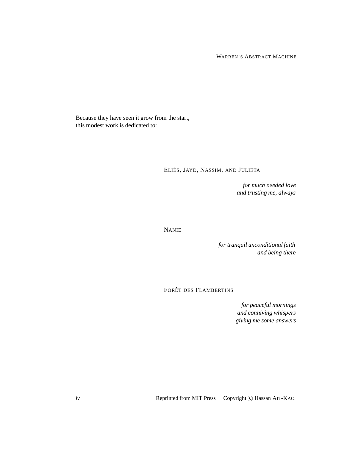Because they have seen it grow from the start, this modest work is dedicated to:

ELIÈS, JAYD, NASSIM, AND JULIETA

*for much needed love and trusting me, always*

NANIE

*for tranquil unconditional faith and being there*

FORÊT DES FLAMBERTINS

*for peaceful mornings and conniving whispers giving me some answers*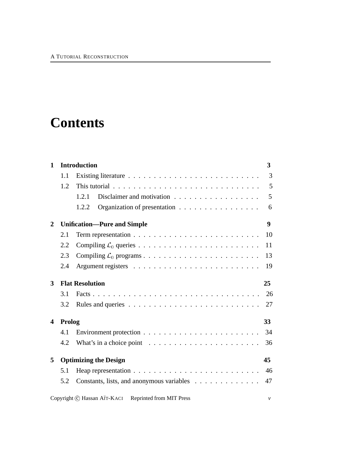# **Contents**

| $\mathbf{1}$            |                                    | <b>Introduction</b>                                                            | $\overline{\mathbf{3}}$ |  |
|-------------------------|------------------------------------|--------------------------------------------------------------------------------|-------------------------|--|
|                         | 1.1                                |                                                                                | 3                       |  |
|                         | 1.2                                |                                                                                | 5                       |  |
|                         |                                    | Disclaimer and motivation $\ldots \ldots \ldots \ldots \ldots \ldots$<br>1.2.1 | 5                       |  |
|                         |                                    | Organization of presentation<br>1.2.2                                          | 6                       |  |
| 2                       |                                    | <b>Unification—Pure and Simple</b>                                             | $\boldsymbol{9}$        |  |
|                         | 2.1                                |                                                                                | 10                      |  |
|                         | 2.2                                |                                                                                | 11                      |  |
|                         | 2.3                                |                                                                                | 13                      |  |
|                         | 2.4                                |                                                                                | 19                      |  |
| 3                       |                                    | <b>Flat Resolution</b>                                                         | 25                      |  |
|                         | 3.1                                |                                                                                | 26                      |  |
|                         | 3.2                                | Rules and queries $\ldots \ldots \ldots \ldots \ldots \ldots \ldots \ldots$    | 27                      |  |
| $\overline{\mathbf{4}}$ | Prolog<br>33                       |                                                                                |                         |  |
|                         | 4.1                                |                                                                                | 34                      |  |
|                         | 4.2                                | What's in a choice point $\ldots \ldots \ldots \ldots \ldots \ldots \ldots$    | 36                      |  |
| 5                       | <b>Optimizing the Design</b><br>45 |                                                                                |                         |  |
|                         | 5.1                                |                                                                                | 46                      |  |
|                         | 5.2                                | Constants, lists, and anonymous variables                                      | 47                      |  |
|                         |                                    | Copyright © Hassan AÏT-KACI Reprinted from MIT Press                           | $\mathcal V$            |  |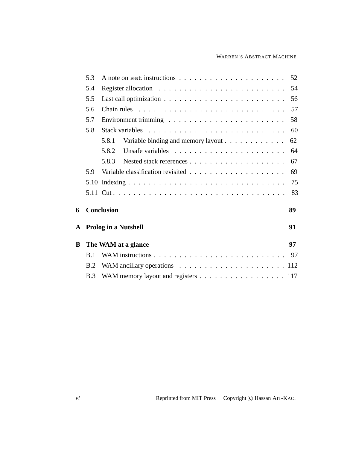|   | 5.3  |                                                                                | 52 |
|---|------|--------------------------------------------------------------------------------|----|
|   | 5.4  |                                                                                | 54 |
|   | 5.5  |                                                                                | 56 |
|   | 5.6  |                                                                                |    |
|   | 5.7  | Environment trimming $\ldots \ldots \ldots \ldots \ldots \ldots \ldots \ldots$ | 58 |
|   | 5.8  |                                                                                | 60 |
|   |      | Variable binding and memory layout<br>5.8.1                                    | 62 |
|   |      | 5.8.2                                                                          | 64 |
|   |      | 5.8.3                                                                          | 67 |
|   | 5.9  |                                                                                | 69 |
|   | 5.10 |                                                                                | 75 |
|   |      |                                                                                | 83 |
| 6 |      | <b>Conclusion</b>                                                              | 89 |
|   |      | A Prolog in a Nutshell                                                         | 91 |
| В |      | The WAM at a glance                                                            | 97 |
|   | B.1  |                                                                                |    |
|   | B.2  |                                                                                |    |
|   | B.3  | WAM memory layout and registers 117                                            |    |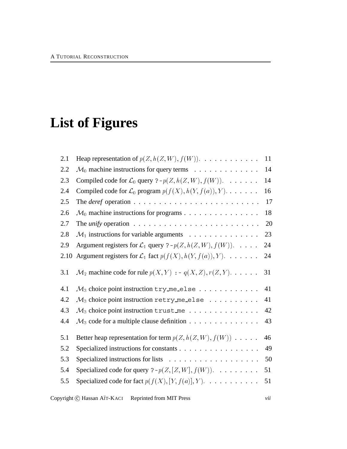# **List of Figures**

| 2.1        | Heap representation of $p(Z, h(Z, W), f(W))$ .                                                      | 11       |
|------------|-----------------------------------------------------------------------------------------------------|----------|
| 2.2        | $\mathcal{M}_0$ machine instructions for query terms                                                | 14       |
| 2.3        | Compiled code for $\mathcal{L}_0$ query ? - $p(Z, h(Z, W), f(W))$ .                                 | 14       |
| 2.4        | Compiled code for $\mathcal{L}_0$ program $p(f(X), h(Y, f(a)), Y)$                                  | 16       |
| 2.5        |                                                                                                     | 17       |
| 2.6        | $\mathcal{M}_0$ machine instructions for programs                                                   | 18       |
| 2.7        | The <i>unify</i> operation $\ldots \ldots \ldots \ldots \ldots \ldots \ldots \ldots$                | 20       |
| 2.8        | $\mathcal{M}_1$ instructions for variable arguments                                                 | 23       |
| 2.9        | Argument registers for $\mathcal{L}_1$ query ? - $p(Z, h(Z, W), f(W))$ .                            | 24       |
| 2.10       | Argument registers for $\mathcal{L}_1$ fact $p(f(X), h(Y, f(a)), Y)$ .                              | 24       |
| 3.1        | $\mathcal{M}_2$ machine code for rule $p(X, Y)$ : - $q(X, Z), r(Z, Y)$                              | 31       |
| 4.1        | $\mathcal{M}_3$ choice point instruction try me else                                                | 41       |
| 4.2        | $\mathcal{M}_3$ choice point instruction retry me else                                              | 41       |
| 4.3        | $\mathcal{M}_3$ choice point instruction trust me                                                   | 42       |
| 4.4        | $\mathcal{M}_3$ code for a multiple clause definition                                               | 43       |
| 5.1<br>5.2 | Better heap representation for term $p(Z, h(Z, W), f(W))$<br>Specialized instructions for constants | 46<br>49 |
| 5.3        |                                                                                                     | 50       |
| 5.4        | Specialized code for query ? - $p(Z, [Z, W], f(W))$ .                                               | 51       |
| 5.5        | Specialized code for fact $p(f(X), [Y, f(a)], Y)$ .                                                 | 51       |
|            |                                                                                                     |          |

Copyright © Hassan AÏT-KACI Reprinted from MIT Press *vii*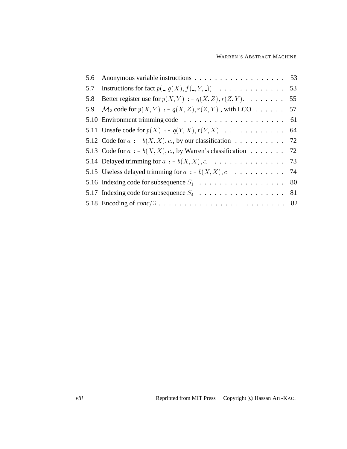| 5.6 |                                                                                       |  |
|-----|---------------------------------------------------------------------------------------|--|
| 5.7 | Instructions for fact $p(\_, g(X), f(\_, Y, \_))$ . 53                                |  |
| 5.8 | Better register use for $p(X, Y)$ : - $q(X, Z), r(Z, Y)$ . 55                         |  |
| 5.9 | $\mathcal{M}_2$ code for $p(X, Y)$ : - $q(X, Z), r(Z, Y)$ ., with LCO 57              |  |
|     |                                                                                       |  |
|     | 5.11 Unsafe code for $p(X) := q(Y, X), r(Y, X)$ . 64                                  |  |
|     | 5.12 Code for $a : = b(X, X), c$ , by our classification $\ldots \ldots \ldots$ 72    |  |
|     | 5.13 Code for $a := b(X, X), c$ , by Warren's classification $\ldots \ldots$ 72       |  |
|     | 5.14 Delayed trimming for $a : = b(X, X), c. \dots \dots \dots \dots \dots \dots$ 73  |  |
|     | 5.15 Useless delayed trimming for $a : = b(X, X), c \dots \dots \dots \dots \dots$ 74 |  |
|     |                                                                                       |  |
|     |                                                                                       |  |
|     |                                                                                       |  |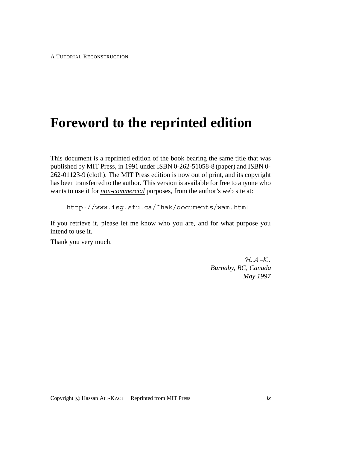# **Foreword to the reprinted edition**

This document is a reprinted edition of the book bearing the same title that was published by MIT Press, in 1991 under ISBN 0-262-51058-8 (paper) and ISBN 0- 262-01123-9 (cloth). The MIT Press edition is now out of print, and its copyright has been transferred to the author. This version is available for free to anyone who wants to use it for *non-commercial* purposes, from the author's web site at:

http://www.isg.sfu.ca/˜hak/documents/wam.html

If you retrieve it, please let me know who you are, and for what purpose you intend to use it.

Thank you very much.

HA*–*K *Burnaby, BC, Canada May 1997*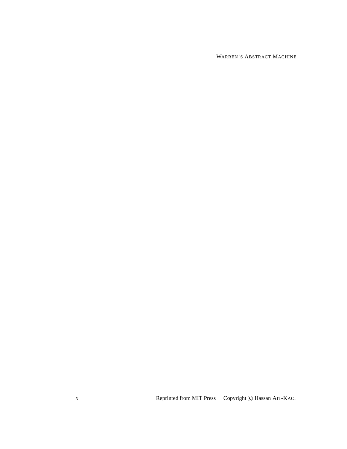WARREN'S ABSTRACT MACHINE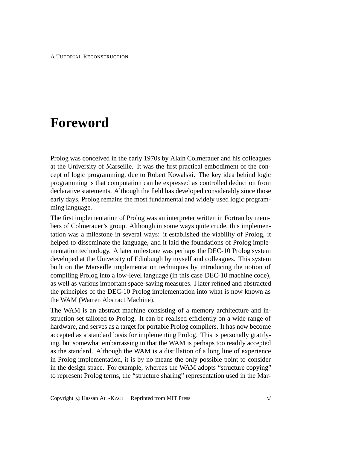# **Foreword**

Prolog was conceived in the early 1970s by Alain Colmerauer and his colleagues at the University of Marseille. It was the first practical embodiment of the concept of logic programming, due to Robert Kowalski. The key idea behind logic programming is that computation can be expressed as controlled deduction from declarative statements. Although the field has developed considerably since those early days, Prolog remains the most fundamental and widely used logic programming language.

The first implementation of Prolog was an interpreter written in Fortran by members of Colmerauer's group. Although in some ways quite crude, this implementation was a milestone in several ways: it established the viability of Prolog, it helped to disseminate the language, and it laid the foundations of Prolog implementation technology. A later milestone was perhaps the DEC-10 Prolog system developed at the University of Edinburgh by myself and colleagues. This system built on the Marseille implementation techniques by introducing the notion of compiling Prolog into a low-level language (in this case DEC-10 machine code), as well as various important space-saving measures. I later refined and abstracted the principles of the DEC-10 Prolog implementation into what is now known as the WAM (Warren Abstract Machine).

The WAM is an abstract machine consisting of a memory architecture and instruction set tailored to Prolog. It can be realised efficiently on a wide range of hardware, and serves as a target for portable Prolog compilers. It has now become accepted as a standard basis for implementing Prolog. This is personally gratifying, but somewhat embarrassing in that the WAM is perhaps too readily accepted as the standard. Although the WAM is a distillation of a long line of experience in Prolog implementation, it is by no means the only possible point to consider in the design space. For example, whereas the WAM adopts "structure copying" to represent Prolog terms, the "structure sharing" representation used in the Mar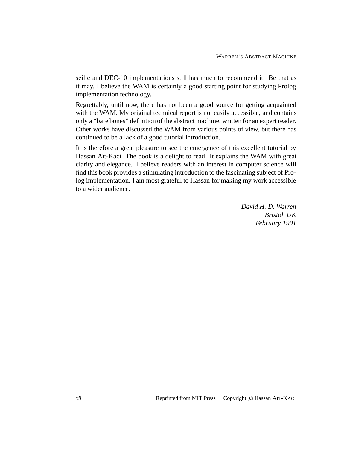seille and DEC-10 implementations still has much to recommend it. Be that as it may, I believe the WAM is certainly a good starting point for studying Prolog implementation technology.

Regrettably, until now, there has not been a good source for getting acquainted with the WAM. My original technical report is not easily accessible, and contains only a "bare bones" definition of the abstract machine, written for an expert reader. Other works have discussed the WAM from various points of view, but there has continued to be a lack of a good tutorial introduction.

It is therefore a great pleasure to see the emergence of this excellent tutorial by Hassan Aït-Kaci. The book is a delight to read. It explains the WAM with great clarity and elegance. I believe readers with an interest in computer science will find this book provides a stimulating introduction to the fascinating subject of Prolog implementation. I am most grateful to Hassan for making my work accessible to a wider audience.

> *David H. D. Warren Bristol, UK February 1991*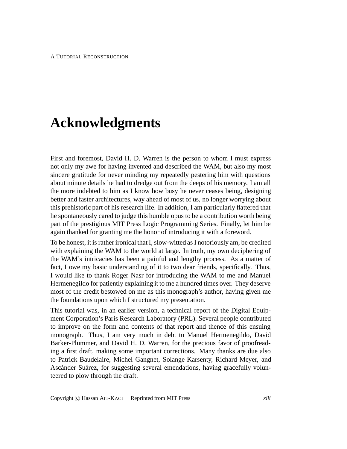# **Acknowledgments**

First and foremost, David H. D. Warren is the person to whom I must express not only my awe for having invented and described the WAM, but also my most sincere gratitude for never minding my repeatedly pestering him with questions about minute details he had to dredge out from the deeps of his memory. I am all the more indebted to him as I know how busy he never ceases being, designing better and faster architectures, way ahead of most of us, no longer worrying about this prehistoric part of his research life. In addition, I am particularly flattered that he spontaneously cared to judge this humble opus to be a contribution worth being part of the prestigious MIT Press Logic Programming Series. Finally, let him be again thanked for granting me the honor of introducing it with a foreword.

To be honest, it is rather ironical that I, slow-witted as I notoriously am, be credited with explaining the WAM to the world at large. In truth, my own deciphering of the WAM's intricacies has been a painful and lengthy process. As a matter of fact, I owe my basic understanding of it to two dear friends, specifically. Thus, I would like to thank Roger Nasr for introducing the WAM to me and Manuel Hermenegildo for patiently explaining it to me a hundred times over. They deserve most of the credit bestowed on me as this monograph's author, having given me the foundations upon which I structured my presentation.

This tutorial was, in an earlier version, a technical report of the Digital Equipment Corporation's Paris Research Laboratory (PRL). Several people contributed to improve on the form and contents of that report and thence of this ensuing monograph. Thus, I am very much in debt to Manuel Hermenegildo, David Barker-Plummer, and David H. D. Warren, for the precious favor of proofreading a first draft, making some important corrections. Many thanks are due also to Patrick Baudelaire, Michel Gangnet, Solange Karsenty, Richard Meyer, and Ascánder Suárez, for suggesting several emendations, having gracefully volunteered to plow through the draft.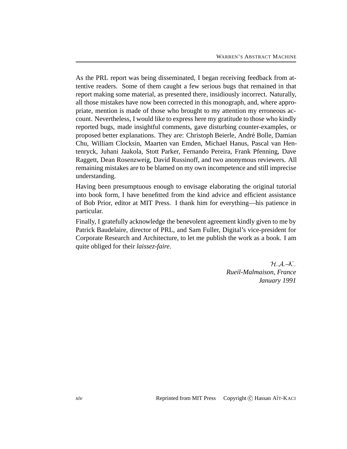As the PRL report was being disseminated, I began receiving feedback from attentive readers. Some of them caught a few serious bugs that remained in that report making some material, as presented there, insidiously incorrect. Naturally, all those mistakes have now been corrected in this monograph, and, where appropriate, mention is made of those who brought to my attention my erroneous account. Nevertheless, I would like to express here my gratitude to those who kindly reported bugs, made insightful comments, gave disturbing counter-examples, or proposed better explanations. They are: Christoph Beierle, André Bolle, Damian Chu, William Clocksin, Maarten van Emden, Michael Hanus, Pascal van Hentenryck, Juhani Jaakola, Stott Parker, Fernando Pereira, Frank Pfenning, Dave Raggett, Dean Rosenzweig, David Russinoff, and two anonymous reviewers. All remaining mistakes are to be blamed on my own incompetence and still imprecise understanding.

Having been presumptuous enough to envisage elaborating the original tutorial into book form, I have benefitted from the kind advice and efficient assistance of Bob Prior, editor at MIT Press. I thank him for everything—his patience in particular.

Finally, I gratefully acknowledge the benevolent agreement kindly given to me by Patrick Baudelaire, director of PRL, and Sam Fuller, Digital's vice-president for Corporate Research and Architecture, to let me publish the work as a book. I am quite obliged for their *laissez-faire*.

> $H A - K$ *Rueil-Malmaison, France January 1991*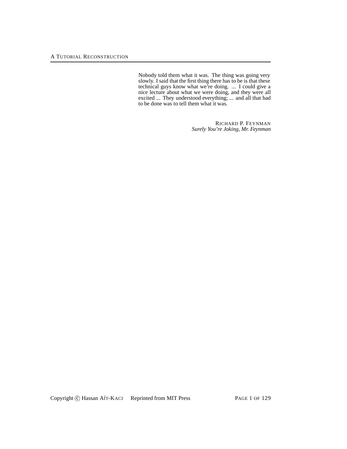Nobody told them what it was. The thing was going very slowly. I said that the first thing there has to be is that these technical guys know what we're doing. ... I could give a nice lecture about what we were doing, and they were all excited ... They understood everything; ... and all that had to be done was to tell them what it was.

> RICHARD P. FEYNMAN *Surely You're Joking, Mr. Feynman*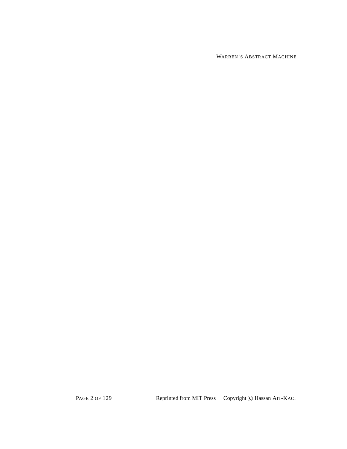WARREN'S ABSTRACT MACHINE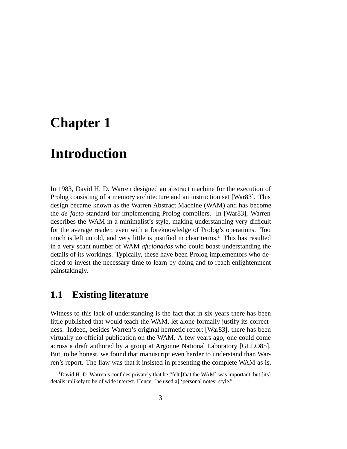## **Chapter 1**

# **Introduction**

In 1983, David H. D. Warren designed an abstract machine for the execution of Prolog consisting of a memory architecture and an instruction set [War83]. This design became known as the Warren Abstract Machine (WAM) and has become the *de facto* standard for implementing Prolog compilers. In [War83], Warren describes the WAM in a minimalist's style, making understanding very difficult for the average reader, even with a foreknowledge of Prolog's operations. Too much is left untold, and very little is justified in clear terms.<sup>1</sup> This has resulted in a very scant number of WAM *aficionados* who could boast understanding the details of its workings. Typically, these have been Prolog implementors who decided to invest the necessary time to learn by doing and to reach enlightenment painstakingly.

### **1.1 Existing literature**

Witness to this lack of understanding is the fact that in six years there has been little published that would teach the WAM, let alone formally justify its correctness. Indeed, besides Warren's original hermetic report [War83], there has been virtually no official publication on the WAM. A few years ago, one could come across a draft authored by a group at Argonne National Laboratory [GLLO85]. But, to be honest, we found that manuscript even harder to understand than Warren's report. The flaw was that it insisted in presenting the complete WAM as is,

<sup>&</sup>lt;sup>1</sup>David H. D. Warren's confides privately that he "felt [that the WAM] was important, but [its] details unlikely to be of wide interest. Hence, [he used a] 'personal notes' style."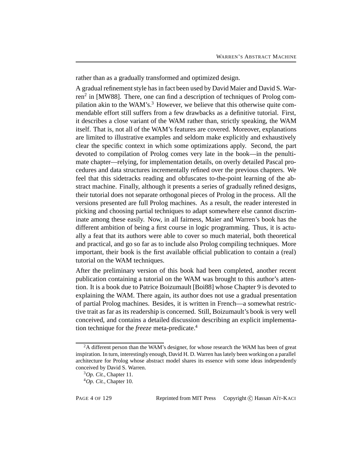rather than as a gradually transformed and optimized design.

A gradual refinement style has in fact been used by David Maier and David S. Warren<sup>2</sup> in [MW88]. There, one can find a description of techniques of Prolog compilation akin to the WAM's. $3$  However, we believe that this otherwise quite commendable effort still suffers from a few drawbacks as a definitive tutorial. First, it describes a close variant of the WAM rather than, strictly speaking, the WAM itself. That is, not all of the WAM's features are covered. Moreover, explanations are limited to illustrative examples and seldom make explicitly and exhaustively clear the specific context in which some optimizations apply. Second, the part devoted to compilation of Prolog comes very late in the book—in the penultimate chapter—relying, for implementation details, on overly detailed Pascal procedures and data structures incrementally refined over the previous chapters. We feel that this sidetracks reading and obfuscates to-the-point learning of the abstract machine. Finally, although it presents a series of gradually refined designs, their tutorial does not separate orthogonal pieces of Prolog in the process. All the versions presented are full Prolog machines. As a result, the reader interested in picking and choosing partial techniques to adapt somewhere else cannot discriminate among these easily. Now, in all fairness, Maier and Warren's book has the different ambition of being a first course in logic programming. Thus, it is actually a feat that its authors were able to cover so much material, both theoretical and practical, and go so far as to include also Prolog compiling techniques. More important, their book is the first available official publication to contain a (real) tutorial on the WAM techniques.

After the preliminary version of this book had been completed, another recent publication containing a tutorial on the WAM was brought to this author's attention. It is a book due to Patrice Boizumault [Boi88] whose Chapter 9 is devoted to explaining the WAM. There again, its author does not use a gradual presentation of partial Prolog machines. Besides, it is written in French—a somewhat restrictive trait as far as its readership is concerned. Still, Boizumault's book is very well conceived, and contains a detailed discussion describing an explicit implementation technique for the *freeze* meta-predicate.4

 ${}^{2}$ A different person than the WAM's designer, for whose research the WAM has been of great inspiration. In turn, interestingly enough, David H. D. Warren has lately been working on a parallel architecture for Prolog whose abstract model shares its essence with some ideas independently conceived by David S. Warren.

<sup>3</sup>*Op. Cit.*, Chapter 11.

<sup>4</sup>*Op. Cit.*, Chapter 10.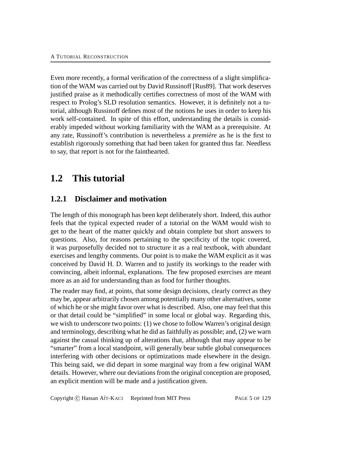Even more recently, a formal verification of the correctness of a slight simplification of the WAM was carried out by David Russinoff [Rus89]. That work deserves justified praise as it methodically certifies correctness of most of the WAM with respect to Prolog's SLD resolution semantics. However, it is definitely not a tutorial, although Russinoff defines most of the notions he uses in order to keep his work self-contained. In spite of this effort, understanding the details is considerably impeded without working familiarity with the WAM as a prerequisite. At any rate, Russinoff's contribution is nevertheless a *première* as he is the first to establish rigorously something that had been taken for granted thus far. Needless to say, that report is not for the fainthearted.

### **1.2 This tutorial**

#### **1.2.1 Disclaimer and motivation**

The length of this monograph has been kept deliberately short. Indeed, this author feels that the typical expected reader of a tutorial on the WAM would wish to get to the heart of the matter quickly and obtain complete but short answers to questions. Also, for reasons pertaining to the specificity of the topic covered, it was purposefully decided not to structure it as a real textbook, with abundant exercises and lengthy comments. Our point is to make the WAM explicit as it was conceived by David H. D. Warren and to justify its workings to the reader with convincing, albeit informal, explanations. The few proposed exercises are meant more as an aid for understanding than as food for further thoughts.

The reader may find, at points, that some design decisions, clearly correct as they may be, appear arbitrarily chosen among potentially many other alternatives, some of which he or she might favor over what is described. Also, one may feel that this or that detail could be "simplified" in some local or global way. Regarding this, we wish to underscore two points: (1) we chose to follow Warren's original design and terminology, describing what he did as faithfully as possible; and, (2) we warn against the casual thinking up of alterations that, although that may appear to be "smarter" from a local standpoint, will generally bear subtle global consequences interfering with other decisions or optimizations made elsewhere in the design. This being said, we did depart in some marginal way from a few original WAM details. However, where our deviations from the original conception are proposed, an explicit mention will be made and a justification given.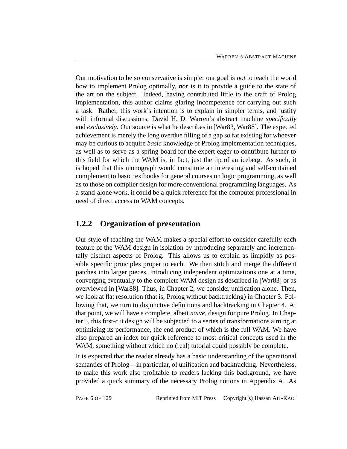Our motivation to be so conservative is simple: our goal is *not* to teach the world how to implement Prolog optimally, *nor* is it to provide a guide to the state of the art on the subject. Indeed, having contributed little to the craft of Prolog implementation, this author claims glaring incompetence for carrying out such a task. Rather, this work's intention is to explain in simpler terms, and justify with informal discussions, David H. D. Warren's abstract machine *specifically* and *exclusively*. Our source is what he describes in [War83, War88]. The expected achievement is merely the long overdue filling of a gap so far existing for whoever may be curious to acquire *basic* knowledge of Prolog implementation techniques, as well as to serve as a spring board for the expert eager to contribute further to this field for which the WAM is, in fact, just the tip of an iceberg. As such, it is hoped that this monograph would constitute an interesting and self-contained complement to basic textbooks for general courses on logic programming, as well as to those on compiler design for more conventional programming languages. As a stand-alone work, it could be a quick reference for the computer professional in need of direct access to WAM concepts.

#### **1.2.2 Organization of presentation**

Our style of teaching the WAM makes a special effort to consider carefully each feature of the WAM design in isolation by introducing separately and incrementally distinct aspects of Prolog. This allows us to explain as limpidly as possible specific principles proper to each. We then stitch and merge the different patches into larger pieces, introducing independent optimizations one at a time, converging eventually to the complete WAM design as described in [War83] or as overviewed in [War88]. Thus, in Chapter 2, we consider unification alone. Then, we look at flat resolution (that is, Prolog without backtracking) in Chapter 3. Following that, we turn to disjunctive definitions and backtracking in Chapter 4. At that point, we will have a complete, albeit *na¨ıve*, design for pure Prolog. In Chapter 5, this first-cut design will be subjected to a series of transformations aiming at optimizing its performance, the end product of which is the full WAM. We have also prepared an index for quick reference to most critical concepts used in the WAM, something without which no (real) tutorial could possibly be complete.

It is expected that the reader already has a basic understanding of the operational semantics of Prolog—in particular, of unification and backtracking. Nevertheless, to make this work also profitable to readers lacking this background, we have provided a quick summary of the necessary Prolog notions in Appendix A. As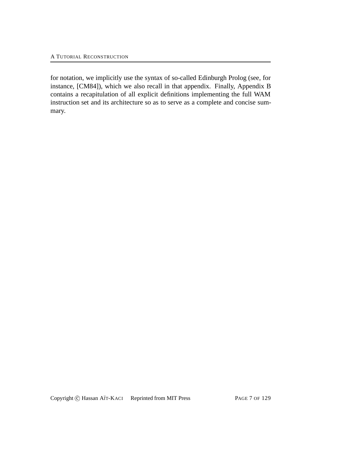for notation, we implicitly use the syntax of so-called Edinburgh Prolog (see, for instance, [CM84]), which we also recall in that appendix. Finally, Appendix B contains a recapitulation of all explicit definitions implementing the full WAM instruction set and its architecture so as to serve as a complete and concise summary.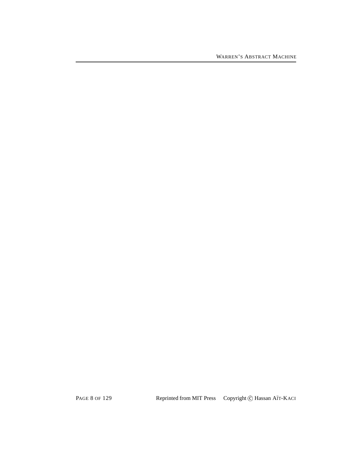WARREN'S ABSTRACT MACHINE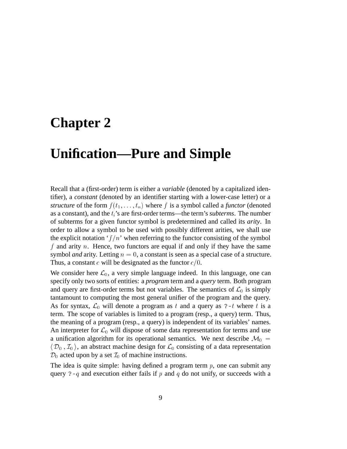# **Chapter 2**

### **Unification—Pure and Simple**

Recall that a (first-order) term is either a *variable* (denoted by a capitalized identifier), a *constant* (denoted by an identifier starting with a lower-case letter) or a *structure* of the form  $f(t_1, \ldots, t_n)$  where f is a symbol called a *functor* (denoted as a constant), and the ti's are first-order terms—the term's *subterms*. The number of subterms for a given functor symbol is predetermined and called its *arity*. In order to allow a symbol to be used with possibly different arities, we shall use the explicit notation ' $f/n$ ' when referring to the functor consisting of the symbol f and arity  $n$ . Hence, two functors are equal if and only if they have the same symbol *and* arity. Letting  $n = 0$ , a constant is seen as a special case of a structure. Thus, a constant c will be designated as the functor  $c/0$ .

We consider here  $\mathcal{L}_0$ , a very simple language indeed. In this language, one can specify only two sorts of entities: a *program* term and a *query* term. Both program and query are first-order terms but not variables. The semantics of  $\mathcal{L}_0$  is simply tantamount to computing the most general unifier of the program and the query. As for syntax,  $\mathcal{L}_0$  will denote a program as t and a query as ?-t where t is a term. The scope of variables is limited to a program (resp., a query) term. Thus, the meaning of a program (resp., a query) is independent of its variables' names. An interpreter for  $\mathcal{L}_0$  will dispose of some data representation for terms and use a unification algorithm for its operational semantics. We next describe  $\mathcal{M}_0 =$  $\langle \mathcal{D}_0, \mathcal{I}_0 \rangle$ , an abstract machine design for  $\mathcal{L}_0$  consisting of a data representation  $\mathcal{D}_0$  acted upon by a set  $\mathcal{I}_0$  of machine instructions.

The idea is quite simple: having defined a program term  $p$ , one can submit any query  $2 - q$  and execution either fails if p and q do not unify, or succeeds with a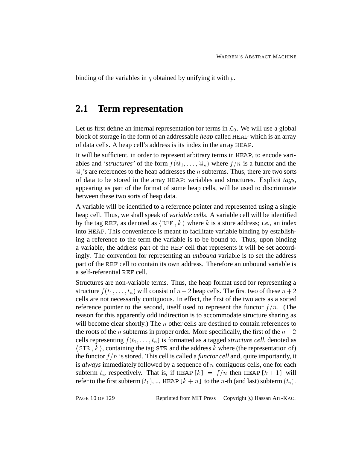binding of the variables in q obtained by unifying it with  $p$ .

### **2.1 Term representation**

Let us first define an internal representation for terms in  $\mathcal{L}_0$ . We will use a global block of storage in the form of an addressable *heap* called HEAP which is an array of data cells. A heap cell's address is its index in the array HEAP.

It will be sufficient, in order to represent arbitrary terms in HEAP, to encode variables and *'structures'* of the form  $f(\mathbb{Q}_1, \ldots, \mathbb{Q}_n)$  where  $f/n$  is a functor and the  $\mathcal{Q}_i$ 's are references to the heap addresses the n subterms. Thus, there are two sorts of data to be stored in the array HEAP: variables and structures. Explicit *tags*, appearing as part of the format of some heap cells, will be used to discriminate between these two sorts of heap data.

A variable will be identified to a reference pointer and represented using a single heap cell. Thus, we shall speak of *variable cells*. A variable cell will be identified by the tag REF, as denoted as  $\langle$  REF,  $k \rangle$  where k is a store address; *i.e.*, an index into HEAP. This convenience is meant to facilitate variable binding by establishing a reference to the term the variable is to be bound to. Thus, upon binding a variable, the address part of the REF cell that represents it will be set accordingly. The convention for representing an *unbound* variable is to set the address part of the REF cell to contain its own address. Therefore an unbound variable is a self-referential REF cell.

Structures are non-variable terms. Thus, the heap format used for representing a structure  $f(t_1, \ldots, t_n)$  will consist of  $n + 2$  heap cells. The first two of these  $n + 2$ cells are not necessarily contiguous. In effect, the first of the two acts as a sorted reference pointer to the second, itself used to represent the functor  $f/n$ . (The reason for this apparently odd indirection is to accommodate structure sharing as will become clear shortly.) The  $n$  other cells are destined to contain references to the roots of the n subterms in proper order. More specifically, the first of the  $n+2$ cells representing  $f(t_1, \ldots, t_n)$  is formatted as a tagged *structure cell*, denoted as  $\langle$  STR, k  $\rangle$ , containing the tag STR and the address k where (the representation of) the functor  $f/n$  is stored. This cell is called a *functor cell* and, quite importantly, it is *always* immediately followed by a sequence of <sup>n</sup> contiguous cells, one for each subterm  $t_i$ , respectively. That is, if HEAP  $[k] = f/n$  then HEAP  $[k+1]$  will refer to the first subterm  $(t_1)$ , ... HEAP  $[k + n]$  to the n-th (and last) subterm  $(t_n)$ .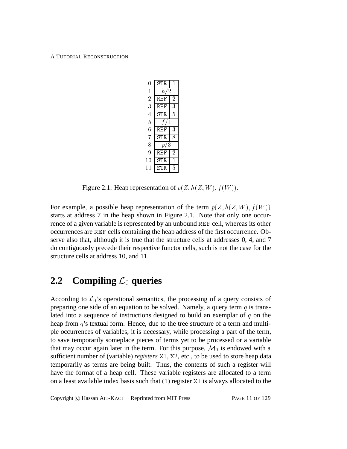| 0              | STR<br>1   |   |  |
|----------------|------------|---|--|
| 1              | h/2        |   |  |
| $\overline{2}$ | REF        | 2 |  |
| 3              | REF        | 3 |  |
| 4              | STR        | 5 |  |
| 5              | 1          |   |  |
| 6              | REF        | 3 |  |
| 7              | <b>STR</b> | 8 |  |
| 8              | p/3        |   |  |
| 9              | RFF        | 2 |  |
| 10             | <b>STR</b> | 1 |  |
| 11             | STR.       | 5 |  |

Figure 2.1: Heap representation of  $p(Z, h(Z, W), f(W))$ .

For example, a possible heap representation of the term  $p(Z, h(Z, W), f(W))$ starts at address 7 in the heap shown in Figure 2.1. Note that only one occurrence of a given variable is represented by an unbound REF cell, whereas its other occurrences are REF cells containing the heap address of the first occurrence. Observe also that, although it is true that the structure cells at addresses 0, 4, and 7 do contiguously precede their respective functor cells, such is not the case for the structure cells at address 10, and 11.

### **2.2** Compiling  $\mathcal{L}_0$  queries

According to  $\mathcal{L}_0$ 's operational semantics, the processing of a query consists of preparing one side of an equation to be solved. Namely, a query term  $q$  is translated into a sequence of instructions designed to build an exemplar of  $q$  on the heap from  $q$ 's textual form. Hence, due to the tree structure of a term and multiple occurrences of variables, it is necessary, while processing a part of the term, to save temporarily someplace pieces of terms yet to be processed or a variable that may occur again later in the term. For this purpose,  $\mathcal{M}_0$  is endowed with a sufficient number of (variable) *registers* X1, X2, etc., to be used to store heap data temporarily as terms are being built. Thus, the contents of such a register will have the format of a heap cell. These variable registers are allocated to a term on a least available index basis such that (1) register X is always allocated to the

Copyright C Hassan AïT-KACI Reprinted from MIT Press PAGE 11 OF 129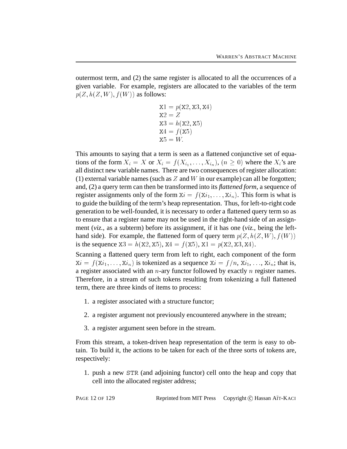outermost term, and (2) the same register is allocated to all the occurrences of a given variable. For example, registers are allocated to the variables of the term  $p(Z, h(Z, W), f(W))$  as follows:

> $X1 = p(X2, X3, X4)$  $X2 = Z$  $x3 = h(x2, x5)$  $X4 = f(X5)$  $x5 = W$ .

This amounts to saying that a term is seen as a flattened conjunctive set of equations of the form  $X_i = X$  or  $X_i = f(X_{i_1}, \ldots, X_{i_n})$ ,  $(n \geq 0)$  where the  $X_i$ 's are all distinct new variable names. There are two consequences of register allocation: (1) external variable names (such as  $Z$  and  $W$  in our example) can all be forgotten; and, (2) a query term can then be transformed into its *flattened form*, a sequence of register assignments only of the form  $X_i = f(X_{i_1}, \ldots, X_{i_n})$ . This form is what is to guide the building of the term's heap representation. Thus, for left-to-right code generation to be well-founded, it is necessary to order a flattened query term so as to ensure that a register name may not be used in the right-hand side of an assignment (*viz.*, as a subterm) before its assignment, if it has one (*viz.*, being the lefthand side). For example, the flattened form of query term  $p(Z, h(Z, W), f(W))$ is the sequence  $x3 = h(x2, x5)$ ,  $x4 = f(x5)$ ,  $x1 = p(x2, x3, x4)$ .

Scanning a flattened query term from left to right, each component of the form  $X_i = f(X_{i_1}, \ldots, X_{i_n})$  is tokenized as a sequence  $X_i = f/n$ ,  $X_{i_1}, \ldots, X_{i_n}$ ; that is, a register associated with an  $n$ -ary functor followed by exactly  $n$  register names. Therefore, in a stream of such tokens resulting from tokenizing a full flattened term, there are three kinds of items to process:

- 1. a register associated with a structure functor;
- 2. a register argument not previously encountered anywhere in the stream;
- 3. a register argument seen before in the stream.

From this stream, a token-driven heap representation of the term is easy to obtain. To build it, the actions to be taken for each of the three sorts of tokens are, respectively:

1. push a new STR (and adjoining functor) cell onto the heap and copy that cell into the allocated register address;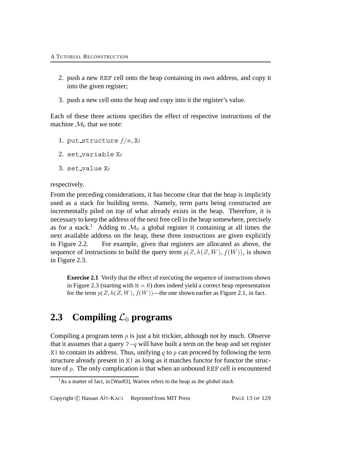- 2. push a new REF cell onto the heap containing its own address, and copy it into the given register;
- 3. push a new cell onto the heap and copy into it the register's value.

Each of these three actions specifies the effect of respective instructions of the machine  $\mathcal{M}_0$  that we note:

- 1. put\_structure  $f/n$ , Xi
- 2. set variable X<sup>i</sup>
- 3. set value  $Xi$

#### respectively.

From the preceding considerations, it has become clear that the heap is implicitly used as a stack for building terms. Namely, term parts being constructed are incrementally piled on *top* of what already exists in the heap. Therefore, it is necessary to keep the address of the next free cell in the heap somewhere, precisely as for a stack.<sup>1</sup> Adding to  $\mathcal{M}_0$  a global register H containing at all times the next available address on the heap, these three instructions are given explicitly in Figure 2.2. For example, given that registers are allocated as above, the sequence of instructions to build the query term  $p(Z, h(Z, W), f(W))$ , is shown in Figure 2.3.

**Exercise 2.1** Verify that the effect of executing the sequence of instructions shown in Figure 2.3 (starting with  $H = 0$ ) does indeed yield a correct heap representation for the term  $p(Z, h(Z, W), f(W))$ —the one shown earlier as Figure 2.1, in fact.

### **2.3** Compiling  $\mathcal{L}_0$  programs

Compiling a program term  $p$  is just a bit trickier, although not by much. Observe that it assumes that a query  $? - q$  will have built a term on the heap and set register X1 to contain its address. Thus, unifying  $q$  to  $p$  can proceed by following the term structure already present in X1 as long as it matches functor for functor the structure of  $p$ . The only complication is that when an unbound REF cell is encountered

<sup>1</sup>As a matter of fact, in [War83], Warren refers to the heap as the *global stack*.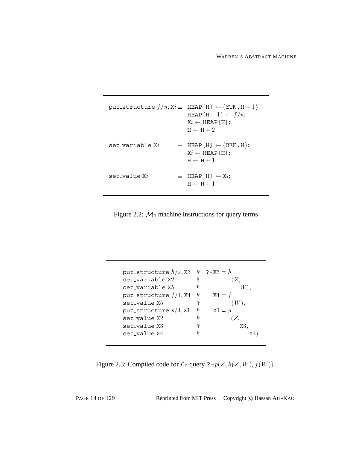|                 | put_structure $f/n, Xi \equiv$ HEAP [H] $\leftarrow$ $\langle$ STR, H + 1 $\rangle$ ;<br>HEAP [H + 1] $\leftarrow$ f/n;<br>$Xi \leftarrow \text{HEAD [H]}$ ;<br>$H \leftarrow H + 2;$ |
|-----------------|---------------------------------------------------------------------------------------------------------------------------------------------------------------------------------------|
| set variable Xi | $\equiv$ HEAP[H] $\leftarrow$ $\langle$ REF, H $\rangle$ ;<br>$Xi \leftarrow \text{HEAD [H]}$ ;<br>$H \leftarrow H + 1$ ;                                                             |
| set_value Xi    | $\equiv$ HEAP [H] $\leftarrow$ Xi;<br>$H \leftarrow H + 1$ :                                                                                                                          |

Figure 2.2:  $\mathcal{M}_0$  machine instructions for query terms

| put_structure $h/2$ , X3 |    | $\text{? } -X3 = h$ |
|--------------------------|----|---------------------|
| set_variable X2          | °  |                     |
| set_variable X5          | °≈ |                     |
| put structure $f/1, X4$  | ిన | $X4 = f$            |
| set_value X5             | ిన | $(W)$ ,             |
| put_structure $p/3, x1$  | ిన | $X1 = p$            |
| set_value X2             | °  |                     |
| set_value X3             | °  | X3,                 |
| set_value X4             | °  |                     |
|                          |    |                     |

Figure 2.3: Compiled code for  $\mathcal{L}_0$  query ? -  $p(Z, h(Z, W), f(W))$ .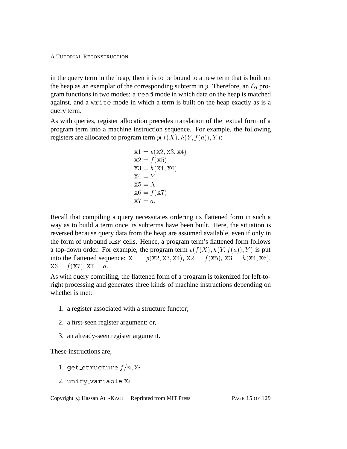in the query term in the heap, then it is to be bound to a new term that is built on the heap as an exemplar of the corresponding subterm in p. Therefore, an  $\mathcal{L}_0$  program functions in two modes: a read mode in which data on the heap is matched against, and a write mode in which a term is built on the heap exactly as is a query term.

As with queries, register allocation precedes translation of the textual form of a program term into a machine instruction sequence. For example, the following registers are allocated to program term  $p(f(X), h(Y, f(a)), Y)$ :

$$
X1 = p(X2, X3, X4)
$$
  
\n
$$
X2 = f(X5)
$$
  
\n
$$
X3 = h(X4, X6)
$$
  
\n
$$
X4 = Y
$$
  
\n
$$
X5 = X
$$
  
\n
$$
X6 = f(X7)
$$
  
\n
$$
X7 = a.
$$

Recall that compiling a query necessitates ordering its flattened form in such a way as to build a term once its subterms have been built. Here, the situation is reversed because query data from the heap are assumed available, even if only in the form of unbound REF cells. Hence, a program term's flattened form follows a top-down order. For example, the program term  $p(f(X), h(Y, f(a)), Y)$  is put into the flattened sequence:  $X1 = p(X2, X3, X4), X2 = f(X5), X3 = h(X4, X6),$  $X6 = f(X7), X7 = a.$ 

As with query compiling, the flattened form of a program is tokenized for left-toright processing and generates three kinds of machine instructions depending on whether is met:

- 1. a register associated with a structure functor;
- 2. a first-seen register argument; or,
- 3. an already-seen register argument.

These instructions are,

- 1. get\_structure  $f/n$ , Xi
- 2. unify variable X<sup>i</sup>

Copyright C Hassan AïT-KACI Reprinted from MIT Press PAGE 15 OF 129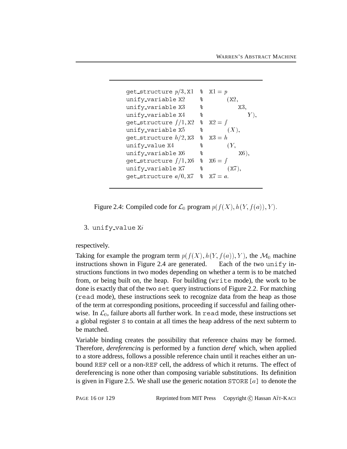```
get_structure p/3, \mathrm{X}1 % \mathrm{X}1 = punify_variable X2
                    \epsilon (X2,unify_variable X3 % X3,
unify variable X4 \bullet Y).
get_structure f/1, x2 % x2 = funify variable X5 \qquad \qquad (X),
get_structure h/2, X3 \, \, \, X3 = hunify value X4 \qquad \qquad (Y,
unify_variable X6 \qquad \qquad X6),
get_structure f/1, x6 % x6 = funify_variable X7 \approx (X7),
get_structure a/0, x7 % x7 = a.
```
Figure 2.4: Compiled code for  $\mathcal{L}_0$  program  $p(f(X), h(Y, f(a)), Y)$ .

3. unify value  $Xi$ 

respectively.

Taking for example the program term  $p(f(X), h(Y, f(a)), Y)$ , the  $\mathcal{M}_0$  machine instructions shown in Figure 2.4 are generated. Each of the two unify instructions functions in two modes depending on whether a term is to be matched from, or being built on, the heap. For building (write mode), the work to be done is exactly that of the two set query instructions of Figure 2.2. For matching (read mode), these instructions seek to recognize data from the heap as those of the term at corresponding positions, proceeding if successful and failing otherwise. In  $\mathcal{L}_0$ , failure aborts all further work. In read mode, these instructions set a global register S to contain at all times the heap address of the next subterm to be matched.

Variable binding creates the possibility that reference chains may be formed. Therefore, *dereferencing* is performed by a function *deref* which, when applied to a store address, follows a possible reference chain until it reaches either an unbound REF cell or a non-REF cell, the address of which it returns. The effect of dereferencing is none other than composing variable substitutions. Its definition is given in Figure 2.5. We shall use the generic notation STORE  $[a]$  to denote the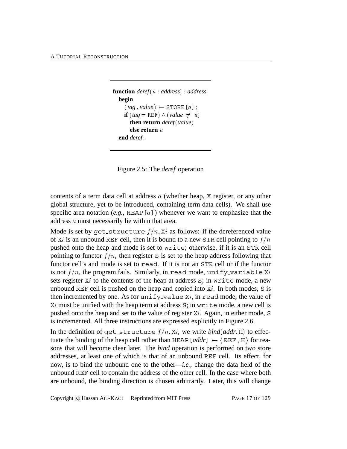```
function deref(a: address): addressbegin
     \langle tag \cdot value \rangle \leftarrow \text{STOP}[a];
     if (tag = REF) \wedge (value \neq a)then return deref value
       else return a
  end deref
```
Figure 2.5: The *deref* operation

contents of a term data cell at address <sup>a</sup> (whether heap, X register, or any other global structure, yet to be introduced, containing term data cells). We shall use specific area notation  $(e.g., \text{ HEAD } [a])$  whenever we want to emphasize that the address <sup>a</sup> must necessarily lie within that area.

Mode is set by <code>get\_structure</code>  $f/n$ ,  $Xi$  as follows: if the dereferenced value of Xi is an unbound REF cell, then it is bound to a new STR cell pointing to  $f/n$ pushed onto the heap and mode is set to write; otherwise, if it is an STR cell pointing to functor  $f/n$ , then register S is set to the heap address following that functor cell's and mode is set to read. If it is not an STR cell or if the functor is not  $f/n$ , the program fails. Similarly, in read mode, unify variable X $i$ sets register  $X_i$  to the contents of the heap at address  $S$ ; in write mode, a new unbound REF cell is pushed on the heap and copied into  $X_i$ . In both modes, S is then incremented by one. As for unify value  $X_i$ , in read mode, the value of  $Xi$  must be unified with the heap term at address  $S$ ; in write mode, a new cell is pushed onto the heap and set to the value of register  $X_i$ . Again, in either mode, S is incremented. All three instructions are expressed explicitly in Figure 2.6.

In the definition of get\_structure  $f/n, \mathrm{X}i$ , we write  $\mathit{bind}(\mathit{addr}, \mathrm{H})$  to effectuate the binding of the heap cell rather than HEAP  $[addr] \leftarrow \langle REF, H \rangle$  for reasons that will become clear later. The *bind* operation is performed on two store addresses, at least one of which is that of an unbound REF cell. Its effect, for now, is to bind the unbound one to the other—*i.e.*, change the data field of the unbound REF cell to contain the address of the other cell. In the case where both are unbound, the binding direction is chosen arbitrarily. Later, this will change

Copyright C Hassan AïT-KACI Reprinted from MIT Press PAGE 17 OF 129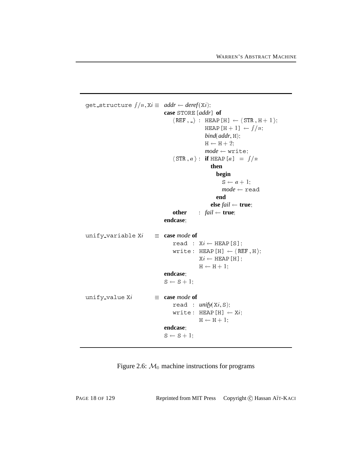```
get structure f/n, Xi \equiv addr \leftarrow deref(Xi);
                                     case STORE[addr] of
                                         \langle REF , \_ \rangle : HEAP [H] \leftarrow \langle STR , H + 1 \rangle;
                                                        HEAP [H + 1] \leftarrow f/n;bind(addr, H);H \leftarrow H + 2;mode \leftarrow \text{write};
                                          \langle STR ,a \rangle : \, if HEAP [a] \, \, = \,f/nthen
                                                              begin
                                                                S \leftarrow a + 1;
                                                                mode \leftarrow \texttt{read}end
                                                           else fail \leftarrow true;
                                         other : fail \leftarrow true;endcase
unify variable Xi case mode of
                                         read : Xi \leftarrow \text{HEAD}[S];
                                         write: HEAP[H] \leftarrow \langle REF, H \rangle;
                                                      Xi \leftarrow HEAP [H];
                                                      H \leftarrow H + 1;
                                     endcase
                                     S \leftarrow S + 1;
unify value Xi case mode of
                                         read : unify(Xi, S);write: HEAP[H] \leftarrow Xi;
                                                      H \leftarrow H + 1;
                                     endcase
                                     S \leftarrow S + 1;
```
Figure 2.6:  $\mathcal{M}_0$  machine instructions for programs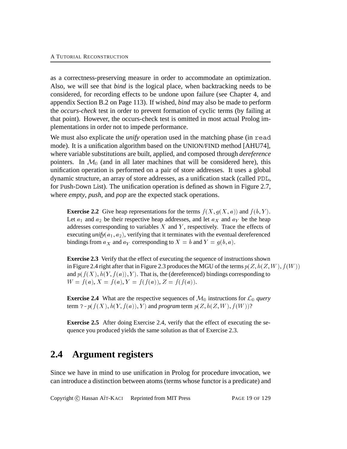as a correctness-preserving measure in order to accommodate an optimization. Also, we will see that *bind* is the logical place, when backtracking needs to be considered, for recording effects to be undone upon failure (see Chapter 4, and appendix Section B.2 on Page 113). If wished, *bind* may also be made to perform the *occurs-check* test in order to prevent formation of cyclic terms (by failing at that point). However, the occurs-check test is omitted in most actual Prolog implementations in order not to impede performance.

We must also explicate the *unify* operation used in the matching phase (in read mode). It is a unification algorithm based on the UNION/FIND method [AHU74], where variable substitutions are built, applied, and composed through *dereference* pointers. In  $\mathcal{M}_0$  (and in all later machines that will be considered here), this unification operation is performed on a pair of store addresses. It uses a global dynamic structure, an array of store addresses, as a unification stack (called PDL, for Push-Down List). The unification operation is defined as shown in Figure 2.7, where *empty*, *push*, and *pop* are the expected stack operations.

**Exercise 2.2** Give heap representations for the terms  $f(X, g(X, a))$  and  $f(b, Y)$ . Let  $a_1$  and  $a_2$  be their respective heap addresses, and let  $a<sub>X</sub>$  and  $a<sub>Y</sub>$  be the heap addresses corresponding to variables  $X$  and  $Y$ , respectively. Trace the effects of executing  $\text{unify}(a_1, a_2)$ , verifying that it terminates with the eventual dereferenced bindings from  $a_X$  and  $a_Y$  corresponding to  $X = b$  and  $Y = g(b, a)$ .

**Exercise 2.3** Verify that the effect of executing the sequence of instructions shown in Figure 2.4 right after that in Figure 2.3 produces the MGU of the terms  $p(Z, h(Z, W), f(W))$ and  $p(f(X), h(Y, f(a)), Y)$ . That is, the (dereferenced) bindings corresponding to  $W = f(a), X = f(a), Y = f(f(a)), Z = f(f(a)).$ 

**Exercise 2.4** What are the respective sequences of  $M_0$  instructions for  $\mathcal{L}_0$  query term ? -  $p(f(X), h(Y, f(a)), Y)$  and *program* term  $p(Z, h(Z, W), f(W))$ ?

**Exercise 2.5** After doing Exercise 2.4, verify that the effect of executing the sequence you produced yields the same solution as that of Exercise 2.3.

### **2.4 Argument registers**

Since we have in mind to use unification in Prolog for procedure invocation, we can introduce a distinction between atoms (terms whose functor is a predicate) and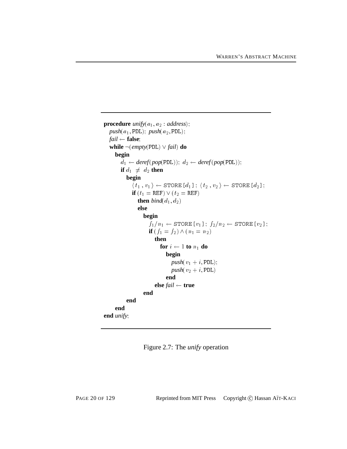```
procedure unify(a_1, a_2: address);push(a_1, \texttt{PDL}); \; push(a_2, \texttt{PDL});fail \leftarrow false;while \neg(empty(PDL) \lor fail) do
       begin
            d_1 \leftarrow \text{derf}(\text{pop}(\texttt{PDL})); d_2 \leftarrow \text{derf}(\text{pop}(\texttt{PDL}));if d_1 \neq d_2 then
               begin
                    \langle\, t_1\ , v_1\, \rangle \leftarrow \texttt{STORE}\left[d_1\,\right];\ \langle\, t_2\ , v_2\, \rangle \leftarrow \texttt{STORE}\left[d_2\,\right];\mathbf{if}\ (t_1=\textrm{REF}) \vee (t_2=\textrm{REF})then bind(d_1, d_2)else
                           begin
                                f_1/n_1 \leftarrow \texttt{STORE}\left[ \left. v_1 \right. \right] ; \; f_2/n_2 \leftarrow \texttt{STORE}\left[ \left. v_2 \right. \right] ;if (f_1 = f_2) \wedge (n_1 = n_2)then
                                       for i \leftarrow 1 to n_1 do
                                          begin
                                              push(v_1 + i, \texttt{PDL});\mathit{push}(v_2 + i, \texttt{PDL})end
                                   \textbf{else} \textit{fail} \leftarrow \textbf{true}end
               end
       end
end unify
```
Figure 2.7: The *unify* operation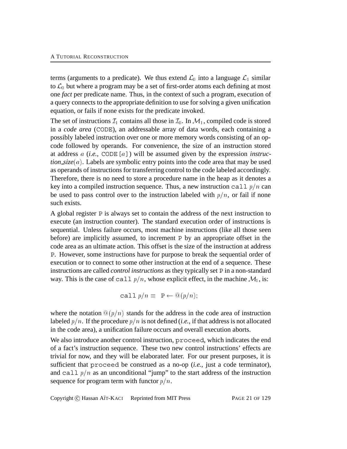terms (arguments to a predicate). We thus extend  $\mathcal{L}_0$  into a language  $\mathcal{L}_1$  similar to  $\mathcal{L}_0$  but where a program may be a set of first-order atoms each defining at most one *fact* per predicate name. Thus, in the context of such a program, execution of a query connects to the appropriate definition to use for solving a given unification equation, or fails if none exists for the predicate invoked.

The set of instructions  $\mathcal{I}_1$  contains all those in  $\mathcal{I}_0$ . In  $\mathcal{M}_1$ , compiled code is stored in a *code area* (CODE), an addressable array of data words, each containing a possibly labeled instruction over one or more memory words consisting of an opcode followed by operands. For convenience, the size of an instruction stored at address <sup>a</sup> (*i.e.*, CODE[a]) will be assumed given by the expression *instruc-* $\text{tion\_size}(a)$ . Labels are symbolic entry points into the code area that may be used as operands of instructions for transferring control to the code labeled accordingly. Therefore, there is no need to store a procedure name in the heap as it denotes a key into a compiled instruction sequence. Thus, a new instruction call  $p/n$  can be used to pass control over to the instruction labeled with  $p/n$ , or fail if none such exists.

A global register P is always set to contain the address of the next instruction to execute (an instruction counter). The standard execution order of instructions is sequential. Unless failure occurs, most machine instructions (like all those seen before) are implicitly assumed, to increment P by an appropriate offset in the code area as an ultimate action. This offset is the size of the instruction at address P. However, some instructions have for purpose to break the sequential order of execution or to connect to some other instruction at the end of a sequence. These instructions are called *control instructions* as they typically set P in a non-standard way. This is the case of call  $p/n$ , whose explicit effect, in the machine  $\mathcal{M}_1$ , is:

$$
\text{call } p/n \equiv \ \mathbf{P} \leftarrow \mathbf{Q}(p/n);
$$

where the notation  $\mathbb{Q}(p/n)$  stands for the address in the code area of instruction labeled  $p/n$  . If the procedure  $p/n$  is not defined (*i.e*., if that address is not allocated in the code area), a unification failure occurs and overall execution aborts.

We also introduce another control instruction, proceed, which indicates the end of a fact's instruction sequence. These two new control instructions' effects are trivial for now, and they will be elaborated later. For our present purposes, it is sufficient that proceed be construed as a no-op (*i.e.*, just a code terminator), and call  $p/n$  as an unconditional "jump" to the start address of the instruction sequence for program term with functor  $p/n$ .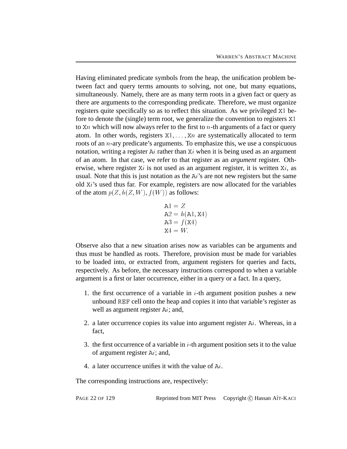Having eliminated predicate symbols from the heap, the unification problem between fact and query terms amounts to solving, not one, but many equations, simultaneously. Namely, there are as many term roots in a given fact or query as there are arguments to the corresponding predicate. Therefore, we must organize registers quite specifically so as to reflect this situation. As we privileged X before to denote the (single) term root, we generalize the convention to registers  $X1$ to  $X_n$  which will now always refer to the first to *n*-th arguments of a fact or query atom. In other words, registers  $X1, \ldots, Xn$  are systematically allocated to term roots of an <sup>n</sup>-ary predicate's arguments. To emphasize this, we use a conspicuous notation, writing a register  $A_i$  rather than  $X_i$  when it is being used as an argument of an atom. In that case, we refer to that register as an *argument* register. Otherwise, where register  $X_i$  is not used as an argument register, it is written  $X_i$ , as usual. Note that this is just notation as the  $A_i$ 's are not new registers but the same old  $Xi'$ 's used thus far. For example, registers are now allocated for the variables of the atom  $p(Z, h(Z, W), f(W))$  as follows:

$$
A1 = Z
$$
  
\n
$$
A2 = h(A1, X4)
$$
  
\n
$$
A3 = f(X4)
$$
  
\n
$$
X4 = W.
$$

Observe also that a new situation arises now as variables can be arguments and thus must be handled as roots. Therefore, provision must be made for variables to be loaded into, or extracted from, argument registers for queries and facts, respectively. As before, the necessary instructions correspond to when a variable argument is a first or later occurrence, either in a query or a fact. In a query,

- 1. the first occurrence of a variable in  $i$ -th argument position pushes a new unbound REF cell onto the heap and copies it into that variable's register as well as argument register A<sub>i</sub>; and,
- 2. a later occurrence copies its value into argument register  $A_i$ . Whereas, in a fact,
- 3. the first occurrence of a variable in  $\imath$ -th argument position sets it to the value of argument register  $A_i$ ; and,
- 4. a later occurrence unifies it with the value of Ai.

The corresponding instructions are, respectively:

PAGE 22 OF 129 Reprinted from MIT Press Copyright © Hassan AïT-KACI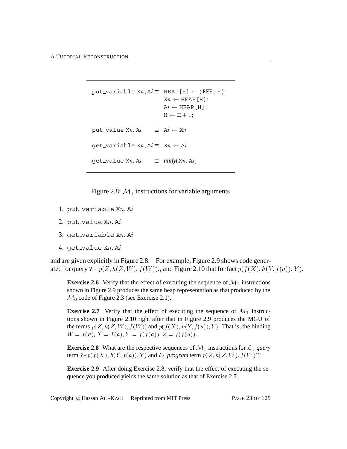```
put variable Xn, Ai \equiv HEAP[H] \leftarrow \langle REF, H \rangle;
                                   Xn \leftarrow \text{HEAD}[H];
                                   Ai \leftarrow \text{HEAD}[\text{H}]:H \leftarrow H + 1;
put value X_n. Ai = Ai \leftarrow X_nget variable X_n, Ai \equiv X_n \leftarrow Ai
get value X_n, Ai = \text{unify}(X_n, Ai)
```
Figure 2.8:  $M_1$  instructions for variable arguments

- 1. put variable  $X_n$ , A $i$
- 2. put value  $X_n$ , Ai
- 3. get variable  $X_n$ ,  $A_i$
- 4. get\_value  $X_n$ , Ai

and are given explicitly in Figure 2.8. For example, Figure 2.9 shows code generated for query ? -  $p(Z, h(Z, W), f(W))$ , and Figure 2.10 that for fact  $p(f(X), h(Y, f(a)), Y)$ .

**Exercise 2.6** Verify that the effect of executing the sequence of  $\mathcal{M}_1$  instructions shown in Figure 2.9 produces the same heap representation as that produced by the  $\mathcal{M}_0$  code of Figure 2.3 (see Exercise 2.1).

**Exercise 2.7** Verify that the effect of executing the sequence of  $M_1$  instructions shown in Figure 2.10 right after that in Figure 2.9 produces the MGU of the terms  $p(Z, h(Z, W), f(W))$  and  $p(f(X), h(Y, f(a)), Y)$ . That is, the binding  $W = f(a), X = f(a), Y = f(f(a)), Z = f(f(a)).$ 

**Exercise 2.8** What are the respective sequences of  $\mathcal{M}_1$  instructions for  $\mathcal{L}_1$  *query* term ? -  $p(f(X), h(Y, f(a)), Y)$  and  $\mathcal{L}_1$  *program* term  $p(Z, h(Z, W), f(W))$ ?

**Exercise 2.9** After doing Exercise 2.8, verify that the effect of executing the sequence you produced yields the same solution as that of Exercise 2.7.

Copyright C Hassan AïT-KACI Reprinted from MIT Press PAGE 23 OF 129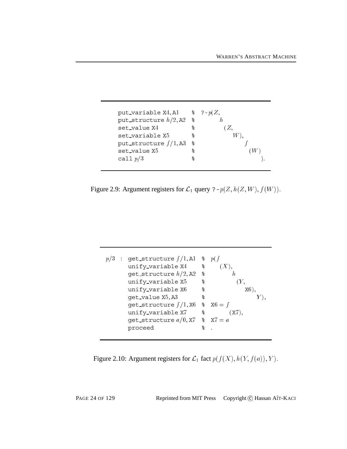| put_variable X4, A1      |    | $\epsilon$ ? - $p(Z,$ |
|--------------------------|----|-----------------------|
| put structure $h/2$ , A2 | ⊱  |                       |
| set_value X4             | °  |                       |
| set_variable X5          | °≈ |                       |
| put structure $f/1$ , A3 | °  |                       |
| set_value X5             | °  |                       |
| call $p/3$               | °  |                       |
|                          |    |                       |

Figure 2.9: Argument registers for  $\mathcal{L}_1$  query ? -  $p(Z, h(Z, W), f(W))$ .

| p/3 | : get_structure $f/1$ , Al $\textdegree$ |    |                                |
|-----|------------------------------------------|----|--------------------------------|
|     | unify_variable X4                        | ిశ | (X),                           |
|     | get structure $h/2$ , A2                 | °  | h.                             |
|     | unify_variable X5                        | ిన |                                |
|     | unify_variable X6                        | ిన | X6)                            |
|     | $qet_value X5, A3$                       | °  |                                |
|     | get_structure $f/1$ , X6                 |    | $\text{8} \quad \text{X6} = f$ |
|     | unify_variable X7                        | ిన | $\chi$ 7).                     |
|     | get_structure $a/0, x7$                  |    | $\sqrt{8}$ X7 = a              |
|     | proceed                                  | °  |                                |
|     |                                          |    |                                |

Figure 2.10: Argument registers for  $\mathcal{L}_1$  fact  $p(f(X), h(Y, f(a)), Y)$ .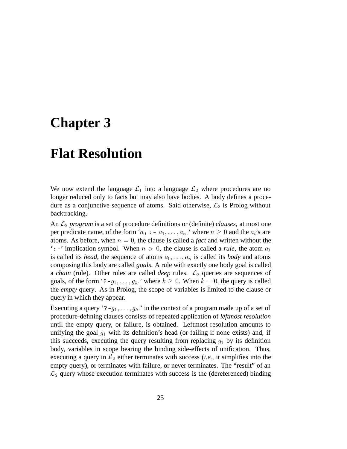# **Chapter 3**

# **Flat Resolution**

We now extend the language  $\mathcal{L}_1$  into a language  $\mathcal{L}_2$  where procedures are no longer reduced only to facts but may also have bodies. A body defines a procedure as a conjunctive sequence of atoms. Said otherwise,  $\mathcal{L}_2$  is Prolog without backtracking.

An  $\mathcal{L}_2$  program is a set of procedure definitions or (definite) *clauses*, at most one per predicate name, of the form ' $a_0 : -a_1, \ldots, a_n$ ' where  $n \geq 0$  and the  $a_i$ 's are atoms. As before, when  $n = 0$ , the clause is called a *fact* and written without the  $\cdot$ : -  $\cdot$  implication symbol. When  $n > 0$ , the clause is called a *rule*, the atom  $a_0$ is called its *head*, the sequence of atoms  $a_1, \ldots, a_n$  is called its *body* and atoms composing this body are called *goals*. A rule with exactly one body goal is called a *chain* (rule). Other rules are called *deep* rules.  $\mathcal{L}_2$  queries are sequences of goals, of the form '?- $g_1, \ldots, g_k$ ' where  $k \geq 0$ . When  $k = 0$ , the query is called the *empty* query. As in Prolog, the scope of variables is limited to the clause or query in which they appear.

Executing a query '? -  $g_1, \ldots, g_k$ .' in the context of a program made up of a set of procedure-defining clauses consists of repeated application of *leftmost resolution* until the empty query, or failure, is obtained. Leftmost resolution amounts to unifying the goal  $g_1$  with its definition's head (or failing if none exists) and, if this succeeds, executing the query resulting from replacing  $q_1$  by its definition body, variables in scope bearing the binding side-effects of unification. Thus, executing a query in  $\mathcal{L}_2$  either terminates with success (*i.e.*, it simplifies into the empty query), or terminates with failure, or never terminates. The "result" of an  $\mathcal{L}_2$  query whose execution terminates with success is the (dereferenced) binding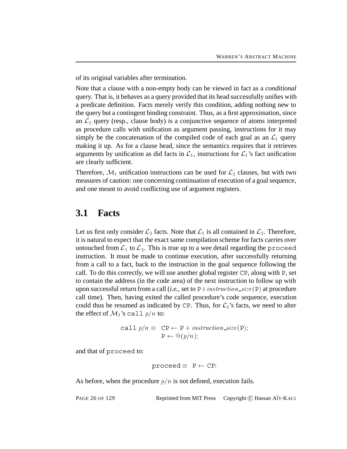of its original variables after termination.

Note that a clause with a non-empty body can be viewed in fact as a *conditional* query. That is, it behaves as a query provided that its head successfully unifies with a predicate definition. Facts merely verify this condition, adding nothing new to the query but a contingent binding constraint. Thus, as a first approximation, since an  $\mathcal{L}_2$  query (resp., clause body) is a conjunctive sequence of atoms interpreted as procedure calls with unification as argument passing, instructions for it may simply be the concatenation of the compiled code of each goal as an  $\mathcal{L}_1$  query making it up. As for a clause head, since the semantics requires that it retrieves arguments by unification as did facts in  $\mathcal{L}_1$ , instructions for  $\mathcal{L}_1$ 's fact unification are clearly sufficient.

Therefore,  $\mathcal{M}_1$  unification instructions can be used for  $\mathcal{L}_2$  clauses, but with two measures of caution: one concerning continuation of execution of a goal sequence, and one meant to avoid conflicting use of argument registers.

#### **3.1 Facts**

Let us first only consider  $\mathcal{L}_2$  facts. Note that  $\mathcal{L}_1$  is all contained in  $\mathcal{L}_2$ . Therefore, it is natural to expect that the exact same compilation scheme for facts carries over untouched from  $\mathcal{L}_1$  to  $\mathcal{L}_2$ . This is true up to a wee detail regarding the proceed instruction. It must be made to continue execution, after successfully returning from a call to a fact, back to the instruction in the goal sequence following the call. To do this correctly, we will use another global register CP, along with P, set to contain the address (in the code area) of the next instruction to follow up with upon successful return from a call (*i.e.*, set to  $P + instruction\_size(P)$  at procedure call time). Then, having exited the called procedure's code sequence, execution could thus be resumed as indicated by CP. Thus, for  $\mathcal{L}_2$ 's facts, we need to alter the effect of  $\mathcal{M}_1$ 's call  $p/n$  to:

$$
\text{call } p/n \equiv \text{CP} \leftarrow \text{P} + instruction\_size(\text{P});
$$

$$
\text{P} \leftarrow \text{Q}(p/n);
$$

and that of proceed to:

$$
\mathtt{proceed} \equiv \mathtt{P} \gets \mathtt{CP};
$$

As before, when the procedure  $p/n$  is not defined, execution fails.

PAGE 26 OF 129 Reprinted from MIT Press Copyright C Hassan AïT-KACI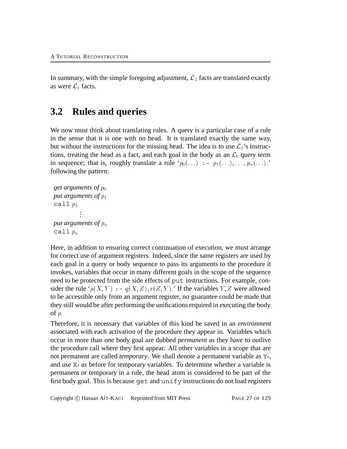In summary, with the simple foregoing adjustment,  $\mathcal{L}_2$  facts are translated exactly as were  $\mathcal{L}_1$  facts.

### **3.2 Rules and queries**

We now must think about translating rules. A query is a particular case of a rule in the sense that it is one with no head. It is translated exactly the same way, but without the instructions for the missing head. The idea is to use  $\mathcal{L}_1$ 's instructions, treating the head as a fact, and each goal in the body as an  $\mathcal{L}_1$  query term in sequence; that is, roughly translate a rule ' $p_0(\ldots)$ :  $p_n(\ldots)$ '',  $p_n(\ldots)$ '' following the pattern:

```
get arguments of p
put arguments of p
call p_1.
         .
         .
put arguments of p_ncall p_n
```
Here, in addition to ensuring correct continuation of execution, we must arrange for correct use of argument registers. Indeed, since the same registers are used by each goal in a query or body sequence to pass its arguments to the procedure it invokes, variables that occur in many different goals in the scope of the sequence need to be protected from the side effects of put instructions. For example, consider the rule ' $p(X, Y)$  : -  $q(X, Z), r(Z, Y)$ .' If the variables Y, Z were allowed to be accessible only from an argument register, no guarantee could be made that they still would be after performing the unifications required in executing the body of <sup>p</sup>.

Therefore, it is necessary that variables of this kind be saved in an *environment* associated with each activation of the procedure they appear in. Variables which occur in more than one body goal are dubbed *permanent* as they have to outlive the procedure call where they first appear. All other variables in a scope that are not permanent are called *temporary*. We shall denote a permanent variable as Yi, and use  $X_i$  as before for temporary variables. To determine whether a variable is permanent or temporary in a rule, the head atom is considered to be part of the first body goal. This is because get and unify instructions do not load registers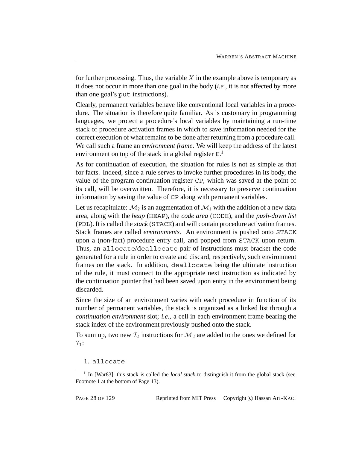for further processing. Thus, the variable  $X$  in the example above is temporary as it does not occur in more than one goal in the body (*i.e.*, it is not affected by more than one goal's put instructions).

Clearly, permanent variables behave like conventional local variables in a procedure. The situation is therefore quite familiar. As is customary in programming languages, we protect a procedure's local variables by maintaining a run-time stack of procedure activation frames in which to save information needed for the correct execution of what remains to be done after returning from a procedure call. We call such a frame an *environment frame*. We will keep the address of the latest environment on top of the stack in a global register  $E^1$ .

As for continuation of execution, the situation for rules is not as simple as that for facts. Indeed, since a rule serves to invoke further procedures in its body, the value of the program continuation register CP, which was saved at the point of its call, will be overwritten. Therefore, it is necessary to preserve continuation information by saving the value of CP along with permanent variables.

Let us recapitulate:  $\mathcal{M}_2$  is an augmentation of  $\mathcal{M}_1$  with the addition of a new data area, along with the *heap* (HEAP), the *code area* (CODE), and the *push-down list* (PDL). It is called the *stack* (STACK) and will contain procedure activation frames. Stack frames are called *environments*. An environment is pushed onto STACK upon a (non-fact) procedure entry call, and popped from STACK upon return. Thus, an allocate/deallocate pair of instructions must bracket the code generated for a rule in order to create and discard, respectively, such environment frames on the stack. In addition, deallocate being the ultimate instruction of the rule, it must connect to the appropriate next instruction as indicated by the continuation pointer that had been saved upon entry in the environment being discarded.

Since the size of an environment varies with each procedure in function of its number of permanent variables, the stack is organized as a linked list through a *continuation environment* slot; *i.e.*, a cell in each environment frame bearing the stack index of the environment previously pushed onto the stack.

To sum up, two new  $\mathcal{I}_2$  instructions for  $\mathcal{M}_2$  are added to the ones we defined for  $\mathcal{I}_1$ :

#### 1. allocate

<sup>1</sup> In [War83], this stack is called the *local stack* to distinguish it from the global stack (see Footnote 1 at the bottom of Page 13).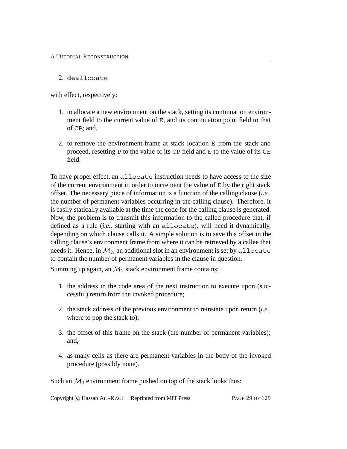#### 2. deallocate

with effect, respectively:

- 1. to allocate a new environment on the stack, setting its continuation environment field to the current value of E, and its continuation point field to that of CP; and,
- 2. to remove the environment frame at stack location E from the stack and proceed, resetting P to the value of its CP field and E to the value of its CE field.

To have proper effect, an allocate instruction needs to have access to the size of the current environment in order to increment the value of  $E$  by the right stack offset. The necessary piece of information is a function of the calling clause (*i.e.*, the number of permanent variables occurring in the calling clause). Therefore, it is easily statically available at the time the code for the calling clause is generated. Now, the problem is to transmit this information to the called procedure that, if defined as a rule (*i.e.*, starting with an allocate), will need it dynamically, depending on which clause calls it. A simple solution is to save this offset in the calling clause's environment frame from where it can be retrieved by a callee that needs it. Hence, in  $\mathcal{M}_2$ , an additional slot in an environment is set by allocate to contain the number of permanent variables in the clause in question.

Summing up again, an  $\mathcal{M}_2$  stack environment frame contains:

- 1. the address in the code area of the next instruction to execute upon (successful) return from the invoked procedure;
- 2. the stack address of the previous environment to reinstate upon return (*i.e.*, where to pop the stack to);
- 3. the offset of this frame on the stack (the number of permanent variables); and,
- 4. as many cells as there are permanent variables in the body of the invoked procedure (possibly none).

Such an  $\mathcal{M}_2$  environment frame pushed on top of the stack looks thus:

Copyright © Hassan AïT-KACI Reprinted from MIT Press PAGE 29 OF 129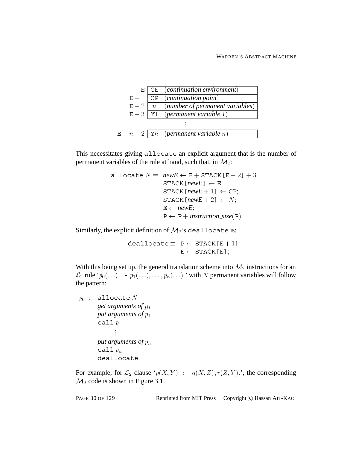| ΕI             | CE. | ( <i>continuation environment</i> )     |
|----------------|-----|-----------------------------------------|
| $E + 1$ CP     |     | <i>(continuation point)</i>             |
| $E + 2 \mid n$ |     | (number of permanent variables)         |
|                |     | $E + 3   Y1$ (permanent variable 1)     |
|                |     |                                         |
|                |     | $E + n + 2   Yn$ (permanent variable n) |

This necessitates giving allocate an explicit argument that is the number of permanent variables of the rule at hand, such that, in  $\mathcal{M}_2$ :

$$
\text{allocate } N \equiv \text{ } newE \leftarrow E + \text{STACK} [E + 2] + 3; \\
 \text{STACK} [\text{ } newE] \leftarrow E; \\
 \text{STACK} [\text{ } newE + 1] \leftarrow \text{CP}; \\
 \text{STACK} [\text{ } newE + 2] \leftarrow N; \\
 \text{ } E \leftarrow \text{ } newE; \\
 \text{ } P \leftarrow P + \text{ } instruction\_size(P);
$$

Similarly, the explicit definition of  $\mathcal{M}_2$ 's deallocate is:

$$
\texttt{deallocate} \equiv P \leftarrow \texttt{STACK}[E + 1];
$$
\n
$$
E \leftarrow \texttt{STACK}[E];
$$

With this being set up, the general translation scheme into  $\mathcal{M}_2$  instructions for an  $\mathcal{L}_2$  rule ' $p_0(\ldots)$  : -  $p_1(\ldots), \ldots, p_n(\ldots)$ ' with N permanent variables will follow the pattern:

```
p_0 : allocate N
      get arguments of p
      put arguments of p
      call p_1.
            .
            .
      put arguments of p_ncall p_ndeallocate
```
For example, for  $\mathcal{L}_2$  clause ' $p(X, Y)$  :-  $q(X, Z), r(Z, Y)$ .', the corresponding  $\mathcal{M}_2$  code is shown in Figure 3.1.

PAGE 30 OF 129 Reprinted from MIT Press Copyright © Hassan AÏT-KACI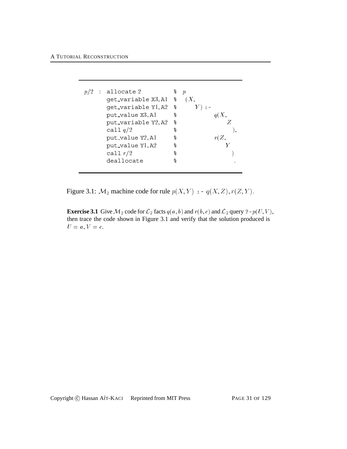$$
p/2: \text{ allocate 2} \qquad \text{* } p
$$
\n
$$
\text{get-variable X3, A1} \qquad \text{* } (X,
$$
\n
$$
\text{get-variable Y1, A2} \qquad \text{* } Y) :-
$$
\n
$$
\text{put_value X3, A1} \qquad \text{* } q(X,
$$
\n
$$
\text{put-variable Y2, A2} \qquad \text{* } Z
$$
\n
$$
\text{call } q/2 \qquad \text{* } z
$$
\n
$$
\text{put_value Y2, A1} \qquad \text{* } r(Z,
$$
\n
$$
\text{put_value Y1, A2} \qquad \text{* } Y
$$
\n
$$
\text{call } r/2 \qquad \text{* } z
$$
\n
$$
\text{calculate } \qquad \text{* } z
$$

Figure 3.1:  $\mathcal{M}_2$  machine code for rule  $p(X, Y)$  : -  $q(X, Z), r(Z, Y)$ .

**Exercise 3.1** Give  $\mathcal{M}_2$  code for  $\mathcal{L}_2$  facts  $q(a, b)$  and  $r(b, c)$  and  $\mathcal{L}_2$  query ?- $p(U, V)$ , then trace the code shown in Figure 3.1 and verify that the solution produced is  $U = a, V = c.$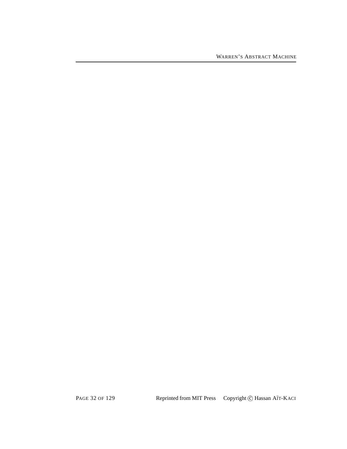WARREN'S ABSTRACT MACHINE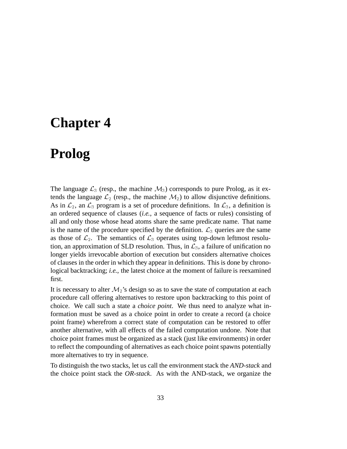# **Chapter 4**

# **Prolog**

The language  $\mathcal{L}_3$  (resp., the machine  $\mathcal{M}_3$ ) corresponds to pure Prolog, as it extends the language  $\mathcal{L}_2$  (resp., the machine  $\mathcal{M}_2$ ) to allow disjunctive definitions. As in  $\mathcal{L}_2$ , an  $\mathcal{L}_3$  program is a set of procedure definitions. In  $\mathcal{L}_3$ , a definition is an ordered sequence of clauses (*i.e.*, a sequence of facts or rules) consisting of all and only those whose head atoms share the same predicate name. That name is the name of the procedure specified by the definition.  $\mathcal{L}_3$  queries are the same as those of  $\mathcal{L}_2$ . The semantics of  $\mathcal{L}_3$  operates using top-down leftmost resolution, an approximation of SLD resolution. Thus, in  $\mathcal{L}_3$ , a failure of unification no longer yields irrevocable abortion of execution but considers alternative choices of clauses in the order in which they appear in definitions. This is done by chronological backtracking; *i.e.*, the latest choice at the moment of failure is reexamined first.

It is necessary to alter  $M_2$ 's design so as to save the state of computation at each procedure call offering alternatives to restore upon backtracking to this point of choice. We call such a state a *choice point*. We thus need to analyze what information must be saved as a choice point in order to create a record (a choice point frame) wherefrom a correct state of computation can be restored to offer another alternative, with all effects of the failed computation undone. Note that choice point frames must be organized as a stack (just like environments) in order to reflect the compounding of alternatives as each choice point spawns potentially more alternatives to try in sequence.

To distinguish the two stacks, let us call the environment stack the *AND-stack* and the choice point stack the *OR-stack*. As with the AND-stack, we organize the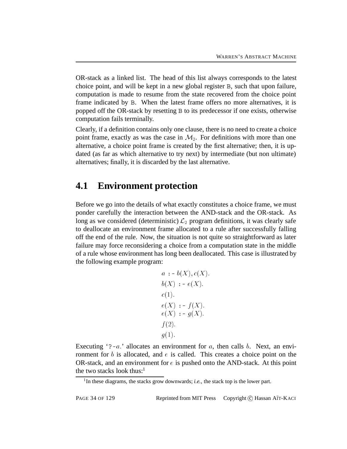OR-stack as a linked list. The head of this list always corresponds to the latest choice point, and will be kept in a new global register B, such that upon failure, computation is made to resume from the state recovered from the choice point frame indicated by B. When the latest frame offers no more alternatives, it is popped off the OR-stack by resetting B to its predecessor if one exists, otherwise computation fails terminally.

Clearly, if a definition contains only one clause, there is no need to create a choice point frame, exactly as was the case in  $\mathcal{M}_2$ . For definitions with more than one alternative, a choice point frame is created by the first alternative; then, it is updated (as far as which alternative to try next) by intermediate (but non ultimate) alternatives; finally, it is discarded by the last alternative.

### **4.1 Environment protection**

Before we go into the details of what exactly constitutes a choice frame, we must ponder carefully the interaction between the AND-stack and the OR-stack. As long as we considered (deterministic)  $\mathcal{L}_2$  program definitions, it was clearly safe to deallocate an environment frame allocated to a rule after successfully falling off the end of the rule. Now, the situation is not quite so straightforward as later failure may force reconsidering a choice from a computation state in the middle of a rule whose environment has long been deallocated. This case is illustrated by the following example program:

$$
a : = b(X), c(X).
$$
  
\n
$$
b(X) : = e(X).
$$
  
\n
$$
c(1).
$$
  
\n
$$
e(X) : = f(X).
$$
  
\n
$$
e(X) : = g(X).
$$
  
\n
$$
f(2).
$$
  
\n
$$
g(1).
$$

Executing '?-a.' allocates an environment for a, then calls b. Next, an environment for  $b$  is allocated, and  $e$  is called. This creates a choice point on the OR-stack, and an environment for  $e$  is pushed onto the AND-stack. At this point the two stacks look thus: $<sup>1</sup>$ </sup>

<sup>&</sup>lt;sup>1</sup>In these diagrams, the stacks grow downwards; *i.e.*, the stack top is the lower part.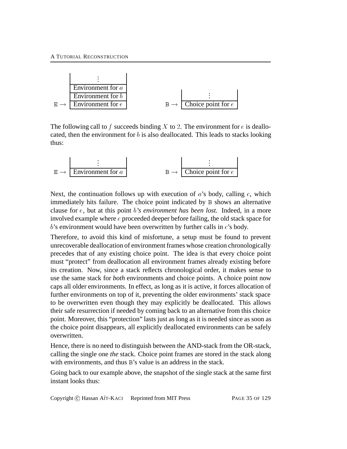| Environment for $a$ |                 |                      |  |
|---------------------|-----------------|----------------------|--|
| Environment for $b$ |                 |                      |  |
| Environment for $e$ | $B \rightarrow$ | Choice point for $e$ |  |

The following call to f succeeds binding X to 2. The environment for  $e$  is deallocated, then the environment for  $b$  is also deallocated. This leads to stacks looking thus:

$$
E \rightarrow \boxed{\text{Environment for } a}
$$
  

$$
B \rightarrow \boxed{\text{Choice point for } e}
$$

Next, the continuation follows up with execution of  $a$ 's body, calling c, which immediately hits failure. The choice point indicated by B shows an alternative clause for <sup>e</sup>, but at this point <sup>b</sup>*'s environment has been lost.* Indeed, in a more involved example where  $c$  proceeded deeper before failing, the old stack space for  $b$ 's environment would have been overwritten by further calls in  $c$ 's body.

Therefore, to avoid this kind of misfortune, a setup must be found to prevent unrecoverable deallocation of environment frames whose creation chronologically precedes that of any existing choice point. The idea is that every choice point must "protect" from deallocation all environment frames already existing before its creation. Now, since a stack reflects chronological order, it makes sense to use the same stack for *both* environments and choice points. A choice point now caps all older environments. In effect, as long as it is active, it forces allocation of further environments on top of it, preventing the older environments' stack space to be overwritten even though they may explicitly be deallocated. This allows their safe resurrection if needed by coming back to an alternative from this choice point. Moreover, this "protection" lasts just as long as it is needed since as soon as the choice point disappears, all explicitly deallocated environments can be safely overwritten.

Hence, there is no need to distinguish between the AND-stack from the OR-stack, calling the single one *the* stack. Choice point frames are stored in the stack along with environments, and thus B's value is an address in the stack.

Going back to our example above, the snapshot of the single stack at the same first instant looks thus: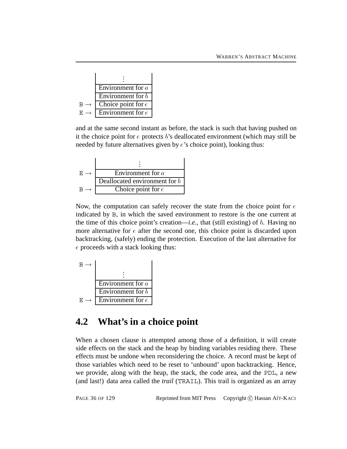| Environment for a    |  |
|----------------------|--|
| Environment for b    |  |
| Choice point for $e$ |  |
| Environment for $e$  |  |

and at the same second instant as before, the stack is such that having pushed on it the choice point for  $e$  protects  $b$ 's deallocated environment (which may still be needed by future alternatives given by  $e$ 's choice point), looking thus:

| Environment for a             |  |
|-------------------------------|--|
| Deallocated environment for b |  |
| Choice point for $e$          |  |

Now, the computation can safely recover the state from the choice point for  $\epsilon$ indicated by B, in which the saved environment to restore is the one current at the time of this choice point's creation—*i.e.*, that (still existing) of <sup>b</sup>. Having no more alternative for  $\epsilon$  after the second one, this choice point is discarded upon backtracking, (safely) ending the protection. Execution of the last alternative for  $e$  proceeds with a stack looking thus:

 $B \rightarrow$ . . . Environment for <sup>a</sup> Environment for <sup>b</sup>  $E \rightarrow$  Environment for e

## **4.2 What's in a choice point**

When a chosen clause is attempted among those of a definition, it will create side effects on the stack and the heap by binding variables residing there. These effects must be undone when reconsidering the choice. A record must be kept of those variables which need to be reset to 'unbound' upon backtracking. Hence, we provide, along with the heap, the stack, the code area, and the PDL, a new (and last!) data area called the *trail* (TRAIL). This trail is organized as an array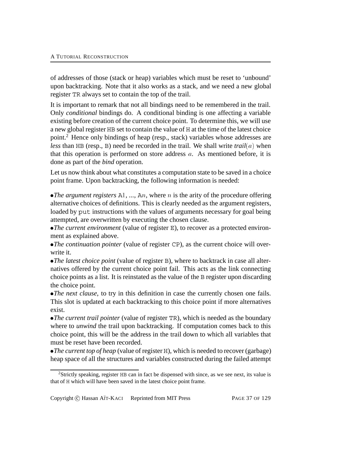of addresses of those (stack or heap) variables which must be reset to 'unbound' upon backtracking. Note that it also works as a stack, and we need a new global register TR always set to contain the top of the trail.

It is important to remark that not all bindings need to be remembered in the trail. Only *conditional* bindings do. A conditional binding is one affecting a variable existing before creation of the current choice point. To determine this, we will use a new global register HB set to contain the value of H at the time of the latest choice point.2 Hence only bindings of heap (resp., stack) variables whose addresses are *less* than HB (resp., B) need be recorded in the trail. We shall write *trail* $(a)$  when that this operation is performed on store address <sup>a</sup>. As mentioned before, it is done as part of the *bind* operation.

Let us now think about what constitutes a computation state to be saved in a choice point frame. Upon backtracking, the following information is needed:

 $\bullet$ *The argument registers* A1, ..., An, where n is the arity of the procedure offering alternative choices of definitions. This is clearly needed as the argument registers, loaded by put instructions with the values of arguments necessary for goal being attempted, are overwritten by executing the chosen clause.

*The current environment* (value of register E), to recover as a protected environment as explained above.

*The continuation pointer* (value of register CP), as the current choice will overwrite it.

*The latest choice point* (value of register B), where to backtrack in case all alternatives offered by the current choice point fail. This acts as the link connecting choice points as a list. It is reinstated as the value of the B register upon discarding the choice point.

*The next clause*, to try in this definition in case the currently chosen one fails. This slot is updated at each backtracking to this choice point if more alternatives exist.

*The current trail pointer* (value of register TR), which is needed as the boundary where to *unwind* the trail upon backtracking. If computation comes back to this choice point, this will be the address in the trail down to which all variables that must be reset have been recorded.

*The current top of heap* (value of register H), which is needed to recover (garbage) heap space of all the structures and variables constructed during the failed attempt

<sup>2</sup>Strictly speaking, register HB can in fact be dispensed with since, as we see next, its value is that of H which will have been saved in the latest choice point frame.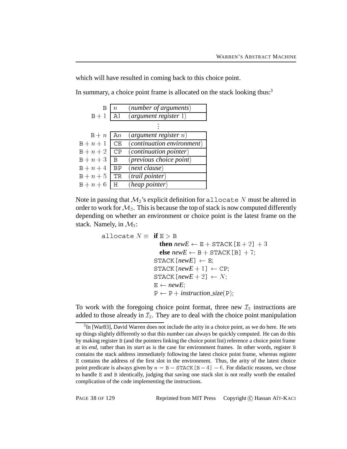which will have resulted in coming back to this choice point.

In summary, a choice point frame is allocated on the stack looking thus: $3$ 

| в       | $\boldsymbol{n}$ | (number of arguments)                |
|---------|------------------|--------------------------------------|
| $B + 1$ | A1               | $(\text{argument register 1})$       |
|         |                  |                                      |
| $B + n$ | An               | $(\textit{argument register } n)$    |
| $B+n+1$ | СE               | <i>(continuation environment)</i>    |
| $B+n+2$ | CP               | $\overline{(continuation\ pointer)}$ |
| $B+n+3$ | B.               | (previous choice point)              |
| $B+n+4$ | ΒP               | (next clause)                        |
| $B+n+5$ | TR               | $(train\,pointer)$                   |
| $B+n+6$ |                  | (heap pointer)                       |

Note in passing that  $\mathcal{M}_2$ 's explicit definition for <code>allocate</code>  $N$  must be altered in order to work for  $\mathcal{M}_3$ . This is because the top of stack is now computed differently depending on whether an environment or choice point is the latest frame on the stack. Namely, in  $\mathcal{M}_3$ :

```
allocate N \equiv \textbf{if } E > Bthen newE \leftarrow E + \text{STACK}[E + 2] + 3else newE \leftarrow B + \text{STACK}[B] + 7;\texttt{STACK}[newE] \leftarrow \texttt{E};\texttt{STACK}[newE + 1] \leftarrow \texttt{CP};\texttt{STACK}[newE + 2] \leftarrow N;E \leftarrow newE;P \leftarrow P + instruction\_size(P);
```
To work with the foregoing choice point format, three new  $\mathcal{I}_3$  instructions are added to those already in  $\mathcal{I}_2$ . They are to deal with the choice point manipulation

 $3$ In [War83], David Warren does not include the arity in a choice point, as we do here. He sets up things slightly differently so that this number can always be quickly computed. He can do this by making register B (and the pointers linking the choice point list) reference a choice point frame at its *end*, rather than its *start* as is the case for environment frames. In other words, register B contains the stack address immediately following the latest choice point frame, whereas register E contains the address of the first slot in the environment. Thus, the arity of the latest choice point predicate is always given by  $n = B - STACK[B - 4] - 6$ . For didactic reasons, we chose to handle E and B identically, judging that saving one stack slot is not really worth the entailed complication of the code implementing the instructions.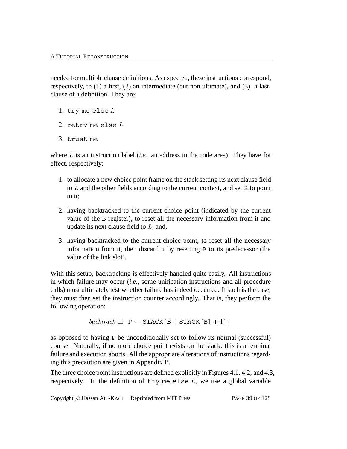needed for multiple clause definitions. As expected, these instructions correspond, respectively, to (1) a first, (2) an intermediate (but non ultimate), and (3) a last, clause of a definition. They are:

- 1. try me else  $L$
- 2. retry me else  $L$
- 3. trust me

where  $L$  is an instruction label *(i.e., an address in the code area)*. They have for effect, respectively:

- 1. to allocate a new choice point frame on the stack setting its next clause field to  $L$  and the other fields according to the current context, and set  $B$  to point to it;
- 2. having backtracked to the current choice point (indicated by the current value of the B register), to reset all the necessary information from it and update its next clause field to  $L$ ; and,
- 3. having backtracked to the current choice point, to reset all the necessary information from it, then discard it by resetting B to its predecessor (the value of the link slot).

With this setup, backtracking is effectively handled quite easily. All instructions in which failure may occur (*i.e.*, some unification instructions and all procedure calls) must ultimately test whether failure has indeed occurred. If such is the case, they must then set the instruction counter accordingly. That is, they perform the following operation:

 $\mathit{backtrack} \equiv \mathsf{P} \leftarrow \texttt{STACK}[\mathsf{B} + \texttt{STACK}[\mathsf{B}] + 4];$ 

as opposed to having P be unconditionally set to follow its normal (successful) course. Naturally, if no more choice point exists on the stack, this is a terminal failure and execution aborts. All the appropriate alterations of instructions regarding this precaution are given in Appendix B.

The three choice point instructions are defined explicitly in Figures 4.1, 4.2, and 4.3, respectively. In the definition of  $try-me\_else L$ , we use a global variable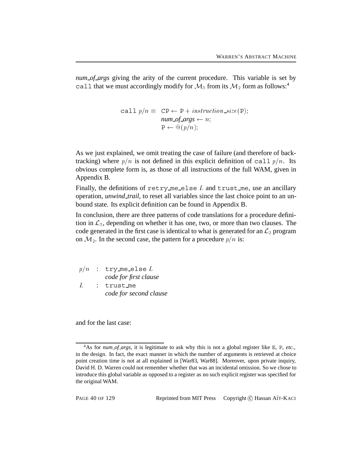*num of args* giving the arity of the current procedure. This variable is set by call that we must accordingly modify for  $\mathcal{M}_3$  from its  $\mathcal{M}_2$  form as follows:<sup>4</sup>

$$
\text{call } p/n \equiv \text{CP} \leftarrow P + instruction\_size(P);
$$
\n
$$
\text{num\_of\_args} \leftarrow n;
$$
\n
$$
P \leftarrow \textcircled{p}/n);
$$

As we just explained, we omit treating the case of failure (and therefore of backtracking) where  $p/n$  is not defined in this explicit definition of call  $p/n$ . Its obvious complete form is, as those of all instructions of the full WAM, given in Appendix B.

Finally, the definitions of retry me else  $L$  and trust me, use an ancillary operation, *unwind trail*, to reset all variables since the last choice point to an unbound state. Its explicit definition can be found in Appendix B.

In conclusion, there are three patterns of code translations for a procedure definition in  $\mathcal{L}_3$ , depending on whether it has one, two, or more than two clauses. The code generated in the first case is identical to what is generated for an  $\mathcal{L}_2$  program on  $\mathcal{M}_2$ . In the second case, the pattern for a procedure  $p/n$  is:

|     | $p/n$ : try_me_else L  |
|-----|------------------------|
|     | code for first clause  |
| -1, | : trust_me             |
|     | code for second clause |

and for the last case:

<sup>4</sup>As for *num of args*, it is legitimate to ask why this is not a global register like E, P, *etc.*, in the design. In fact, the exact manner in which the number of arguments is retrieved at choice point creation time is not at all explained in [War83, War88]. Moreover, upon private inquiry, David H. D. Warren could not remember whether that was an incidental omission. So we chose to introduce this global variable as opposed to a register as no such explicit register was specified for the original WAM.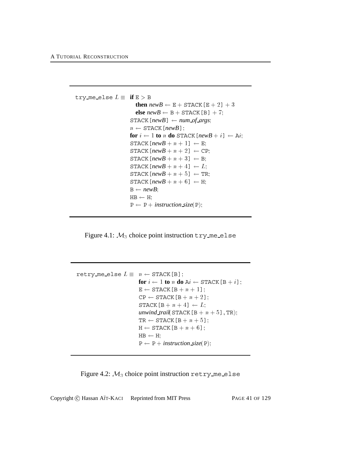```
try me else L \equiv \mathbf{if} E > Bthen newB \leftarrow E + \text{STACK}[E + 2] + 3else newB \leftarrow B + \text{STACK}[B] + 7;
                            STACK[newB] \leftarrow num_of(args;n \leftarrow \texttt{STACK}\left[\textit{newB}\right];for i \leftarrow 1 to n do STACK [newB + i] \leftarrow Ai;
                            STACK[newB + n + 1] \leftarrow E;\texttt{STACK}[newB + n + 2] \leftarrow \texttt{CP};\text{STACK}[newB + n + 3] \leftarrow B;\text{STACK}[newB + n + 4] \leftarrow L;\text{STACK}[newB + n + 5] \leftarrow \text{TR};STACK [newB + n + 6] \leftarrow H;
                            B \leftarrow newB;
                            HB \leftarrow HP \leftarrow P + instruction size(P);
```
Figure 4.1:  $M_3$  choice point instruction try me else

```
retry me else L \equiv n \leftarrow STACK[B];
                              for i \leftarrow 1 to n do Ai \leftarrow STACK[B + i];
                              E \leftarrow STACK [B + n + 1];
                              CP \leftarrow STACK [B + n + 2];
                              STACK [B + n + 4] \leftarrow L;unwind_trail(\text{STACK}[\text{B} + n + 5], \text{TR});
                              TR \leftarrow STACK [B + n + 5];
                              H \leftarrow STACK [B + n + 6];
                              HB \leftarrow H;P \leftarrow P + instruction_size(P);
```
Figure 4.2:  $M_3$  choice point instruction retry me else

Copyright © Hassan AïT-KACI Reprinted from MIT Press PAGE 41 OF 129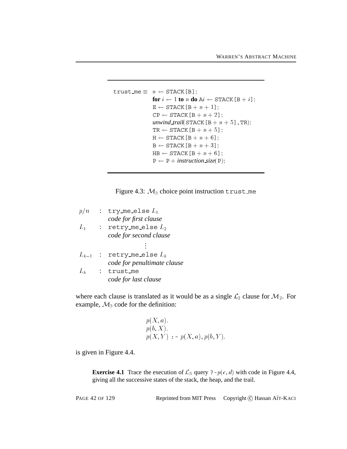```
trust me \equiv n \leftarrow STACK[B];
                   for i \leftarrow 1 to n do Ai \leftarrow STACK[B + i];
                    E \leftarrow STACK [B + n + 1];
                    \texttt{CP} \leftarrow \texttt{STACK} \left[ \texttt{B} + n + 2 \right];unwind trail(\text{STACK}[B + n + 5], TR);
                    TR \leftarrow STACK [B + n + 5];
                    H \leftarrow STACK [B + n + 6];
                    B \leftarrow STACK [B + n + 3];
                    HB \leftarrow STACK [B + n + 6];
                    P \leftarrow P + instruction size(P);
```
Figure 4.3:  $M_3$  choice point instruction trust me

| p/n       | $\mathcal{L}$ | try_me_else $L_1$           |
|-----------|---------------|-----------------------------|
|           |               | code for first clause       |
| $L_1$     |               | retry_me_else $L_2$         |
|           |               | code for second clause      |
|           |               |                             |
| $L_{k-1}$ | $\mathcal{L}$ | retry_me_else $L_k$         |
|           |               | code for penultimate clause |
| $L_k$     |               | trust_me                    |
|           |               | code for last clause        |

where each clause is translated as it would be as a single  $\mathcal{L}_2$  clause for  $\mathcal{M}_2$ . For example,  $\mathcal{M}_3$  code for the definition:

$$
p(X, a)
$$
.  
\n $p(b, X)$ .  
\n $p(X, Y) := p(X, a), p(b, Y)$ .

is given in Figure 4.4.

**Exercise 4.1** Trace the execution of  $\mathcal{L}_3$  query ?-p(c, d) with code in Figure 4.4, giving all the successive states of the stack, the heap, and the trail.

PAGE 42 OF 129 Reprinted from MIT Press Copyright © Hassan AïT-KACI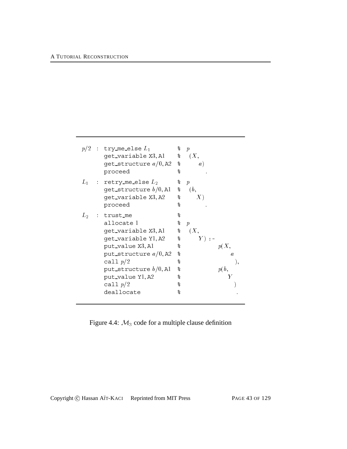| p/2            | : try_me_else $L_1$<br>get_variable X3, A1<br>get_structure $a/0, A2$<br>proceed                                                                                                                               | ႜ<br>နွ<br>%<br>ిన                                         | $\boldsymbol{p}$<br>(X,<br>a)                            |
|----------------|----------------------------------------------------------------------------------------------------------------------------------------------------------------------------------------------------------------|------------------------------------------------------------|----------------------------------------------------------|
| $L_1$          | : retry_me_else $\,L_2$<br>get_structure $b/0,$ Al<br>get variable X3, A2<br>proceed                                                                                                                           | ႜ<br>ႜၟ<br>%<br>ిశ                                         | $\boldsymbol{p}$<br>(b,<br>X)                            |
| L <sub>2</sub> | : trust me<br>allocate 1<br>get_variable X3, A1<br>get variable Y1, A2<br>put_value X3, A1<br>put_structure $a/0, A2$<br>call $p/2$<br>put_structure $b/0,$ Al<br>put_value Y1, A2<br>call $p/2$<br>deallocate | န္<br>%<br>နွ<br>%<br>ి<br>ిం<br>န္<br>န္<br>ి<br>န္<br>ిక | $\boldsymbol{p}$<br>(X,<br>$Y)$ : -<br>p(X,<br>a<br>p(b, |

Figure 4.4:  $\mathcal{M}_3$  code for a multiple clause definition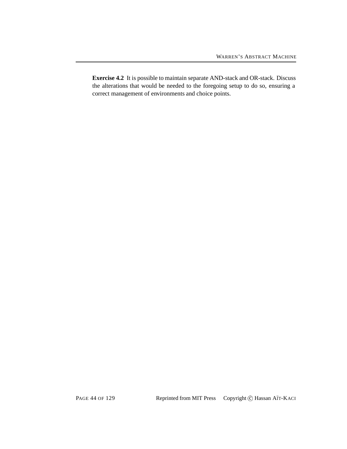**Exercise 4.2** It is possible to maintain separate AND-stack and OR-stack. Discuss the alterations that would be needed to the foregoing setup to do so, ensuring a correct management of environments and choice points.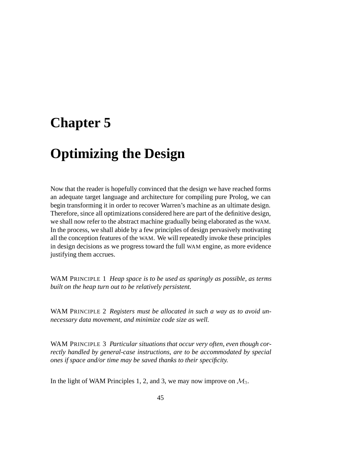# **Chapter 5**

# **Optimizing the Design**

Now that the reader is hopefully convinced that the design we have reached forms an adequate target language and architecture for compiling pure Prolog, we can begin transforming it in order to recover Warren's machine as an ultimate design. Therefore, since all optimizations considered here are part of the definitive design, we shall now refer to the abstract machine gradually being elaborated as the WAM. In the process, we shall abide by a few principles of design pervasively motivating all the conception features of the WAM. We will repeatedly invoke these principles in design decisions as we progress toward the full WAM engine, as more evidence justifying them accrues.

WAM PRINCIPLE 1 *Heap space is to be used as sparingly as possible, as terms built on the heap turn out to be relatively persistent.*

WAM PRINCIPLE 2 *Registers must be allocated in such a way as to avoid unnecessary data movement, and minimize code size as well.*

WAM PRINCIPLE 3 *Particular situations that occur very often, even though correctly handled by general-case instructions, are to be accommodated by special ones if space and/or time may be saved thanks to their specificity.*

In the light of WAM Principles 1, 2, and 3, we may now improve on  $\mathcal{M}_3$ .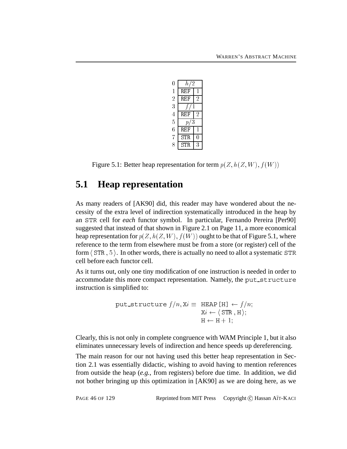| 0              | h/2    |    |  |
|----------------|--------|----|--|
| 1              | REF    | 1  |  |
| 2              | REF    | 2  |  |
| 3              | 1      |    |  |
| $\overline{4}$ | REF    | 2  |  |
| 5              | 3<br>р |    |  |
| 6              | REF    | 1  |  |
| 7              | STR    | IJ |  |
|                | STR    | 3  |  |

Figure 5.1: Better heap representation for term  $p(Z, h(Z, W), f(W))$ 

### **5.1 Heap representation**

As many readers of [AK90] did, this reader may have wondered about the necessity of the extra level of indirection systematically introduced in the heap by an STR cell for *each* functor symbol. In particular, Fernando Pereira [Per90] suggested that instead of that shown in Figure 2.1 on Page 11, a more economical heap representation for  $p(Z, h(Z, W), f(W))$  ought to be that of Figure 5.1, where reference to the term from elsewhere must be from a store (or register) cell of the form  $\langle$  STR,  $5 \rangle$ . In other words, there is actually no need to allot a systematic STR cell before each functor cell.

As it turns out, only one tiny modification of one instruction is needed in order to accommodate this more compact representation. Namely, the put\_structure instruction is simplified to:

put\_structure 
$$
f/n, Xi \equiv
$$
 HEAD [H]  $\leftarrow$   $f/n$ ;  
 $Xi \leftarrow \langle$  STR, H $\rangle$ ;  
 $H \leftarrow H + 1$ ;

Clearly, this is not only in complete congruence with WAM Principle 1, but it also eliminates unnecessary levels of indirection and hence speeds up dereferencing.

The main reason for our not having used this better heap representation in Section 2.1 was essentially didactic, wishing to avoid having to mention references from outside the heap (*e.g.*, from registers) before due time. In addition, we did not bother bringing up this optimization in [AK90] as we are doing here, as we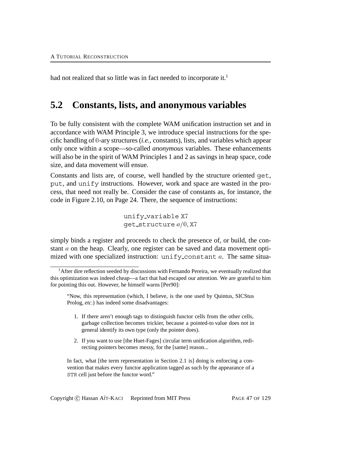had not realized that so little was in fact needed to incorporate it.<sup>1</sup>

### **5.2 Constants, lists, and anonymous variables**

To be fully consistent with the complete WAM unification instruction set and in accordance with WAM Principle 3, we introduce special instructions for the specific handling of 0-ary structures *(i.e., constants)*, lists, and variables which appear only once within a scope—so-called *anonymous* variables. These enhancements will also be in the spirit of WAM Principles 1 and 2 as savings in heap space, code size, and data movement will ensue.

Constants and lists are, of course, well handled by the structure oriented get, put, and unify instructions. However, work and space are wasted in the process, that need not really be. Consider the case of constants as, for instance, the code in Figure 2.10, on Page 24. There, the sequence of instructions:

> unify variable X get\_structure  $a/0, \mathrm{X}7$

simply binds a register and proceeds to check the presence of, or build, the constant <sup>a</sup> on the heap. Clearly, one register can be saved and data movement optimized with one specialized instruction:  $unify_{constant} a$ . The same situa-

- 1. If there aren't enough tags to distinguish functor cells from the other cells, garbage collection becomes trickier, because a pointed-to value does not in general identify its own type (only the pointer does).
- 2. If you want to use [the Huet-Fages] circular term unification algorithm, redirecting pointers becomes messy, for the [same] reason...

In fact, what [the term representation in Section 2.1 is] doing is enforcing a convention that makes every functor application tagged as such by the appearance of a STR cell just before the functor word."

<sup>&</sup>lt;sup>1</sup> After dire reflection seeded by discussions with Fernando Pereira, we eventually realized that this optimization was indeed cheap—a fact that had escaped our attention. We are grateful to him for pointing this out. However, he himself warns [Per90]:

<sup>&</sup>quot;Now, this representation (which, I believe, is the one used by Quintus, SICStus Prolog, *etc.*) has indeed some disadvantages: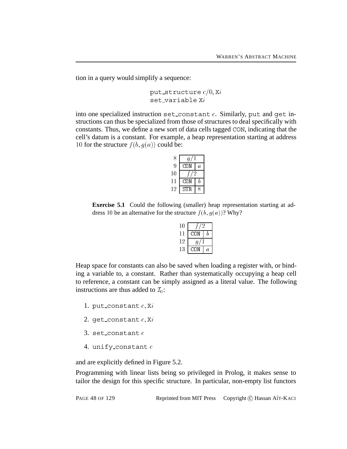tion in a query would simplify a sequence:

```
put_structure c/0, Xiset variable X_i
```
into one specialized instruction set constant  $c$ . Similarly, put and get instructions can thus be specialized from those of structures to deal specifically with constants. Thus, we define a new sort of data cells tagged CON, indicating that the cell's datum is a constant. For example, a heap representation starting at address 10 for the structure  $f(b, g(a))$  could be:

| 8  | $\mathfrak{g}$ |   |  |
|----|----------------|---|--|
| 9  | CON<br>а       |   |  |
| 10 |                |   |  |
| 11 | CON            | h |  |
| 12 | STR            |   |  |

**Exercise 5.1** Could the following (smaller) heap representation starting at address 10 be an alternative for the structure  $f(b, q(a))$ ? Why?

| 10      |                  |    |  |
|---------|------------------|----|--|
| $\perp$ | CON              |    |  |
| 12      | $\boldsymbol{q}$ |    |  |
| 13      | CO <sub>N</sub>  | a. |  |

Heap space for constants can also be saved when loading a register with, or binding a variable to, a constant. Rather than systematically occupying a heap cell to reference, a constant can be simply assigned as a literal value. The following instructions are thus added to  $\mathcal{I}_0$ :

- 1. put constant  $c$ ,  $Xi$
- 2. get constant  $c$ ,  $Xi$
- 3. set\_constant  $c$
- 4. unify constant  $c$

and are explicitly defined in Figure 5.2.

Programming with linear lists being so privileged in Prolog, it makes sense to tailor the design for this specific structure. In particular, non-empty list functors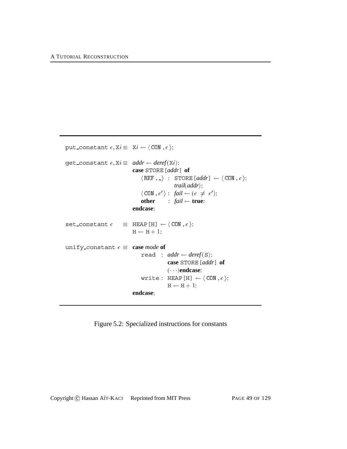```
put constant c, Xi \equiv Xi \leftarrow \langle CON, c \rangle;get_constant c, Xi \equiv addr \leftarrow deref(Xi);
                                 case STORE[addr] of
                                      \langle REF , \_ \rangle : STORE [addr] \leftarrow \langle CON , c \rangle;
                                                      trailaddr
                                      \langle CON ,c' \rangle : \mathit{fail} \leftarrow (c \; \neq \; c') ;other : fail \leftarrow true;endcase
set_{constant} c = HEAP[H] \leftarrow \langle CON , c \rangle;
                                 H \leftarrow H + 1;
unify_constant c \equiv \csc{case} \text{ mode of}read : addr \leftarrow deref(S);case STORE[addr] of
                                                   endcase
                                      write: HEAP[H] \leftarrow (CON, c);
                                                   H \leftarrow H + 1;
                                  endcase
```
Figure 5.2: Specialized instructions for constants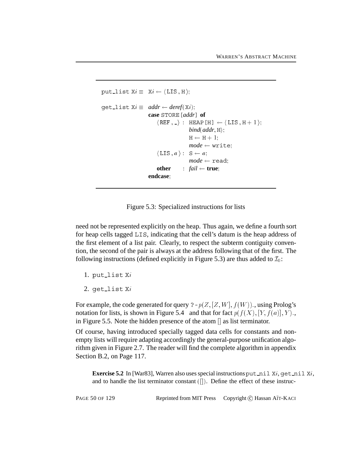```
put list Xi \equiv X_i \leftarrow \langle \text{LIS}, \text{H} \rangle;\text{get\_list } X_i \equiv \text{addr} \leftarrow \text{derf}(X_i);case STORE[addr] of
                                 \langle REF , \_ : HEAP [H] \leftarrow \langle LIS , H + 1 \rangle;
                                                   bind(addr, H);
                                                   H \leftarrow H + 1;
                                                   mode \leftarrow \text{write};
                                 \langle LIS , a \rangle : S \leftarrow a;
                                                   mode \leftarrow \text{read};
                                other 
                           endcase
```
Figure 5.3: Specialized instructions for lists

need not be represented explicitly on the heap. Thus again, we define a fourth sort for heap cells tagged LIS, indicating that the cell's datum is the heap address of the first element of a list pair. Clearly, to respect the subterm contiguity convention, the second of the pair is always at the address following that of the first. The following instructions (defined explicitly in Figure 5.3) are thus added to  $\mathcal{I}_0$ :

- 1. put list  $X_i$
- 2. get list X<sup>i</sup>

For example, the code generated for query ?  $-p(Z, [Z, W], f(W))$ ., using Prolog's notation for lists, is shown in Figure 5.4 and that for fact  $p(f(X), [Y, f(a)], Y)$ ., in Figure 5.5. Note the hidden presence of the atom  $[]$  as list terminator.

Of course, having introduced specially tagged data cells for constants and nonempty lists will require adapting accordingly the general-purpose unification algorithm given in Figure 2.7. The reader will find the complete algorithm in appendix Section B.2, on Page 117.

**Exercise 5.2** In [War83], Warren also uses special instructions put  $\text{nil } X_i$ , get  $\text{nil } X_i$ , and to handle the list terminator constant  $(||)$ . Define the effect of these instruc-

PAGE 50 OF 129 Reprinted from MIT Press Copyright © Hassan AïT-KACI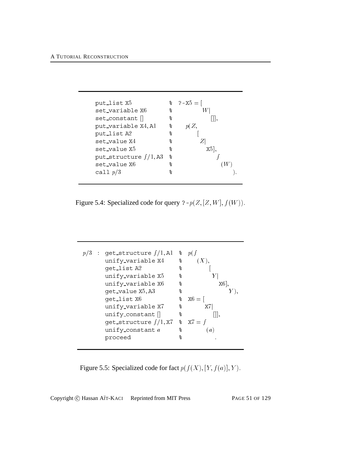

Figure 5.4: Specialized code for query ?  $-p(Z, [Z, W], f(W))$ .

```
p/3 : get_structure f/1, A1 % p(f)unify variable X4 \bullet (X),get list A-
                              % 
         unify_variable X5 \qquad \qquad \qquad \qquad \qquad \qquad \qquad \qquad \qquad \qquad \qquad \qquad \qquad \qquad \qquad \qquad \qquad \qquad \qquad \qquad \qquad \qquad \qquad \qquad \qquad \qquad \qquad \qquad \qquad \qquad \qquad \qquad \qquad \qunify_variable X6 % X6,
         get_value X5, A3 % 8 Y),
         get_list X6\text{X6} =unify variable X7 % X7
         unify_constant [] \quad \ [ ],
         get_structure f/1, X7\text{ }8 \text{ } X7 = funify_constant a & (a)proceed \frac{1}{8}
```
Figure 5.5: Specialized code for fact  $p(f(X), [Y, f(a)], Y)$ .

Copyright © Hassan AïT-KACI Reprinted from MIT Press PAGE 51 OF 129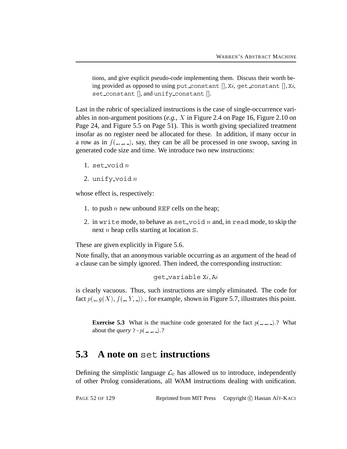tions, and give explicit pseudo-code implementing them. Discuss their worth being provided as opposed to using put constant  $\left[\right],Xi$ , get constant  $\left[\right],Xi$ , set\_constant  $[]$ , and unify\_constant  $[]$ .

Last in the rubric of specialized instructions is the case of single-occurrence variables in non-argument positions (*e.g.*, <sup>X</sup> in Figure 2.4 on Page 16, Figure 2.10 on Page 24, and Figure 5.5 on Page 51). This is worth giving specialized treatment insofar as no register need be allocated for these. In addition, if many occur in a row as in  $f(\underline{\hspace{1cm}},\underline{\hspace{1cm}},\underline{\hspace{1cm}})$ , say, they can be all be processed in one swoop, saving in generated code size and time. We introduce two new instructions:

- 1. set void  $n$
- 2. unify void  $n$

whose effect is, respectively:

- 1. to push *n* new unbound REF cells on the heap;
- 2. in write mode, to behave as set void n and, in read mode, to skip the next *n* heap cells starting at location S.

These are given explicitly in Figure 5.6.

Note finally, that an anonymous variable occurring as an argument of the head of a clause can be simply ignored. Then indeed, the corresponding instruction:

get variable Xi A<sup>i</sup>

is clearly vacuous. Thus, such instructions are simply eliminated. The code for fact  $p(\_, g(X), f(\_, Y, \_))$ , for example, shown in Figure 5.7, illustrates this point.

**Exercise 5.3** What is the machine code generated for the fact  $p(\underline{\hspace{1cm}},\underline{\hspace{1cm}},\underline{\hspace{1cm}})$ . What about the *query* ? -  $p($ , \_, \_).?

### **5.3 A note on** set **instructions**

Defining the simplistic language  $\mathcal{L}_0$  has allowed us to introduce, independently of other Prolog considerations, all WAM instructions dealing with unification.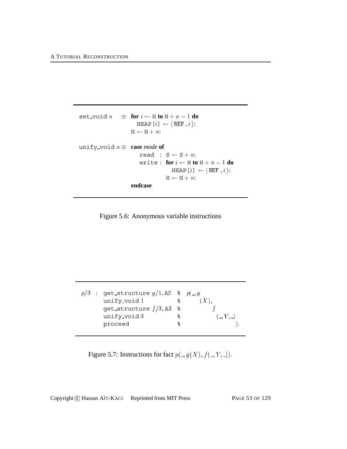```
set void n \equiv for i \leftarrow H to H + n - 1 do
                            HEAP [i] \leftarrow \langle REF, i \rangle;
                          H \leftarrow H + n;unify void n \equiv case mode of
                              read : S \leftarrow S + n;
                              write: for i \leftarrow H to H + n - 1 do
                                              HEAP [i] \leftarrow \langle REF, i \rangle;
                                           H \leftarrow H + n;
                          endcase
```
Figure 5.6: Anonymous variable instructions

|  | $p/3$ : get_structure $g/1,$ A $2$ % $p($ $,$ $g$ |   |            |
|--|---------------------------------------------------|---|------------|
|  | unify_void 1                                      |   | (X).       |
|  | get_structure $f/3$ , A3                          | ႜ |            |
|  | unify_void 3                                      |   | $(-, Y, )$ |
|  | proceed                                           |   |            |
|  |                                                   |   |            |

Figure 5.7: Instructions for fact  $p($ ,  $g(X), f($ ,  $Y,$ ,  $)$ ).

Copyright © Hassan AïT-KACI Reprinted from MIT Press PAGE 53 OF 129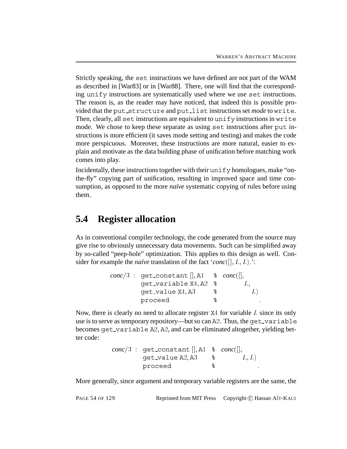Strictly speaking, the set instructions we have defined are not part of the WAM as described in [War83] or in [War88]. There, one will find that the corresponding unify instructions are systematically used where we use set instructions. The reason is, as the reader may have noticed, that indeed this is possible provided that the put structure and put list instructions set *mode* to write. Then, clearly, all set instructions are equivalent to unify instructions in write mode. We chose to keep these separate as using set instructions after put instructions is more efficient (it saves mode setting and testing) and makes the code more perspicuous. Moreover, these instructions are more natural, easier to explain and motivate as the data building phase of unification before matching work comes into play.

Incidentally, these instructions together with their unify homologues, make "onthe-fly" copying part of unification, resulting in improved space and time consumption, as opposed to the more *naïve* systematic copying of rules before using them.

## **5.4 Register allocation**

As in conventional compiler technology, the code generated from the source may give rise to obviously unnecessary data movements. Such can be simplified away by so-called "peep-hole" optimization. This applies to this design as well. Consider for example the *naïve* translation of the fact ' $conc($ [ $], L, L$ ).':

```
\mathit{conc}/3 : get_constant [], Al
                          % conc-

       get variable X4, A2 % L,
       qet_value X4, A3 % as L)
       proceed %
```
Now, there is clearly no need to allocate register  $X<sub>4</sub>$  for variable L since its only use is to serve as temporary repository—but so can  $A2$ . Thus, the  $q$ et\_variable becomes get\_variable  $A2$ ,  $A2$ , and can be eliminated altogether, yielding better code:

```
\mathit{conc}/3 : get_constant[],A1 % \mathit{conc}([],get_value A2, A3 % L, Lproceed %
```
More generally, since argument and temporary variable registers are the same, the

PAGE 54 OF 129 Reprinted from MIT Press Copyright © Hassan AïT-KACI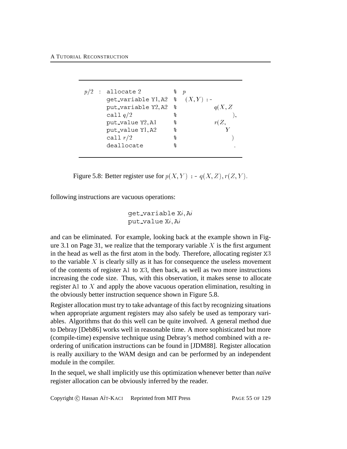| put_variable Y2, A2<br>call $q/2$<br>put_value Y2, A1<br>put_value Y1, A2<br>call $r/2$ | ిక<br>ႜ<br>°<br>ిన<br>°≈<br>ిన<br>°≈ | $\boldsymbol{v}$<br>$(X,Y)$ : -<br>q(X, Z)<br>r(Z, |
|-----------------------------------------------------------------------------------------|--------------------------------------|----------------------------------------------------|
| deallocate                                                                              | °                                    |                                                    |
|                                                                                         | $:$ allocate $2$                     | qet_variable Y1, A2                                |

Figure 5.8: Better register use for  $p(X, Y)$  : -  $q(X, Z), r(Z, Y)$ .

following instructions are vacuous operations:

 $get\_variable X_i, A_i$ put value  $Xi$ *i*. A*i* 

and can be eliminated. For example, looking back at the example shown in Figure 3.1 on Page 31, we realize that the temporary variable  $X$  is the first argument in the head as well as the first atom in the body. Therefore, allocating register X to the variable  $X$  is clearly silly as it has for consequence the useless movement of the contents of register A1 to  $X3$ , then back, as well as two more instructions increasing the code size. Thus, with this observation, it makes sense to allocate register A1 to  $X$  and apply the above vacuous operation elimination, resulting in the obviously better instruction sequence shown in Figure 5.8.

Register allocation must try to take advantage of this fact by recognizing situations when appropriate argument registers may also safely be used as temporary variables. Algorithms that do this well can be quite involved. A general method due to Debray [Deb86] works well in reasonable time. A more sophisticated but more (compile-time) expensive technique using Debray's method combined with a reordering of unification instructions can be found in [JDM88]. Register allocation is really auxiliary to the WAM design and can be performed by an independent module in the compiler.

In the sequel, we shall implicitly use this optimization whenever better than *naïve* register allocation can be obviously inferred by the reader.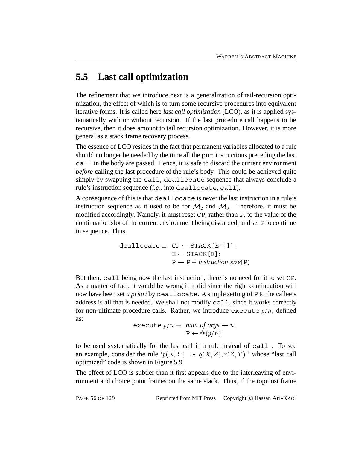## **5.5 Last call optimization**

The refinement that we introduce next is a generalization of tail-recursion optimization, the effect of which is to turn some recursive procedures into equivalent iterative forms. It is called here *last call optimization* (LCO), as it is applied systematically with or without recursion. If the last procedure call happens to be recursive, then it does amount to tail recursion optimization. However, it is more general as a stack frame recovery process.

The essence of LCO resides in the fact that permanent variables allocated to a rule should no longer be needed by the time all the put instructions preceding the last call in the body are passed. Hence, it is safe to discard the current environment *before* calling the last procedure of the rule's body. This could be achieved quite simply by swapping the call, deallocate sequence that always conclude a rule's instruction sequence (*i.e.*, into deallocate, call).

A consequence of this is that deallocate is never the last instruction in a rule's instruction sequence as it used to be for  $\mathcal{M}_2$  and  $\mathcal{M}_3$ . Therefore, it must be modified accordingly. Namely, it must reset CP, rather than P, to the value of the continuation slot of the current environment being discarded, and set P to continue in sequence. Thus,

$$
\begin{aligned} \mathtt{deadlocate} &\equiv \phantom{0} \mathtt{CP} \leftarrow \mathtt{STACK}\left[\mathtt{E}+1\right];\\ &\mathtt{E} \leftarrow \mathtt{STACK}\left[\mathtt{E}\right];\\ &\mathtt{P} \leftarrow \mathtt{P} + \textit{instruction\_size}(\mathtt{P}) \end{aligned}
$$

But then, call being now the last instruction, there is no need for it to set CP. As a matter of fact, it would be wrong if it did since the right continuation will now have been set *a priori* by deallocate. A simple setting of P to the callee's address is all that is needed. We shall not modify call, since it works correctly for non-ultimate procedure calls. Rather, we introduce execute  $p/n$ , defined as:

$$
\text{execute } p/n \equiv \text{ num\_of\text{args}} \leftarrow n; \\ \text{P} \leftarrow \text{Q}(p/n);
$$

to be used systematically for the last call in a rule instead of call . To see an example, consider the rule ' $p(X, Y)$  :-  $q(X, Z), r(Z, Y)$ ' whose "last call optimized" code is shown in Figure 5.9.

The effect of LCO is subtler than it first appears due to the interleaving of environment and choice point frames on the same stack. Thus, if the topmost frame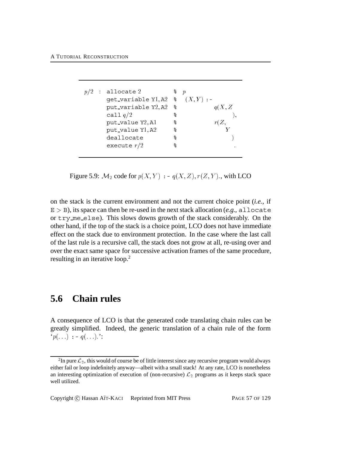|  | $:$ allocate $2$    | ిశ |             |
|--|---------------------|----|-------------|
|  | get_variable Y1, A2 | ႜૢ | $(X,Y)$ : - |
|  | put_variable Y2, A2 | °  | q(X, Z)     |
|  | call $q/2$          | ిన |             |
|  | put_value Y2, A1    | ిన | r(Z,        |
|  | put_value Y1, A2    | °≈ |             |
|  | deallocate          | ిన |             |
|  | execute $r/2$       | °  |             |
|  |                     |    |             |

Figure 5.9:  $\mathcal{M}_2$  code for  $p(X, Y) \, : -q(X, Z), r(Z, Y)$ ., with LCO

on the stack is the current environment and not the current choice point (*i.e.*, if  $E > B$ ), its space can then be re-used in the next stack allocation (*e.g.*, allocate or try me else). This slows downs growth of the stack considerably. On the other hand, if the top of the stack is a choice point, LCO does not have immediate effect on the stack due to environment protection. In the case where the last call of the last rule is a recursive call, the stack does not grow at all, re-using over and over the exact same space for successive activation frames of the same procedure, resulting in an iterative loop.2

### **5.6 Chain rules**

A consequence of LCO is that the generated code translating chain rules can be greatly simplified. Indeed, the generic translation of a chain rule of the form  $\mathbf{p}(\ldots) := q(\ldots)$ :

<sup>&</sup>lt;sup>2</sup>In pure  $\mathcal{L}_2$ , this would of course be of little interest since any recursive program would always either fail or loop indefinitely anyway—albeit with a small stack! At any rate, LCO is nonetheless an interesting optimization of execution of (non-recursive)  $\mathcal{L}_2$  programs as it keeps stack space well utilized.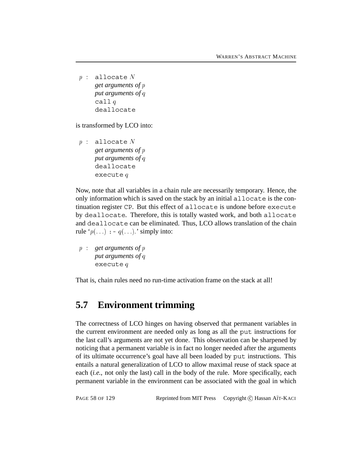$p$  : allocate  $N$ *get arguments of* <sup>p</sup> *put arguments of* <sup>q</sup> call  $q$ deallocate

is transformed by LCO into:

 $p$  : allocate  $N$ *get arguments of* <sup>p</sup> *put arguments of* <sup>q</sup> deallocate execute  $q$ 

Now, note that all variables in a chain rule are necessarily temporary. Hence, the only information which is saved on the stack by an initial allocate is the continuation register CP. But this effect of allocate is undone before execute by deallocate. Therefore, this is totally wasted work, and both allocate and deallocate can be eliminated. Thus, LCO allows translation of the chain rule ' $p(\ldots)$  : -  $q(\ldots)$ ' simply into:

p *get arguments of* <sup>p</sup> *put arguments of* <sup>q</sup> execute <sup>q</sup>

That is, chain rules need no run-time activation frame on the stack at all!

## **5.7 Environment trimming**

The correctness of LCO hinges on having observed that permanent variables in the current environment are needed only as long as all the put instructions for the last call's arguments are not yet done. This observation can be sharpened by noticing that a permanent variable is in fact no longer needed after the arguments of its ultimate occurrence's goal have all been loaded by put instructions. This entails a natural generalization of LCO to allow maximal reuse of stack space at each (*i.e.*, not only the last) call in the body of the rule. More specifically, each permanent variable in the environment can be associated with the goal in which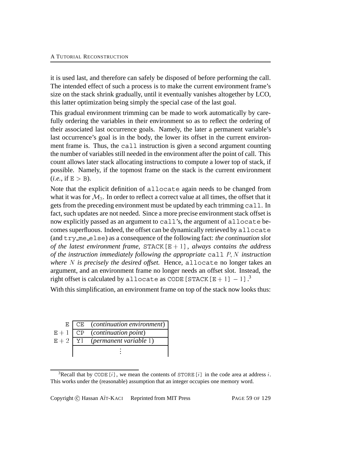it is used last, and therefore can safely be disposed of before performing the call. The intended effect of such a process is to make the current environment frame's size on the stack shrink gradually, until it eventually vanishes altogether by LCO, this latter optimization being simply the special case of the last goal.

This gradual environment trimming can be made to work automatically by carefully ordering the variables in their environment so as to reflect the ordering of their associated last occurrence goals. Namely, the later a permanent variable's last occurrence's goal is in the body, the lower its offset in the current environment frame is. Thus, the call instruction is given a second argument counting the number of variables still needed in the environment after the point of call. This count allows later stack allocating instructions to compute a lower top of stack, if possible. Namely, if the topmost frame on the stack is the current environment  $(i.e., if E > B).$ 

Note that the explicit definition of allocate again needs to be changed from what it was for  $\mathcal{M}_3$ . In order to reflect a correct value at all times, the offset that it gets from the preceding environment must be updated by each trimming call. In fact, such updates are not needed. Since a more precise environment stack offset is now explicitly passed as an argument to call's, the argument of allocate becomes superfluous. Indeed, the offset can be dynamically retrieved by allocate (and try me else) as a consequence of the following fact: *the continuation slot of the latest environment frame,* STACK[E ]*, always contains the address of the instruction immediately following the appropriate* call P, N *instruction where* <sup>N</sup> *is precisely the desired offset.* Hence, allocate no longer takes an argument, and an environment frame no longer needs an offset slot. Instead, the right offset is calculated by <code>allocate</code> as <code>CODE[STACK[E+1]  $-1$ ]. $^3$ </sup></code>

With this simplification, an environment frame on top of the stack now looks thus:

|  | $E \mid CE \quad (continuation \ environment)$ |
|--|------------------------------------------------|
|  | $E + 1$ CP (continuation point)                |
|  | $E + 2$   Y1 (permanent variable 1)            |
|  |                                                |

<sup>&</sup>lt;sup>3</sup>Recall that by CODE [i], we mean the contents of STORE [i] in the code area at address i. This works under the (reasonable) assumption that an integer occupies one memory word.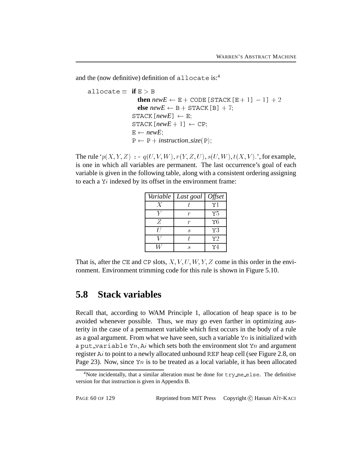and the (now definitive) definition of allocate is:<sup>4</sup>

```
allocate \equiv \textbf{if}~\text{E} > \text{B}then newE \leftarrow E + \text{CODE}[\text{STACK}[E + 1] - 1] + 2\textbf{else} newE \leftarrow B + STACK[B] + 7;
                     \texttt{STACK}[newE] \leftarrow E;\texttt{STACK}[newE + 1] \leftarrow \texttt{CP};E \leftarrow newE;P \leftarrow P + instruction\_size(P);
```
The rule ' $p(X, Y, Z)$ :  $-q(U, V, W), r(Y, Z, U), s(U, W), t(X, V)$ ', for example, is one in which all variables are permanent. The last occurrence's goal of each variable is given in the following table, along with a consistent ordering assigning to each a  $Y_i$  indexed by its offset in the environment frame:

| Variable | Last goal $\bigcup_{s}$ Offset |                |
|----------|--------------------------------|----------------|
| X        |                                | Y <sup>1</sup> |
|          |                                | Y5             |
| Z        |                                | Y6             |
|          | .S                             | Y3             |
|          |                                | Y2             |
|          | s                              | Y4             |

That is, after the CE and CP slots,  $X, V, U, W, Y, Z$  come in this order in the environment. Environment trimming code for this rule is shown in Figure 5.10.

### **5.8 Stack variables**

Recall that, according to WAM Principle 1, allocation of heap space is to be avoided whenever possible. Thus, we may go even farther in optimizing austerity in the case of a permanent variable which first occurs in the body of a rule as a goal argument. From what we have seen, such a variable  $Y_n$  is initialized with a put variable Yn, Ai which sets both the environment slot Yn and argument register  $A_i$  to point to a newly allocated unbound REF heap cell (see Figure 2.8, on Page 23). Now, since  $Y_n$  is to be treated as a local variable, it has been allocated

 $4$ Note incidentally, that a similar alteration must be done for  $try$  me else. The definitive version for that instruction is given in Appendix B.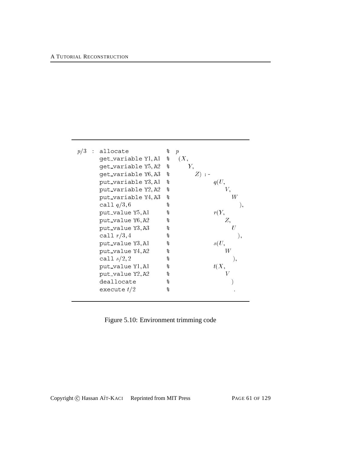| p/3 | allocate            | ిశ | $\boldsymbol{p}$ |
|-----|---------------------|----|------------------|
|     | get_variable Y1, A1 | ిశ | (X,              |
|     | get_variable Y5, A2 | ిశ | Υ,               |
|     | get_variable Y6, A3 | ిశ | Z).              |
|     | put_variable Y3, A1 | န္ | q(U,             |
|     | put_variable Y2, A2 | န္ | V.               |
|     | put variable Y4, A3 | ిన | W                |
|     | call $q/3, 6$       | ిన |                  |
|     | put_value Y5, Al    | ిశ | r(Y,             |
|     | put value Y6, A2    | ిన | Ζ,               |
|     | put_value Y3, A3    | ిన |                  |
|     | call $r/3, 4$       | န္ |                  |
|     | put value Y3, A1    | ిన | s(U,             |
|     | put_value Y4, A2    | ిన | W                |
|     | call $s/2, 2$       | ٩, |                  |
|     | put value Y1, A1    | ిన | t(X,             |
|     | put value Y2, A2    | ిన |                  |
|     | deallocate          | ిన |                  |
|     | execute $t/2$       | ిన |                  |
|     |                     |    |                  |

Figure 5.10: Environment trimming code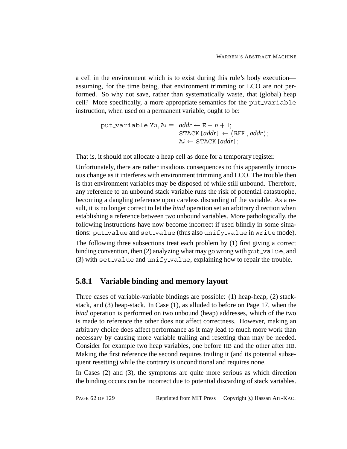a cell in the environment which is to exist during this rule's body execution assuming, for the time being, that environment trimming or LCO are not performed. So why not save, rather than systematically waste, that (global) heap cell? More specifically, a more appropriate semantics for the put\_variable instruction, when used on a permanent variable, ought to be:

> put\_variable Y*n*,  $Ai \equiv addr \leftarrow E + n + 1$ ;  $\texttt{STACK}\left[\textit{addr}\right] \leftarrow \langle \text{REF}\,,\textit{addr}\rangle;$ A $i \leftarrow \texttt{STACK[} \textit{addr{\text{]}} \; ;$

That is, it should not allocate a heap cell as done for a temporary register.

Unfortunately, there are rather insidious consequences to this apparently innocuous change as it interferes with environment trimming and LCO. The trouble then is that environment variables may be disposed of while still unbound. Therefore, any reference to an unbound stack variable runs the risk of potential catastrophe, becoming a dangling reference upon careless discarding of the variable. As a result, it is no longer correct to let the *bind* operation set an arbitrary direction when establishing a reference between two unbound variables. More pathologically, the following instructions have now become incorrect if used blindly in some situations: put value and set value (thus also unify value in write mode).

The following three subsections treat each problem by (1) first giving a correct binding convention, then  $(2)$  analyzing what may go wrong with put value, and (3) with set value and unify value, explaining how to repair the trouble.

### **5.8.1 Variable binding and memory layout**

Three cases of variable-variable bindings are possible: (1) heap-heap, (2) stackstack, and (3) heap-stack. In Case (1), as alluded to before on Page 17, when the *bind* operation is performed on two unbound (heap) addresses, which of the two is made to reference the other does not affect correctness. However, making an arbitrary choice does affect performance as it may lead to much more work than necessary by causing more variable trailing and resetting than may be needed. Consider for example two heap variables, one before HB and the other after HB. Making the first reference the second requires trailing it (and its potential subsequent resetting) while the contrary is unconditional and requires none.

In Cases (2) and (3), the symptoms are quite more serious as which direction the binding occurs can be incorrect due to potential discarding of stack variables.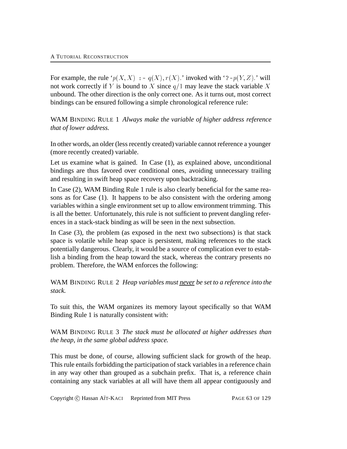For example, the rule ' $p(X, X)$  : -  $q(X), r(X)$ ' invoked with '?-p(Y, Z)' will not work correctly if Y is bound to X since  $q/1$  may leave the stack variable X unbound. The other direction is the only correct one. As it turns out, most correct bindings can be ensured following a simple chronological reference rule:

WAM BINDING RULE 1 *Always make the variable of higher address reference that of lower address.*

In other words, an older (less recently created) variable cannot reference a younger (more recently created) variable.

Let us examine what is gained. In Case  $(1)$ , as explained above, unconditional bindings are thus favored over conditional ones, avoiding unnecessary trailing and resulting in swift heap space recovery upon backtracking.

In Case (2), WAM Binding Rule 1 rule is also clearly beneficial for the same reasons as for Case (1). It happens to be also consistent with the ordering among variables within a single environment set up to allow environment trimming. This is all the better. Unfortunately, this rule is not sufficient to prevent dangling references in a stack-stack binding as will be seen in the next subsection.

In Case (3), the problem (as exposed in the next two subsections) is that stack space is volatile while heap space is persistent, making references to the stack potentially dangerous. Clearly, it would be a source of complication ever to establish a binding from the heap toward the stack, whereas the contrary presents no problem. Therefore, the WAM enforces the following:

WAM BINDING RULE 2 *Heap variables must never be set to a reference into the stack.*

To suit this, the WAM organizes its memory layout specifically so that WAM Binding Rule 1 is naturally consistent with:

WAM BINDING RULE 3 *The stack must be allocated at higher addresses than the heap, in the same global address space.*

This must be done, of course, allowing sufficient slack for growth of the heap. This rule entails forbidding the participation of stack variables in a reference chain in any way other than grouped as a subchain prefix. That is, a reference chain containing any stack variables at all will have them all appear contiguously and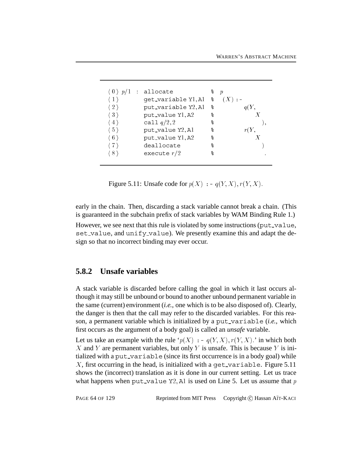| (0)                 | : allocate          | ႜ  | р    |
|---------------------|---------------------|----|------|
|                     | qet_variable Y1, A1 | ిశ |      |
| $\langle 2 \rangle$ | put_variable Y2.A1  | ిన |      |
| $\langle 3 \rangle$ | put_value Y1, A2    | ిన |      |
| $\cdot$ 4 $\prime$  | call $q/2, 2$       | ిన |      |
| (5.                 | put_value Y2, Al    | ిన | r(Y, |
| 6 <sup>1</sup>      | put_value Y1, A2    | ిన |      |
|                     | deallocate          | ిన |      |
|                     | execute $r/2$       | ిన |      |
|                     |                     |    |      |

Figure 5.11: Unsafe code for  $p(X)$  : -  $q(Y, X), r(Y, X)$ .

early in the chain. Then, discarding a stack variable cannot break a chain. (This is guaranteed in the subchain prefix of stack variables by WAM Binding Rule 1.)

However, we see next that this rule is violated by some instructions (put\_value, set value, and unify value). We presently examine this and adapt the design so that no incorrect binding may ever occur.

#### **5.8.2 Unsafe variables**

A stack variable is discarded before calling the goal in which it last occurs although it may still be unbound or bound to another unbound permanent variable in the same (current) environment (*i.e.*, one which is to be also disposed of). Clearly, the danger is then that the call may refer to the discarded variables. For this reason, a permanent variable which is initialized by a put\_variable (*i.e.*, which first occurs as the argument of a body goal) is called an *unsafe* variable.

Let us take an example with the rule ' $p(X)$  : -  $q(Y, X)$ ,  $r(Y, X)$ .' in which both X and Y are permanent variables, but only Y is unsafe. This is because Y is initialized with a put\_variable (since its first occurrence is in a body goal) while  $X$ , first occurring in the head, is initialized with a get\_variable. Figure 5.11 shows the (incorrect) translation as it is done in our current setting. Let us trace what happens when put\_value Y2, A1 is used on Line 5. Let us assume that  $p$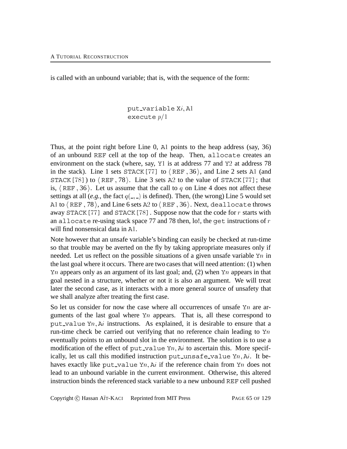is called with an unbound variable; that is, with the sequence of the form:

```
put variable Xi, Al
execute p\!/1
```
Thus, at the point right before Line 0, A points to the heap address (say, 36) of an unbound REF cell at the top of the heap. Then, allocate creates an environment on the stack (where, say,  $Y1$  is at address 77 and  $Y2$  at address 78 in the stack). Line 1 sets STACK [77] to  $\langle$  REF, 36 $\rangle$ , and Line 2 sets A1 (and STACK $[78]$ ) to  $\langle$  REF, 78 $\rangle$ . Line 3 sets A2 to the value of STACK $[77]$ ; that is,  $\langle$  REF, 36  $\rangle$ . Let us assume that the call to q on Line 4 does not affect these settings at all (*e.g.*, the fact  $q(\_, \_)$ ) is defined). Then, (the wrong) Line 5 would set Al to  $\langle$  REF  $, 78$   $\rangle$ , and Line 6 sets A2 to  $\langle$  REF  $, 36$   $\rangle$ . Next, deallocate throws away STACK [77] and STACK [78]. Suppose now that the code for r starts with an allocate re-using stack space 77 and 78 then, lo!, the get instructions of  $r$ will find nonsensical data in A .

Note however that an unsafe variable's binding can easily be checked at run-time so that trouble may be averted on the fly by taking appropriate measures only if needed. Let us reflect on the possible situations of a given unsafe variable  $Y_n$  in the last goal where it occurs. There are two cases that will need attention: (1) when Yn appears only as an argument of its last goal; and, (2) when Yn appears in that goal nested in a structure, whether or not it is also an argument. We will treat later the second case, as it interacts with a more general source of unsafety that we shall analyze after treating the first case.

So let us consider for now the case where all occurrences of unsafe  $Y_n$  are arguments of the last goal where  $Y_n$  appears. That is, all these correspond to put value  $Y_n$ , A<sub>i</sub> instructions. As explained, it is desirable to ensure that a run-time check be carried out verifying that no reference chain leading to  $Y_n$ eventually points to an unbound slot in the environment. The solution is to use a modification of the effect of put\_value  $Y_n$ ,  $A_i$  to ascertain this. More specifically, let us call this modified instruction put unsafe value  $Y_n$ ,  $Ai$ . It behaves exactly like put value  $Y_n$ ,  $A_i$  if the reference chain from  $Y_n$  does not lead to an unbound variable in the current environment. Otherwise, this altered instruction binds the referenced stack variable to a new unbound REF cell pushed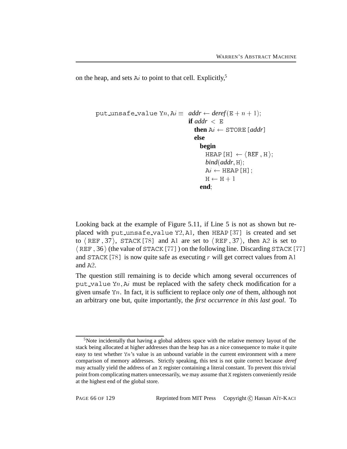on the heap, and sets  $A_i$  to point to that cell. Explicitly,<sup>5</sup>

```
put unsafe value Yn, Ai \equiv addr \leftarrow deref(E + n+1);if addr < Ethen Ai \leftarrow STORE [addr]
                                                      else
                                                         begin
                                                             \texttt{HEAP}{}~[\texttt{H}] \; \leftarrow \langle~\texttt{REF}{}~, \texttt{H}~\rangle ;bind(addr, H);
                                                             \mathrm{A}i \leftarrow \mathrm{HEAD}\ [\mathrm{H}]\ ,H \leftarrow H + 1end
```
Looking back at the example of Figure 5.11, if Line 5 is not as shown but replaced with put\_unsafe\_value  $Y2$ , Al, then HEAP [37] is created and set to  $\langle$  REF, 37 $\rangle$ , STACK[78] and A1 are set to  $\langle$  REF, 37 $\rangle$ , then A2 is set to  $\langle$  REF, 36  $\rangle$  (the value of STACK [77]) on the following line. Discarding STACK [77] and STACK [78] is now quite safe as executing r will get correct values from A1 and  $A2$ .

The question still remaining is to decide which among several occurrences of put value  $Y_n$ ,  $A_i$  must be replaced with the safety check modification for a given unsafe Yn. In fact, it is sufficient to replace only *one* of them, although not an arbitrary one but, quite importantly, the *first occurrence in this last goal*. To

 $5$ Note incidentally that having a global address space with the relative memory layout of the stack being allocated at higher addresses than the heap has as a nice consequence to make it quite easy to test whether  $Y_n$ 's value is an unbound variable in the current environment with a mere comparison of memory addresses. Strictly speaking, this test is not quite correct because *deref* may actually yield the address of an X register containing a literal constant. To prevent this trivial point from complicating matters unnecessarily, we may assume that X registers conveniently reside at the highest end of the global store.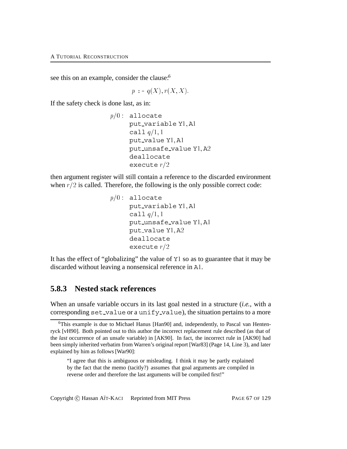see this on an example, consider the clause:<sup>6</sup>

 $p : -q(X), r(X, X).$ 

If the safety check is done last, as in:

 $\displaystyle{p/0:}$  allocate put\_variable Y1, Al call  $q/1,1$ put\_value Y1, A1 put\_unsafe\_value Y $1,$  A $2$ deallocate execute  $r/2$ 

then argument register will still contain a reference to the discarded environment when  $r/2$  is called. Therefore, the following is the only possible correct code:

> $\displaystyle{p/0:}$  allocate put\_variable Y1, Al call  $q/1,1$ put\_unsafe\_value Y1, Al  ${\tt put\_value}$  Y $1,$  A $2$ deallocate execute  $r/2$

It has the effect of "globalizing" the value of  $Y1$  so as to guarantee that it may be discarded without leaving a nonsensical reference in A .

### **5.8.3 Nested stack references**

When an unsafe variable occurs in its last goal nested in a structure (*i.e.*, with a corresponding  $set_value$  or a unify-value), the situation pertains to a more

<sup>&</sup>lt;sup>6</sup>This example is due to Michael Hanus [Han90] and, independently, to Pascal van Hentenryck [vH90]. Both pointed out to this author the incorrect replacement rule described (as that of the *last* occurrence of an unsafe variable) in [AK90]. In fact, the incorrect rule in [AK90] had been simply inherited verbatim from Warren's original report [War83] (Page 14, Line 3), and later explained by him as follows [War90]:

<sup>&</sup>quot;I agree that this is ambiguous or misleading. I think it may be partly explained by the fact that the memo (tacitly?) assumes that goal arguments are compiled in reverse order and therefore the last arguments will be compiled first!"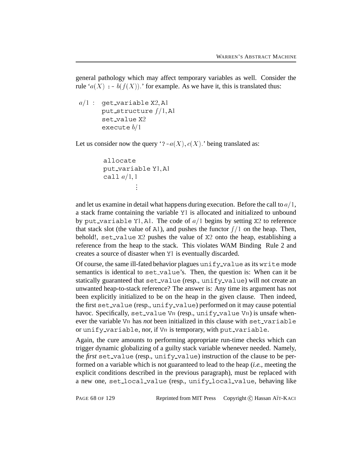general pathology which may affect temporary variables as well. Consider the rule ' $a(X)$ : -  $b(f(X))$ .' for example. As we have it, this is translated thus:

```
a/1 : get_variable X2,Al
      put_structure f/1,Al
      set value X	
      execute b/1
```
Let us consider now the query '?-a(X),  $c(X)$ .' being translated as:

```
allocate
put_variable Y1, Al
call a/1,1.
          .
          .
```
and let us examine in detail what happens during execution. Before the call to  $a/1$ , a stack frame containing the variable Y is allocated and initialized to unbound by put variable Y1, A1. The code of  $a/1$  begins by setting X2 to reference that stack slot (the value of A1), and pushes the functor  $f/1$  on the heap. Then, behold!, set\_value  $X2$  pushes the value of  $X2$  onto the heap, establishing a reference from the heap to the stack. This violates WAM Binding Rule 2 and creates a source of disaster when Y is eventually discarded.

Of course, the same ill-fated behavior plagues unify-value as its write mode semantics is identical to set value's. Then, the question is: When can it be statically guaranteed that set\_value (resp., unify\_value) will not create an unwanted heap-to-stack reference? The answer is: Any time its argument has not been explicitly initialized to be on the heap in the given clause. Then indeed, the first set\_value (resp., unify\_value) performed on it may cause potential havoc. Specifically, set value Vn (resp., unify value Vn) is unsafe whenever the variable  $\nabla n$  has *not* been initialized in this clause with set\_variable or unify variable, nor, if  $\nabla n$  is temporary, with put variable.

Again, the cure amounts to performing appropriate run-time checks which can trigger dynamic globalizing of a guilty stack variable whenever needed. Namely, the *first* set\_value (resp., unify\_value) instruction of the clause to be performed on a variable which is not guaranteed to lead to the heap (*i.e.*, meeting the explicit conditions described in the previous paragraph), must be replaced with a new one, set local value (resp., unify local value, behaving like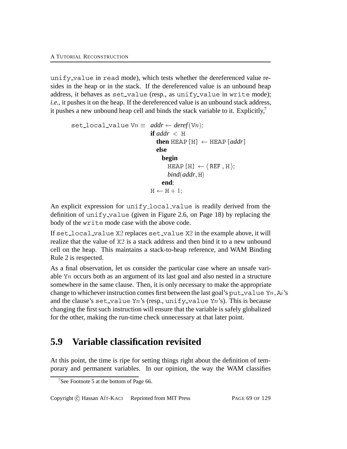unify value in read mode), which tests whether the dereferenced value resides in the heap or in the stack. If the dereferenced value is an unbound heap address, it behaves as set-value (resp., as unify-value in write mode); *i.e.*, it pushes it on the heap. If the dereferenced value is an unbound stack address, it pushes a new unbound heap cell and binds the stack variable to it. Explicitly, $\frac{7}{7}$ 

```
setlocal_value Vn \equiv addr \leftarrow deref (Vn);
                                               if addr < Hthen \,\, \text{HEAD} \,\, [H] \,\, \leftarrow \,\, \text{HEAD} \,\, [addr]else
                                                      begin
                                                          \texttt{HEAP}{}~[\texttt{H}] \; \leftarrow \langle~\texttt{REF}{}~, \texttt{H}{}~\rangle ;bind(addr, H)end
                                               H \leftarrow H + 1;
```
An explicit expression for unify local value is readily derived from the definition of unify value (given in Figure 2.6, on Page 18) by replacing the body of the write mode case with the above code.

If set local value  $X2$  replaces set value  $X2$  in the example above, it will realize that the value of  $X2$  is a stack address and then bind it to a new unbound cell on the heap. This maintains a stack-to-heap reference, and WAM Binding Rule 2 is respected.

As a final observation, let us consider the particular case where an unsafe variable  $Y_n$  occurs both as an argument of its last goal and also nested in a structure somewhere in the same clause. Then, it is only necessary to make the appropriate change to whichever instruction comes first between the last goal's put value  $Y_n$ , Ai's and the clause's set value Yn's (resp., unify value Yn's). This is because changing the first such instruction will ensure that the variable is safely globalized for the other, making the run-time check unnecessary at that later point.

## **5.9 Variable classification revisited**

At this point, the time is ripe for setting things right about the definition of temporary and permanent variables. In our opinion, the way the WAM classifies

<sup>&</sup>lt;sup>7</sup>See Footnote 5 at the bottom of Page 66.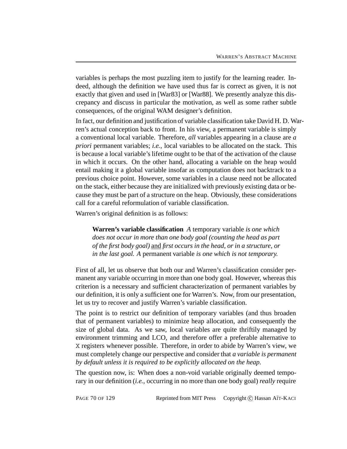variables is perhaps the most puzzling item to justify for the learning reader. Indeed, although the definition we have used thus far is correct as given, it is not exactly that given and used in [War83] or [War88]. We presently analyze this discrepancy and discuss in particular the motivation, as well as some rather subtle consequences, of the original WAM designer's definition.

In fact, our definition and justification of variable classification take David H. D. Warren's actual conception back to front. In his view, a permanent variable is simply a conventional local variable. Therefore, *all* variables appearing in a clause are *a priori* permanent variables; *i.e.*, local variables to be allocated on the stack. This is because a local variable's lifetime ought to be that of the activation of the clause in which it occurs. On the other hand, allocating a variable on the heap would entail making it a global variable insofar as computation does not backtrack to a previous choice point. However, some variables in a clause need not be allocated on the stack, either because they are initialized with previously existing data or because they must be part of a structure on the heap. Obviously, these considerations call for a careful reformulation of variable classification.

Warren's original definition is as follows:

**Warren's variable classification** *A* temporary variable *is one which does not occur in more than one body goal (counting the head as part of the first body goal)* and *first occurs in the head, or in a structure, or in the last goal. A* permanent variable *is one which is not temporary.*

First of all, let us observe that both our and Warren's classification consider permanent any variable occurring in more than one body goal. However, whereas this criterion is a necessary and sufficient characterization of permanent variables by our definition, it is only a sufficient one for Warren's. Now, from our presentation, let us try to recover and justify Warren's variable classification.

The point is to restrict our definition of temporary variables (and thus broaden that of permanent variables) to minimize heap allocation, and consequently the size of global data. As we saw, local variables are quite thriftily managed by environment trimming and LCO, and therefore offer a preferable alternative to X registers whenever possible. Therefore, in order to abide by Warren's view, we must completely change our perspective and consider that *a variable is permanent by default unless it is required to be explicitly allocated on the heap.*

The question now, is: When does a non-void variable originally deemed temporary in our definition (*i.e.*, occurring in no more than one body goal) *really* require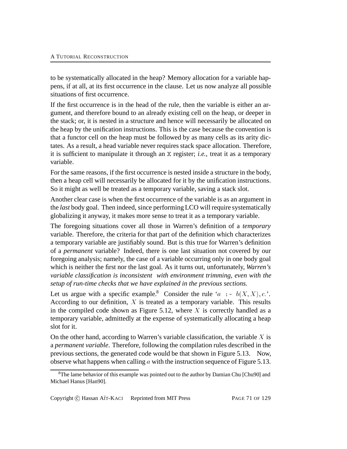to be systematically allocated in the heap? Memory allocation for a variable happens, if at all, at its first occurrence in the clause. Let us now analyze all possible situations of first occurrence.

If the first occurrence is in the head of the rule, then the variable is either an argument, and therefore bound to an already existing cell on the heap, or deeper in the stack; or, it is nested in a structure and hence will necessarily be allocated on the heap by the unification instructions. This is the case because the convention is that a functor cell on the heap must be followed by as many cells as its arity dictates. As a result, a head variable never requires stack space allocation. Therefore, it is sufficient to manipulate it through an X register; *i.e.*, treat it as a temporary variable.

For the same reasons, if the first occurrence is nested inside a structure in the body, then a heap cell will necessarily be allocated for it by the unification instructions. So it might as well be treated as a temporary variable, saving a stack slot.

Another clear case is when the first occurrence of the variable is as an argument in the *last* body goal. Then indeed, since performing LCO will require systematically globalizing it anyway, it makes more sense to treat it as a temporary variable.

The foregoing situations cover all those in Warren's definition of a *temporary* variable. Therefore, the criteria for that part of the definition which characterizes a temporary variable are justifiably sound. But is this true for Warren's definition of a *permanent* variable? Indeed, there is one last situation not covered by our foregoing analysis; namely, the case of a variable occurring only in one body goal which is neither the first nor the last goal. As it turns out, unfortunately, *Warren's variable classification is inconsistent with environment trimming, even with the setup of run-time checks that we have explained in the previous sections.*

Let us argue with a specific example.<sup>8</sup> Consider the rule 'a :-  $b(X, X), c$ '. According to our definition,  $X$  is treated as a temporary variable. This results in the compiled code shown as Figure 5.12, where  $X$  is correctly handled as a temporary variable, admittedly at the expense of systematically allocating a heap slot for it.

On the other hand, according to Warren's variable classification, the variable  $X$  is a *permanent variable*. Therefore, following the compilation rules described in the previous sections, the generated code would be that shown in Figure 5.13. Now, observe what happens when calling  $\alpha$  with the instruction sequence of Figure 5.13.

<sup>&</sup>lt;sup>8</sup>The lame behavior of this example was pointed out to the author by Damian Chu [Chu90] and Michael Hanus [Han90].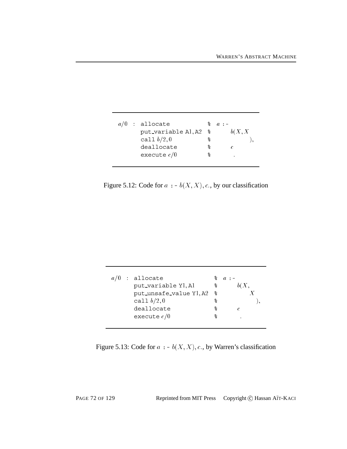| a/0 | : allocate<br>put_variable A1, A2<br>call $b/2, 0$<br>deallocate<br>execute $c/0$ | ႜ<br>ిన<br>°<br>° | $\frac{1}{6}$ $a :=$<br>b(X, X)<br>r<br>٠ |
|-----|-----------------------------------------------------------------------------------|-------------------|-------------------------------------------|
|     |                                                                                   |                   |                                           |

Figure 5.12: Code for  $a : -b(X, X), c$ , by our classification

|  | $a/0$ : allocate<br>put_variable Y1, A1<br>put_unsafe_value Y1, A2<br>call $b/2,0$<br>deallocate<br>execute $c/0$ | °≈<br>ిక<br>ిక<br>°≈<br>°<br>° | a:<br>b(X,<br>r |
|--|-------------------------------------------------------------------------------------------------------------------|--------------------------------|-----------------|
|  |                                                                                                                   |                                |                 |

Figure 5.13: Code for  $a : = b(X, X), c$ , by Warren's classification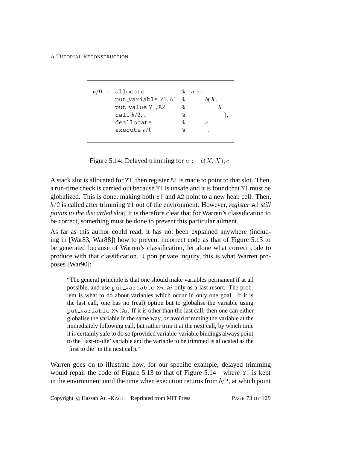|  | $a/0$ : allocate    | °≈ | $a : -$ |
|--|---------------------|----|---------|
|  | put_variable Y1, A1 | ిన | b(X,    |
|  | put_value Y1, A2    | ిక |         |
|  | call $b/2, 1$       | ిన |         |
|  | deallocate          | °≈ | r       |
|  | execute $c/0$       | °  |         |
|  |                     |    |         |

Figure 5.14: Delayed trimming for  $a : = b(X, X), c$ .

A stack slot is allocated for Y1, then register A1 is made to point to that slot. Then, a run-time check is carried out because  $Y1$  is unsafe and it is found that  $Y1$  must be globalized. This is done, making both  $Y1$  and  $A2$  point to a new heap cell. Then, b/2 is called after trimming Y1 out of the environment. However, *register* A1 *still points to the discarded slot!* It is therefore clear that for Warren's classification to be correct, something must be done to prevent this particular ailment.

As far as this author could read, it has not been explained anywhere (including in [War83, War88]) how to prevent incorrect code as that of Figure 5.13 to be generated because of Warren's classification, let alone what correct code to produce with that classification. Upon private inquiry, this is what Warren proposes [War90]:

"The general principle is that one should make variables permanent if at all possible, and use put variable  $X_n$ ,  $A_i$  only as a last resort. The problem is what to do about variables which occur in only one goal. If it is the last call, one has no (real) option but to globalise the variable using put variable  $X_n$ ,  $A_i$ . If it is other than the last call, then one can either globalise the variable in the same way, *or* avoid trimming the variable at the immediately following call, but rather trim it at the next call, by which time it is certainly safe to do so (provided variable-variable bindings always point to the 'last-to-die' variable and the variable to be trimmed is allocated as the 'first to die' in the next call)."

Warren goes on to illustrate how, for our specific example, delayed trimming would repair the code of Figure 5.13 to that of Figure 5.14 where Y is kept in the environment until the time when execution returns from  $b/2$ , at which point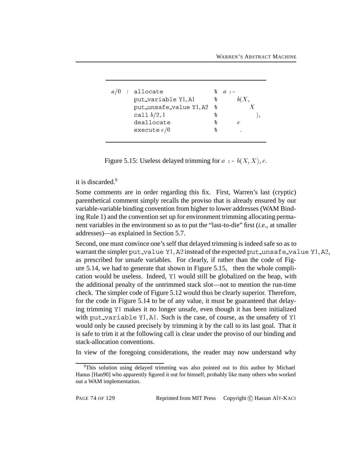| a/0 | : allocate              | °≈ | a:   |
|-----|-------------------------|----|------|
|     | put_variable Y1, A1     | ႜ  | b(X) |
|     | put_unsafe_value Y1, A2 | ిన |      |
|     | call $b/2, 1$           | °≈ |      |
|     | deallocate              | °≈ | r    |
|     | execute $c/0$           | °  |      |
|     |                         |    |      |

Figure 5.15: Useless delayed trimming for  $a : -b(X, X), c$ .

it is discarded.9

Some comments are in order regarding this fix. First, Warren's last (cryptic) parenthetical comment simply recalls the proviso that is already ensured by our variable-variable binding convention from higher to lower addresses (WAM Binding Rule 1) and the convention set up for environment trimming allocating permanent variables in the environment so as to put the "last-to-die" first (*i.e.*, at smaller addresses)—as explained in Section 5.7.

Second, one must convince one's self that delayed trimming is indeed safe so as to warrant the simpler put\_value Y1, A2 instead of the expected put\_unsafe\_value Y1, A2, as prescribed for unsafe variables. For clearly, if rather than the code of Figure 5.14, we had to generate that shown in Figure 5.15, then the whole complication would be useless. Indeed, Y1 would still be globalized on the heap, with the additional penalty of the untrimmed stack slot—not to mention the run-time check. The simpler code of Figure 5.12 would thus be clearly superior. Therefore, for the code in Figure 5.14 to be of any value, it must be guaranteed that delaying trimming Y makes it no longer unsafe, even though it has been initialized with put\_variable  $Y1$ , Al. Such is the case, of course, as the unsafety of  $Y1$ would only be caused precisely by trimming it by the call to its last goal. That it is safe to trim it at the following call is clear under the proviso of our binding and stack-allocation conventions.

In view of the foregoing considerations, the reader may now understand why

<sup>&</sup>lt;sup>9</sup>This solution using delayed trimming was also pointed out to this author by Michael Hanus [Han90] who apparently figured it out for himself, probably like many others who worked out a WAM implementation.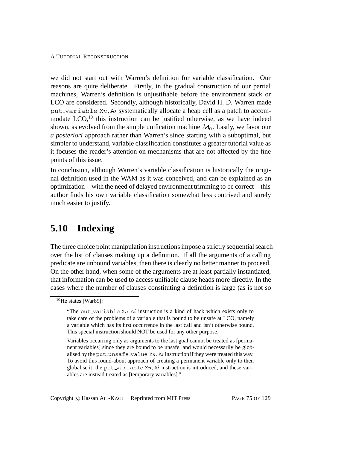we did not start out with Warren's definition for variable classification. Our reasons are quite deliberate. Firstly, in the gradual construction of our partial machines, Warren's definition is unjustifiable before the environment stack or LCO are considered. Secondly, although historically, David H. D. Warren made put variable  $X_n$ , Ai systematically allocate a heap cell as a patch to accommodate  $LCO<sub>10</sub>$ , this instruction can be justified otherwise, as we have indeed shown, as evolved from the simple unification machine  $\mathcal{M}_0$ . Lastly, we favor our *a posteriori* approach rather than Warren's since starting with a suboptimal, but simpler to understand, variable classification constitutes a greater tutorial value as it focuses the reader's attention on mechanisms that are not affected by the fine points of this issue.

In conclusion, although Warren's variable classification is historically the original definition used in the WAM as it was conceived, and can be explained as an optimization—with the need of delayed environment trimming to be correct—this author finds his own variable classification somewhat less contrived and surely much easier to justify.

## **5.10 Indexing**

The three choice point manipulation instructions impose a strictly sequential search over the list of clauses making up a definition. If all the arguments of a calling predicate are unbound variables, then there is clearly no better manner to proceed. On the other hand, when some of the arguments are at least partially instantiated, that information can be used to access unifiable clause heads more directly. In the cases where the number of clauses constituting a definition is large (as is not so

<sup>10</sup>He states [War89]:

<sup>&</sup>quot;The put\_variable  $X_n$ , Ai instruction is a kind of hack which exists only to take care of the problems of a variable that is bound to be unsafe at LCO, namely a variable which has its first occurrence in the last call and isn't otherwise bound. This special instruction should NOT be used for any other purpose.

Variables occurring only as arguments to the last goal cannot be treated as [permanent variables] since they are bound to be unsafe, and would necessarily be globalised by the put unsafe value  $Y_n$ . A<sub>i</sub> instruction if they were treated this way. To avoid this round-about approach of creating a permanent variable only to then globalise it, the put\_variable  $X_n$ ,  $Ai$  instruction is introduced, and these variables are instead treated as [temporary variables]."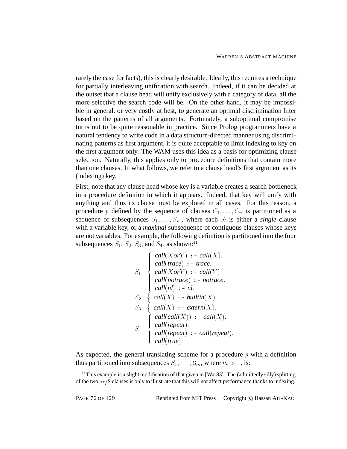rarely the case for facts), this is clearly desirable. Ideally, this requires a technique for partially interleaving unification with search. Indeed, if it can be decided at the outset that a clause head will unify exclusively with a category of data, all the more selective the search code will be. On the other hand, it may be impossible in general, or very costly at best, to generate an optimal discrimination filter based on the patterns of all arguments. Fortunately, a suboptimal compromise turns out to be quite reasonable in practice. Since Prolog programmers have a natural tendency to write code in a data structure-directed manner using discriminating patterns as first argument, it is quite acceptable to limit indexing to key on the first argument only. The WAM uses this idea as a basis for optimizing clause selection. Naturally, this applies only to procedure definitions that contain more than one clauses. In what follows, we refer to a clause head's first argument as its (indexing) key.

First, note that any clause head whose key is a variable creates a search bottleneck in a procedure definition in which it appears. Indeed, that key will unify with anything and thus its clause must be explored in all cases. For this reason, a procedure p defined by the sequence of clauses  $C_1, \ldots, C_n$  is partitioned as a sequence of subsequences  $S_1, \ldots, S_m$ , where each  $S_i$  is either a *single* clause with a variable key, or a *maximal* subsequence of contiguous clauses whose keys are not variables. For example, the following definition is partitioned into the four subsequences  $S_1$ ,  $S_2$ ,  $S_3$ , and  $S_4$ , as shown:<sup>11</sup>

$$
S_1 \begin{cases} call(XorY) :- call(X). \\ call(\n trace) :- trace. \\ call(XorY) :- call(Y). \\ call(notrace) :- notrace. \\ call(n) :- n. \end{cases}
$$
  

$$
S_2 \begin{cases} call(X) :- builtin(X). \\ call(X) :- extent(X). \\ call(\n value(0.1)) :- call(X). \end{cases}
$$
  

$$
S_3 \begin{cases} call(Call(X)) :- call(X). \\ call(repeat). \\ call(repeat). \end{cases}
$$
  

$$
S_4 \begin{cases} call(repeat) :- call(repeat). \\ call(repeat). \end{cases}
$$

As expected, the general translating scheme for a procedure  $p$  with a definition thus partitioned into subsequences  $S_1, \ldots, S_m$ , where  $m > 1$ , is:

<sup>&</sup>lt;sup>11</sup>This example is a slight modification of that given in [War83]. The (admittedly silly) splitting of the two  $\sigma r/2$  clauses is only to illustrate that this will not affect performance thanks to indexing.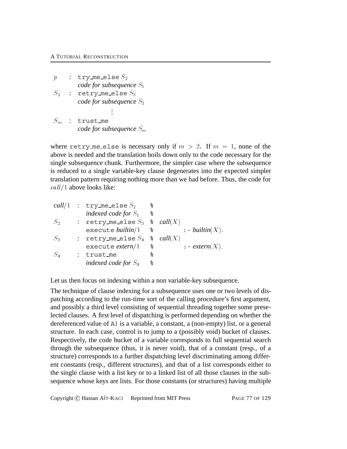$\overline{p}$ : try\_me\_else  $S_2$ *code for subsequence* S  $S_2$  : retry\_me\_else $S_3$ *code for subsequence*  $S_2$ . . .  $S_m$  : trust\_me *code for subsequence*  $S_m$ 

where retry me else is necessary only if  $m > 2$ . If  $m = 1$ , none of the above is needed and the translation boils down only to the code necessary for the single subsequence chunk. Furthermore, the simpler case where the subsequence is reduced to a single variable-key clause degenerates into the expected simpler translation pattern requiring nothing more than we had before. Thus, the code for  $call/1$  above looks like:

| call/1 | : try_me_else $S_2$               | ႜ   |                            |
|--------|-----------------------------------|-----|----------------------------|
|        | indexed code for $S_1$            | ిన  |                            |
| $S_2$  | : retry_me_else $S_3$ % $call(X)$ |     |                            |
|        | execute <i>builtin</i> /1         | ್ಠಿ | $: - \text{building}(X)$ . |
| $S_3$  | : retry_me_else $S_4$ % $call(X)$ |     |                            |
|        | execute $extern/1$                | ႜ   | $: - \text{extern}(X)$ .   |
| $S_4$  | : trust_me                        | ిక  |                            |
|        | indexed code for $S_4$            | ిన  |                            |

Let us then focus on indexing within a non variable-key subsequence.

The technique of clause indexing for a subsequence uses one or two levels of dispatching according to the run-time sort of the calling procedure's first argument, and possibly a third level consisting of sequential threading together some preselected clauses. A first level of dispatching is performed depending on whether the dereferenced value of A is a variable, a constant, a (non-empty) list, or a general structure. In each case, control is to jump to a (possibly void) bucket of clauses. Respectively, the code bucket of a variable corresponds to full sequential search through the subsequence (thus, it is never void), that of a constant (resp., of a structure) corresponds to a further dispatching level discriminating among different constants (resp., different structures), and that of a list corresponds either to the single clause with a list key or to a linked list of all those clauses in the subsequence whose keys are lists. For those constants (or structures) having multiple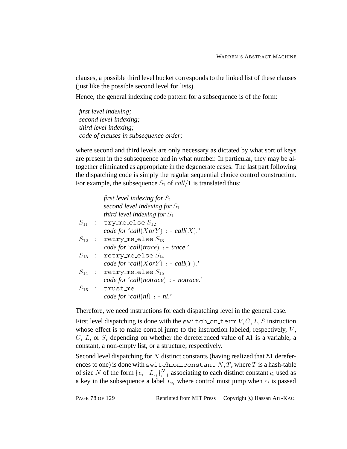clauses, a possible third level bucket corresponds to the linked list of these clauses (just like the possible second level for lists).

Hence, the general indexing code pattern for a subsequence is of the form:

*first level indexing; second level indexing; third level indexing; code of clauses in subsequence order;*

where second and third levels are only necessary as dictated by what sort of keys are present in the subsequence and in what number. In particular, they may be altogether eliminated as appropriate in the degenerate cases. The last part following the dispatching code is simply the regular sequential choice control construction. For example, the subsequence  $S_1$  of *call*/1 is translated thus:

|  | first level indexing for $S_1$         |
|--|----------------------------------------|
|  | second level indexing for $S_1$        |
|  | third level indexing for $S_1$         |
|  | $S_{11}$ : try_me_else $S_{12}$        |
|  | code for 'call(XorY) : - call(X).'     |
|  | $S_{12}$ : retry_me_else $S_{13}$      |
|  | $code for 'call (trace) :- trace'.$    |
|  | $S_{13}$ : retry_me_else $S_{14}$      |
|  | code for 'call( $XorY$ ) : - call(Y).' |
|  | $S_{14}$ : retry_me_else $S_{15}$      |
|  | code for 'call(notrace) : - notrace.'  |
|  | $S_{15}$ : trust_me                    |
|  | code for 'call(nl) $: -nl$ .           |
|  |                                        |

Therefore, we need instructions for each dispatching level in the general case.

First level dispatching is done with the switch on term  $V, C, L, S$  instruction whose effect is to make control jump to the instruction labeled, respectively,  $V$ ,  $C$ ,  $L$ , or  $S$ , depending on whether the dereferenced value of A1 is a variable, a constant, a non-empty list, or a structure, respectively.

Second level dispatching for  $N$  distinct constants (having realized that A1 dereferences to one) is done with switch on constant  $N, T$ , where  $T$  is a hash-table of size N of the form  ${c_i : L_{c_i}}_{i=1}^N$  associating to each distinct constant  $c_i$  used as a key in the subsequence a label  $L_{c_i}$  where control must jump when  $c_i$  is passed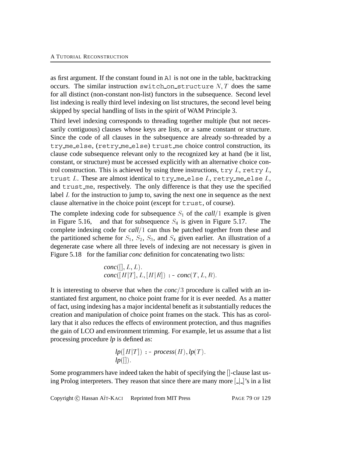as first argument. If the constant found in A is not one in the table, backtracking occurs. The similar instruction switch on structure  $N, T$  does the same for all distinct (non-constant non-list) functors in the subsequence. Second level list indexing is really third level indexing on list structures, the second level being skipped by special handling of lists in the spirit of WAM Principle 3.

Third level indexing corresponds to threading together multiple (but not necessarily contiguous) clauses whose keys are lists, or a same constant or structure. Since the code of all clauses in the subsequence are already so-threaded by a try me else, (retry me else) trust me choice control construction, its clause code subsequence relevant only to the recognized key at hand (be it list, constant, or structure) must be accessed explicitly with an alternative choice control construction. This is achieved by using three instructions,  $\text{try } L$ ,  $\text{return } L$ , trust  $L$ . These are almost identical to try me else  $L$ , retry me else  $L$ , and trust me, respectively. The only difference is that they use the specified label  $L$  for the instruction to jump to, saving the next one in sequence as the next clause alternative in the choice point (except for trust, of course).

The complete indexing code for subsequence  $S_1$  of the *call*/1 example is given in Figure 5.16, and that for subsequence  $S_4$  is given in Figure 5.17. The complete indexing code for *call*/1 can thus be patched together from these and the partitioned scheme for  $S_1$ ,  $S_2$ ,  $S_3$ , and  $S_4$  given earlier. An illustration of a degenerate case where all three levels of indexing are not necessary is given in Figure 5.18 for the familiar *conc* definition for concatenating two lists:

$$
conc([], L, L).
$$
  
conc([H|T], L, [H|R]) :- conc(T, L, R).

It is interesting to observe that when the  $conc/3$  procedure is called with an instantiated first argument, no choice point frame for it is ever needed. As a matter of fact, using indexing has a major incidental benefit as it substantially reduces the creation and manipulation of choice point frames on the stack. This has as corollary that it also reduces the effects of environment protection, and thus magnifies the gain of LCO and environment trimming. For example, let us assume that a list processing procedure *lp* is defined as:

$$
lp([H|T]) :- process(H), lp(T).
$$
  

$$
lp([[).
$$

Some programmers have indeed taken the habit of specifying the []-clause last using Prolog interpreters. They reason that since there are many more  $\lfloor \_ \rfloor$ 's in a list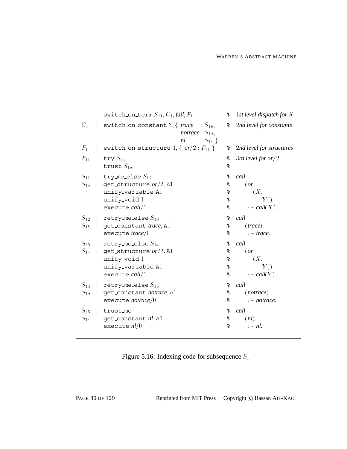|          | switch on term $S_{11}$ , $C_1$ , fail, $F_1$                                                                               | ႜ                           | 1st level dispatch for $S_1$                                    |
|----------|-----------------------------------------------------------------------------------------------------------------------------|-----------------------------|-----------------------------------------------------------------|
|          | $C_1$ : switch on constant 3, { trace : $S_{1b}$ ,<br>notrace : $S_{1d}$ ,<br>$nl \t : S_{1e}$                              |                             | % 2nd level for constants                                       |
|          | $F_1$ : switch_on_structure 1, { $or/2: F_{11}$ }                                                                           | ್ಯ<br>ನ                     | 2nd level for structures                                        |
|          | $F_{11}$ : try $S_{1a}$<br>trust $S_{1c}$                                                                                   | ್ಯ<br>್ದ<br>ಕ               | 3rd level for or/2                                              |
|          | $S_{11}$ : try_me_else $S_{12}$<br>$S_{1a}$ : get_structure or/2, A1<br>unify_variable Al<br>unify_void 1<br>execute call/1 | ್ಯ<br>್ಯ<br>್ಯ<br>နွ        | call<br>(<br>(X,<br>(Y)<br>$\therefore$ - call(X).<br><u> န</u> |
|          | $S_{12}$ : retry_me_else $S_{13}$<br>$S_{1b}$ : get_constant trace, A1<br>execute $trace/0$                                 | နွ<br>ಿ<br>್ಯ               | call<br>(true)<br>$: - trace.$                                  |
| $S_{1c}$ | $S_{13}$ : retry_me_else $S_{14}$<br>: get_structure $or/2,$ Al<br>unify_void 1<br>unify_variable Al<br>execute $call/1$    | ႜ<br>್ಯ<br>$\%$<br>နွ<br>နွ | call<br>(<br>(X,<br>(Y)<br>: <i>call</i> (Y).                   |
|          | $S_{14}$ : retry me else $S_{15}$<br>$S_{1d}$ : get_constant <i>notrace</i> , Al<br>execute <i>notrace</i> / $0$            | နွ<br>ಿ<br>್ಯ               | call<br>(notrace)<br>$: -\n$ notrace.                           |
|          | $S_{15}$ : trust_me<br>$S_{1e}$ : get_constant $nl$ , A1<br>execute $nl/0$                                                  | ႜ<br>್ಯ<br>శి               | call<br>(nl)<br>$: -nl.$                                        |

Figure 5.16: Indexing code for subsequence  $S_1$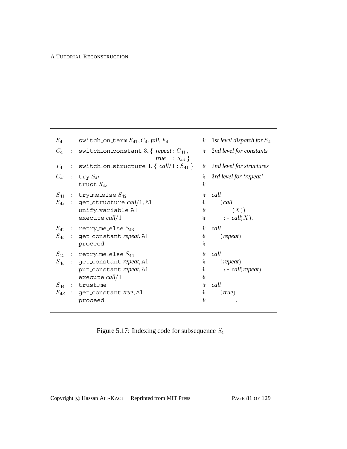| $S_4$ | switch on term $S_{41}$ , $C_4$ , fail, $F_4$                                                                          | ႜ                  | 1st level dispatch for $S_4$                     |
|-------|------------------------------------------------------------------------------------------------------------------------|--------------------|--------------------------------------------------|
|       | $C_4$ : switch_on_constant 3, { repeat : $C_{41}$ ,<br>true $S_{4d}$                                                   | ್ಯ<br>ನ            | 2nd level for constants                          |
| $F_4$ | : switch_on_structure $1, \{ \text{ call}/1 : S_{41} \}$                                                               | ႜ                  | 2nd level for structures                         |
|       | $C_{41}$ : try $S_{4b}$<br>trust $S_{4c}$                                                                              | ి<br>နွ            | 3rd level for 'repeat'                           |
|       | $S_{41}$ : try_me_else $S_{42}$<br>$S_{4a}$ : get_structure call/1, A1<br>unify_variable Al<br>execute $call/1$        | ⊱<br>ಿ<br>န္<br>နွ | call<br>(call<br>(X))<br>$\therefore$ - call(X). |
|       | $S_{42}$ : retry me else $S_{43}$<br>$S_{4b}$ : get_constant repeat, A1<br>proceed                                     | ႜ<br>್ಯ<br>٥ř      | call<br>(repeat)                                 |
|       | $S_{43}$ : retry_me_else $S_{44}$<br>$S_{4c}$ : get constant repeat, Al<br>put_constant repeat, Al<br>execute $call/1$ | ⊱<br>ಿ<br>နွ<br>್ಯ | call<br>(repeat)<br>$\therefore$ call(repeat)    |
|       | $S_{44}$ : trust me<br>$S_{4d}$ : get_constant true, Al<br>proceed                                                     | ್ಯ<br>್ಯ<br>٩,     | call<br>(true)                                   |

Figure 5.17: Indexing code for subsequence  $S_4$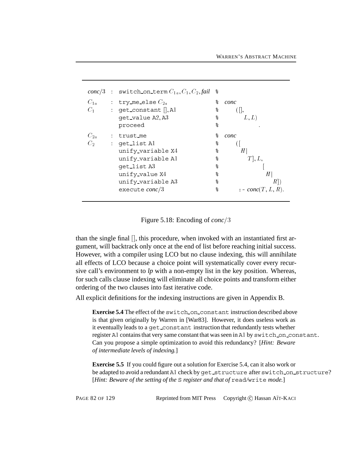| conc/3   |                      | : switch on term $C_{1a}$ , $C_1$ , $C_2$ , fail | °≈ |                                           |
|----------|----------------------|--------------------------------------------------|----|-------------------------------------------|
| $C_{1a}$ | $\ddot{\phantom{a}}$ | try_me_else $C_{2a}$                             | ిన | conc                                      |
| $C_{1}$  |                      | : $qet_{constant}$ [], A1                        | ిన |                                           |
|          |                      | get value A2, A3                                 | ႜ  | L, L)                                     |
|          |                      | proceed                                          | ిన |                                           |
| $C_{2a}$ |                      | : trust me                                       | ిన | conc                                      |
| $C_2$    | $\ddot{\phantom{a}}$ | qet_list Al                                      | ిన |                                           |
|          |                      | unify_variable X4                                | ిన | H                                         |
|          |                      | unify_variable Al                                | ిన | T, L,                                     |
|          |                      | qet_list A3                                      | ిశ |                                           |
|          |                      | $unify_value X4$                                 | ిశ | Н                                         |
|          |                      | unify variable A3                                | ిశ | R                                         |
|          |                      | execute $conc/3$                                 | ిన | : <conc(t, l,="" r).<="" td=""></conc(t,> |

Figure 5.18: Encoding of *conc*/3

than the single final [], this procedure, when invoked with an instantiated first argument, will backtrack only once at the end of list before reaching initial success. However, with a compiler using LCO but no clause indexing, this will annihilate all effects of LCO because a choice point will systematically cover every recursive call's environment to *lp* with a non-empty list in the key position. Whereas, for such calls clause indexing will eliminate all choice points and transform either ordering of the two clauses into fast iterative code.

All explicit definitions for the indexing instructions are given in Appendix B.

**Exercise 5.4** The effect of the switch on constant instruction described above is that given originally by Warren in [War83]. However, it does useless work as it eventually leads to a get\_constant instruction that redundantly tests whether register A1 contains that very same constant that was seen in A1 by switch\_on\_constant. Can you propose a simple optimization to avoid this redundancy? [*Hint: Beware of intermediate levels of indexing.*]

**Exercise 5.5** If you could figure out a solution for Exercise 5.4, can it also work or be adapted to avoid a redundant A1 check by get\_structure after switch\_on\_structure? [*Hint: Beware of the setting of the* S *register and that of* read*/*write *mode.*]

PAGE 82 OF 129 Reprinted from MIT Press Copyright C Hassan AÏT-KACI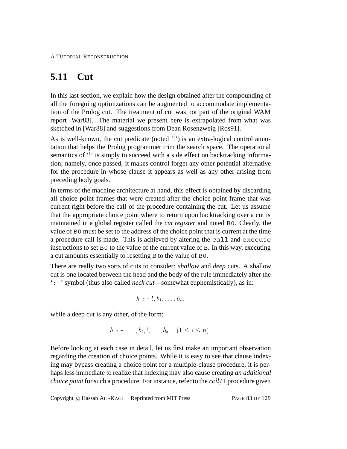# **5.11 Cut**

In this last section, we explain how the design obtained after the compounding of all the foregoing optimizations can be augmented to accommodate implementation of the Prolog cut. The treatment of cut was not part of the original WAM report [War83]. The material we present here is extrapolated from what was sketched in [War88] and suggestions from Dean Rosenzweig [Ros91].

As is well-known, the cut predicate (noted '') is an extra-logical control annotation that helps the Prolog programmer trim the search space. The operational semantics of '!' is simply to succeed with a side effect on backtracking information; namely, once passed, it makes control forget any other potential alternative for the procedure in whose clause it appears as well as any other arising from preceding body goals.

In terms of the machine architecture at hand, this effect is obtained by discarding all choice point frames that were created after the choice point frame that was current right before the call of the procedure containing the cut. Let us assume that the appropriate choice point where to return upon backtracking over a cut is maintained in a global register called the *cut register* and noted B0. Clearly, the value of B0 must be set to the address of the choice point that is current at the time a procedure call is made. This is achieved by altering the call and execute instructions to set B0 to the value of the current value of B. In this way, executing a cut amounts essentially to resetting B to the value of B0.

There are really two sorts of cuts to consider: *shallow* and *deep* cuts. A shallow cut is one located between the head and the body of the rule immediately after the ':-' symbol (thus also called *neck cut*—somewhat euphemistically), as in:

$$
h \; : -1, b_1, \ldots, b_n.
$$

while a deep cut is any other, of the form:

$$
h : \ldots, b_i, !, \ldots, b_n. \quad (1 \leq i \leq n).
$$

Before looking at each case in detail, let us first make an important observation regarding the creation of choice points. While it is easy to see that clause indexing may bypass creating a choice point for a multiple-clause procedure, it is perhaps less immediate to realize that indexing may also cause creating *an additional choice point* for such a procedure. For instance, refer to the  $\alpha$  *call*  $/1$  procedure given

Copyright © Hassan AïT-KACI Reprinted from MIT Press PAGE 83 OF 129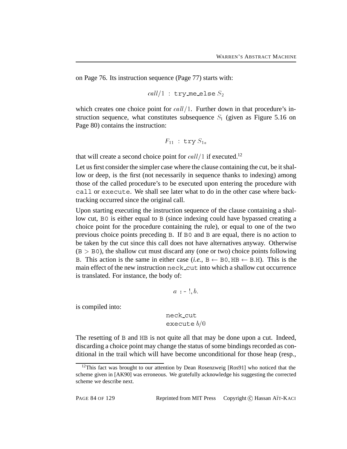on Page 76. Its instruction sequence (Page 77) starts with:

$$
call/1 : try\_me\_else S_2
$$

which creates one choice point for  $call/1$ . Further down in that procedure's instruction sequence, what constitutes subsequence  $S_1$  (given as Figure 5.16 on Page 80) contains the instruction:

$$
F_{11} \div \texttt{try} S_{1a}
$$

that will create a second choice point for  $\frac{call}{1}$  if executed.<sup>12</sup>

Let us first consider the simpler case where the clause containing the cut, be it shallow or deep, is the first (not necessarily in sequence thanks to indexing) among those of the called procedure's to be executed upon entering the procedure with call or execute. We shall see later what to do in the other case where backtracking occurred since the original call.

Upon starting executing the instruction sequence of the clause containing a shallow cut, B0 is either equal to B (since indexing could have bypassed creating a choice point for the procedure containing the rule), or equal to one of the two previous choice points preceding B. If B0 and B are equal, there is no action to be taken by the cut since this call does not have alternatives anyway. Otherwise  $(B > B0)$ , the shallow cut must discard any (one or two) choice points following B. This action is the same in either case  $(i.e., B \leftarrow B0, HB \leftarrow B.H)$ . This is the main effect of the new instruction  $\text{neck}\_\text{cut}$  into which a shallow cut occurrence is translated. For instance, the body of:

$$
a\;:\text{-}~!,b.
$$

is compiled into:

neck cut execute  $b/0$ 

The resetting of B and HB is not quite all that may be done upon a cut. Indeed, discarding a choice point may change the status of some bindings recorded as conditional in the trail which will have become unconditional for those heap (resp.,

<sup>&</sup>lt;sup>12</sup>This fact was brought to our attention by Dean Rosenzweig [Ros91] who noticed that the scheme given in [AK90] was erroneous. We gratefully acknowledge his suggesting the corrected scheme we describe next.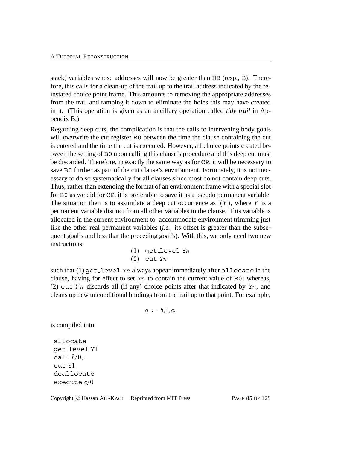stack) variables whose addresses will now be greater than HB (resp., B). Therefore, this calls for a clean-up of the trail up to the trail address indicated by the reinstated choice point frame. This amounts to removing the appropriate addresses from the trail and tamping it down to eliminate the holes this may have created in it. (This operation is given as an ancillary operation called *tidy\_trail* in Appendix B.)

Regarding deep cuts, the complication is that the calls to intervening body goals will overwrite the cut register B0 between the time the clause containing the cut is entered and the time the cut is executed. However, all choice points created between the setting of B0 upon calling this clause's procedure and this deep cut must be discarded. Therefore, in exactly the same way as for CP, it will be necessary to save B0 further as part of the cut clause's environment. Fortunately, it is not necessary to do so systematically for all clauses since most do not contain deep cuts. Thus, rather than extending the format of an environment frame with a special slot for B0 as we did for CP, it is preferable to save it as a pseudo permanent variable. The situation then is to assimilate a deep cut occurrence as  $\{Y\}$ , where Y is a permanent variable distinct from all other variables in the clause. This variable is allocated in the current environment to accommodate environment trimming just like the other real permanent variables (*i.e.*, its offset is greater than the subsequent goal's and less that the preceding goal's). With this, we only need two new instructions:

\n- (1) get-level 
$$
Y_n
$$
\n- (2) cut  $Y_n$
\n

such that  $(1)$  get level Yn always appear immediately after allocate in the clause, having for effect to set  $Y_n$  to contain the current value of B0; whereas, (2) cut  $Y_n$  discards all (if any) choice points after that indicated by  $Y_n$ , and cleans up new unconditional bindings from the trail up to that point. For example,

$$
a\ :\text{-}\ b, !, c.
$$

is compiled into:

allocate get level Y call  $b/0,1$ cut Y deallocate execute  $c/0$ 

Copyright © Hassan AïT-KACI Reprinted from MIT Press PAGE 85 OF 129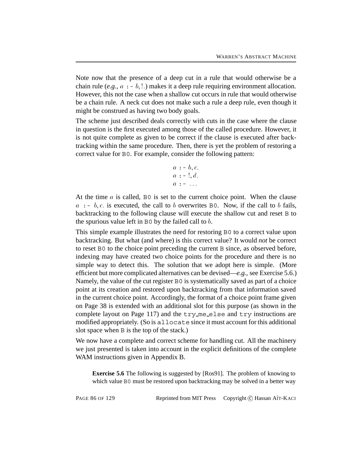Note now that the presence of a deep cut in a rule that would otherwise be a chain rule  $(e.g., a : -b, !.)$  makes it a deep rule requiring environment allocation. However, this not the case when a shallow cut occurs in rule that would otherwise be a chain rule. A neck cut does not make such a rule a deep rule, even though it might be construed as having two body goals.

The scheme just described deals correctly with cuts in the case where the clause in question is the first executed among those of the called procedure. However, it is not quite complete as given to be correct if the clause is executed after backtracking within the same procedure. Then, there is yet the problem of restoring a correct value for B0. For example, consider the following pattern:

$$
a := b, c.
$$
  
\n
$$
a := 1, d.
$$
  
\n
$$
a := \dots
$$

At the time  $\alpha$  is called, BO is set to the current choice point. When the clause  $a : -b, c$  is executed, the call to b overwrites B0. Now, if the call to b fails, backtracking to the following clause will execute the shallow cut and reset B to the spurious value left in B0 by the failed call to  $b$ .

This simple example illustrates the need for restoring B0 to a correct value upon backtracking. But what (and where) is this correct value? It would *not* be correct to reset B0 to the choice point preceding the current B since, as observed before, indexing may have created two choice points for the procedure and there is no simple way to detect this. The solution that we adopt here is simple. (More efficient but more complicated alternatives can be devised—*e.g.*, see Exercise 5.6.) Namely, the value of the cut register B0 is systematically saved as part of a choice point at its creation and restored upon backtracking from that information saved in the current choice point. Accordingly, the format of a choice point frame given on Page 38 is extended with an additional slot for this purpose (as shown in the complete layout on Page 117) and the try me else and try instructions are modified appropriately. (So is allocate since it must account for this additional slot space when B is the top of the stack.)

We now have a complete and correct scheme for handling cut. All the machinery we just presented is taken into account in the explicit definitions of the complete WAM instructions given in Appendix B.

**Exercise 5.6** The following is suggested by [Ros91]. The problem of knowing to which value B0 must be restored upon backtracking may be solved in a better way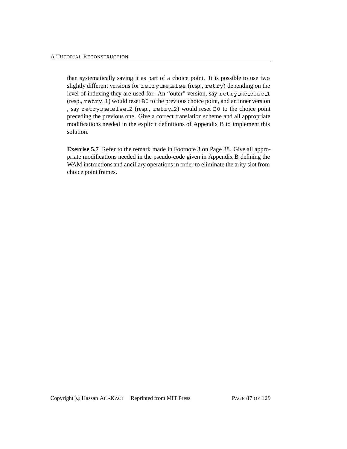than systematically saving it as part of a choice point. It is possible to use two slightly different versions for retry me else (resp., retry) depending on the level of indexing they are used for. An "outer" version, say retry\_me\_else\_1 (resp., retry 1) would reset B0 to the previous choice point, and an inner version , say retry me else 2 (resp., retry 2) would reset B0 to the choice point preceding the previous one. Give a correct translation scheme and all appropriate modifications needed in the explicit definitions of Appendix B to implement this solution.

**Exercise 5.7** Refer to the remark made in Footnote 3 on Page 38. Give all appropriate modifications needed in the pseudo-code given in Appendix B defining the WAM instructions and ancillary operations in order to eliminate the arity slot from choice point frames.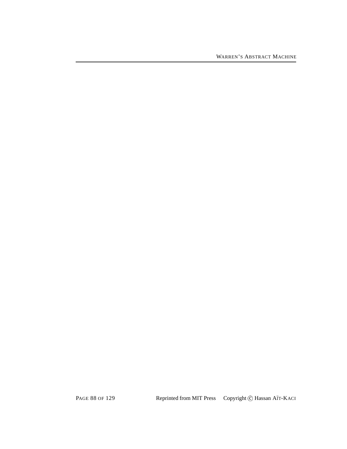WARREN'S ABSTRACT MACHINE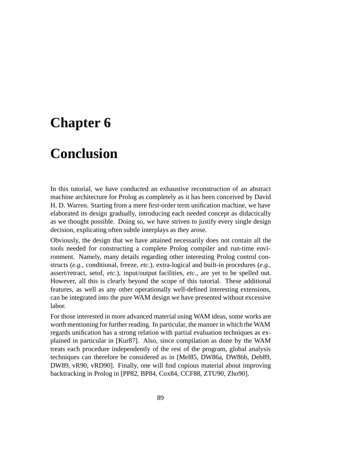# **Chapter 6**

# **Conclusion**

In this tutorial, we have conducted an exhaustive reconstruction of an abstract machine architecture for Prolog as completely as it has been conceived by David H. D. Warren. Starting from a mere first-order term unification machine, we have elaborated its design gradually, introducing each needed concept as didactically as we thought possible. Doing so, we have striven to justify every single design decision, explicating often subtle interplays as they arose.

Obviously, the design that we have attained necessarily does not contain all the tools needed for constructing a complete Prolog compiler and run-time environment. Namely, many details regarding other interesting Prolog control constructs (*e.g.*, conditional, freeze, *etc.*), extra-logical and built-in procedures (*e.g.*, assert/retract, setof, *etc.*), input/output facilities, *etc.*, are yet to be spelled out. However, all this is clearly beyond the scope of this tutorial. These additional features, as well as any other operationally well-defined interesting extensions, can be integrated into the pure WAM design we have presented without excessive labor.

For those interested in more advanced material using WAM ideas, some works are worth mentioning for further reading. In particular, the manner in which the WAM regards unification has a strong relation with partial evaluation techniques as explained in particular in [Kur87]. Also, since compilation as done by the WAM treats each procedure independently of the rest of the program, global analysis techniques can therefore be considered as in [Mel85, DW86a, DW86b, Deb89, DW89, vR90, vRD90]. Finally, one will find copious material about improving backtracking in Prolog in [PP82, BP84, Cox84, CCF88, ZTU90, Zho90].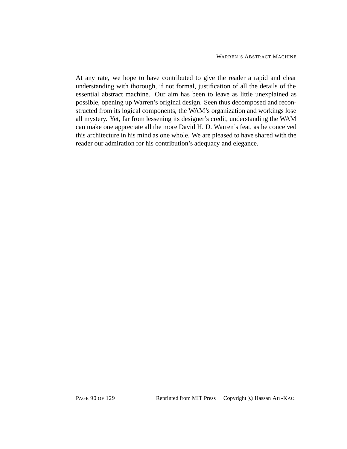At any rate, we hope to have contributed to give the reader a rapid and clear understanding with thorough, if not formal, justification of all the details of the essential abstract machine. Our aim has been to leave as little unexplained as possible, opening up Warren's original design. Seen thus decomposed and reconstructed from its logical components, the WAM's organization and workings lose all mystery. Yet, far from lessening its designer's credit, understanding the WAM can make one appreciate all the more David H. D. Warren's feat, as he conceived this architecture in his mind as one whole. We are pleased to have shared with the reader our admiration for his contribution's adequacy and elegance.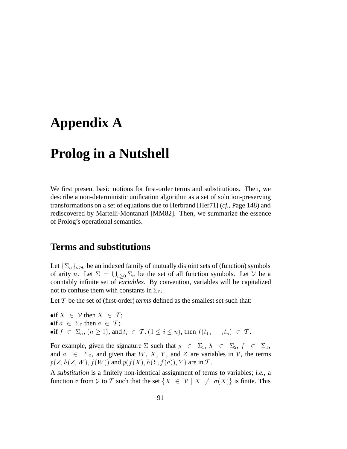# **Appendix A**

# **Prolog in a Nutshell**

We first present basic notions for first-order terms and substitutions. Then, we describe a non-deterministic unification algorithm as a set of solution-preserving transformations on a set of equations due to Herbrand [Her71] (*cf.*, Page 148) and rediscovered by Martelli-Montanari [MM82]. Then, we summarize the essence of Prolog's operational semantics.

## **Terms and substitutions**

Let  $\{\sum_{n}\}_{n>0}$  be an indexed family of mutually disjoint sets of (function) symbols of arity n. Let  $\Sigma = \bigcup_{n>0} \Sigma_n$  be the set of all function symbols. Let V be a countably infinite set of *variables*. By convention, variables will be capitalized not to confuse them with constants in  $\Sigma_0$ .

Let T be the set of (first-order) *terms* defined as the smallest set such that:

 $\bullet$  if  $X \in \mathcal{V}$  then  $X \in \mathcal{T}$ ; •if  $a \in \Sigma_0$  then  $a \in \mathcal{T}$ ;  $\bullet$  if  $f \in \Sigma_n$ ,  $(n \ge 1)$ , and  $t_i \in \mathcal{T}$ ,  $(1 \le i \le n)$ , then  $f(t_1, \ldots, t_n) \in \mathcal{T}$ .

For example, given the signature  $\Sigma$  such that  $p \in \Sigma_3$ ,  $h \in \Sigma_2$ ,  $f \in \Sigma_1$ , and  $a \in \Sigma_0$ , and given that  $W, X, Y$ , and Z are variables in V, the terms  $p(Z, h(Z, W), f(W))$  and  $p(f(X), h(Y, f(a)), Y)$  are in T.

A *substitution* is a finitely non-identical assignment of terms to variables; *i.e.*, a function  $\sigma$  from V to T such that the set  $\{X \in \mathcal{V} \mid X \neq \sigma(X)\}\$ is finite. This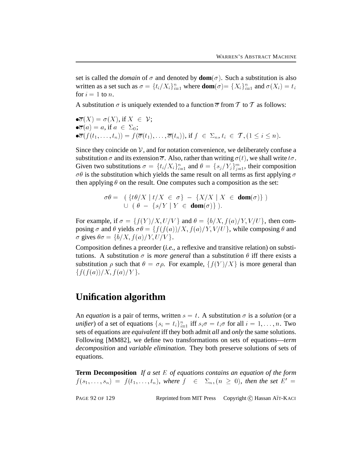set is called the *domain* of  $\sigma$  and denoted by **dom** $(\sigma)$ . Such a substitution is also written as a set such as  $\sigma = \{t_i/X_i\}_{i=1}^n$  where **dom** $(\sigma) = \{X_i\}_{i=1}^n$  and  $\sigma(X_i) = t_i$ for  $i=1$  to n.

A substitution  $\sigma$  is uniquely extended to a function  $\overline{\sigma}$  from T to T as follows:

$$
\begin{array}{l}\n\bullet \overline{\sigma}(X) = \sigma(X), \text{if } X \in \mathcal{V}; \\
\bullet \overline{\sigma}(a) = a, \text{if } a \in \Sigma_0; \\
\bullet \overline{\sigma}(f(t_1, \ldots, t_n)) = f(\overline{\sigma}(t_1), \ldots, \overline{\sigma}(t_n)), \text{if } f \in \Sigma_n, t_i \in \mathcal{T}, (1 \leq i \leq n).\n\end{array}
$$

Since they coincide on  $\mathcal V$ , and for notation convenience, we deliberately confuse a substitution  $\sigma$  and its extension  $\bar{\sigma}$ . Also, rather than writing  $\sigma(t)$ , we shall write  $t\sigma$ . Given two substitutions  $\sigma = \{t_i/X_i\}_{i=1}^n$  and  $\theta = \{s_j/Y_j\}_{j=1}^m$ , their composition  $\sigma\theta$  is the substitution which yields the same result on all terms as first applying  $\sigma$ then applying  $\theta$  on the result. One computes such a composition as the set:

$$
\sigma \theta = \left( \{ t\theta / X \mid t / X \in \sigma \} - \{ X / X \mid X \in \mathbf{dom}(\sigma) \} \right)
$$
  
 
$$
\cup \left( \theta - \{ s / Y \mid Y \in \mathbf{dom}(\sigma) \} \right).
$$

For example, if  $\sigma = \{f(Y)/X, U/V\}$  and  $\theta = \{b/X, f(a)/Y, V/U\}$ , then composing  $\sigma$  and  $\theta$  yields  $\sigma\theta = \{f(f(a))/X, f(a)/Y, V/U\}$ , while composing  $\theta$  and  $\sigma$  gives  $\theta \sigma = \{b/X, f(a)/Y, U/V\}.$ 

Composition defines a preorder (*i.e.*, a reflexive and transitive relation) on substitutions. A substitution  $\sigma$  is *more general* than a substitution  $\theta$  iff there exists a substitution  $\rho$  such that  $\theta = \sigma \rho$ . For example,  $\{f(Y)/X\}$  is more general than  ${f(f(a))/X, f(a)/Y}.$ 

### **Unification algorithm**

An *equation* is a pair of terms, written  $s = t$ . A substitution  $\sigma$  is a *solution* (or a *unifier*) of a set of equations  $\{s_i = t_i\}_{i=1}^n$  iff  $s_i \sigma = t_i \sigma$  for all  $i = 1, \ldots, n$ . Two sets of equations are *equivalent* iff they both admit *all* and *only* the same solutions. Following [MM82], we define two transformations on sets of equations—*term decomposition* and *variable elimination*. They both preserve solutions of sets of equations.

**Term Decomposition** *If a set* <sup>E</sup> *of equations contains an equation of the form*  $f(s_1, \ldots, s_n) = f(t_1, \ldots, t_n)$ , where  $f \in \Sigma_n, (n \geq 0)$ , then the set  $E' =$ 

PAGE 92 OF 129 Reprinted from MIT Press Copyright © Hassan AïT-KACI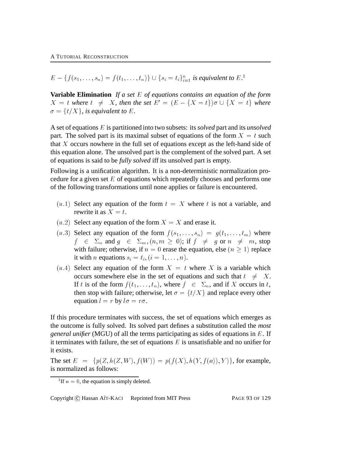$E - \{f(s_1, \ldots, s_n) = f(t_1, \ldots, t_n)\} \cup \{s_i = t_i\}_{i=1}^n$  is equivalent to  $E^1$ .

**Variable Elimination** *If a set* <sup>E</sup> *of equations contains an equation of the form*  $X = t$  where  $t \neq X$ , then the set  $E' = (E - \{X = t\})\sigma \cup \{X = t\}$  where  $\sigma = \{t/X\}$ , is equivalent to E.

A set of equations <sup>E</sup> is partitioned into two subsets: its *solved* part and its *unsolved* part. The solved part is its maximal subset of equations of the form  $X = t$  such that <sup>X</sup> occurs nowhere in the full set of equations except as the left-hand side of this equation alone. The unsolved part is the complement of the solved part. A set of equations is said to be *fully solved* iff its unsolved part is empty.

Following is a unification algorithm. It is a non-deterministic normalization procedure for a given set  $E$  of equations which repeatedly chooses and performs one of the following transformations until none applies or failure is encountered.

- $(u.1)$  Select any equation of the form  $t = X$  where t is not a variable, and rewrite it as  $X = t$ .
- $(u.2)$  Select any equation of the form  $X = X$  and erase it.
- $(u.3)$  Select any equation of the form  $f(s_1, \ldots, s_n) = g(t_1, \ldots, t_m)$  where  $f \in \Sigma_n$  and  $g \in \Sigma_m$ ,  $(n,m \ge 0)$ ; if  $f \ne g$  or  $n \ne m$ , stop with failure; otherwise, if  $n = 0$  erase the equation, else  $(n \ge 1)$  replace it with *n* equations  $s_i = t_i$ ,  $(i = 1, ..., n)$ .
- $(u.4)$  Select any equation of the form  $X = t$  where X is a variable which occurs somewhere else in the set of equations and such that  $t \neq X$ . If t is of the form  $f(t_1, \ldots, t_n)$ , where  $f \in \Sigma_n$ , and if X occurs in t, then stop with failure; otherwise, let  $\sigma = \{t/X\}$  and replace every other equation  $l = r$  by  $l\sigma = r\sigma$ .

If this procedure terminates with success, the set of equations which emerges as the outcome is fully solved. Its solved part defines a substitution called the *most general unifier* (MGU) of all the terms participating as sides of equations in <sup>E</sup>. If it terminates with failure, the set of equations  $E$  is unsatisfiable and no unifier for it exists.

The set  $E = \{p(Z, h(Z, W), f(W)) = p(f(X), h(Y, f(a)), Y)\}\$ , for example, is normalized as follows:

Copyright C Hassan AïT-KACI Reprinted from MIT Press PAGE 93 OF 129

<sup>&</sup>lt;sup>1</sup>If  $n = 0$ , the equation is simply deleted.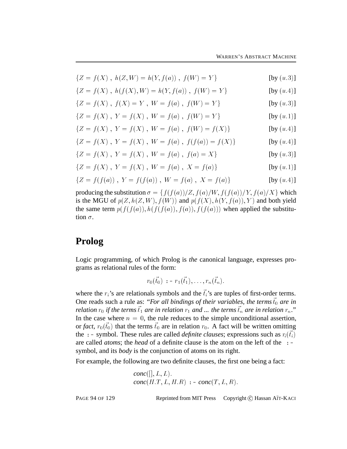$$
\{Z = f(X), h(Z, W) = h(Y, f(a)), f(W) = Y\}
$$
 [by (u.3)]  

$$
\{Z = f(X), h(f(X), W) = h(Y, f(a)), f(W) = Y\}
$$
 [by (u.4)]

fZ <sup>f</sup> X <sup>f</sup> X <sup>Y</sup> W <sup>f</sup> a <sup>f</sup> W <sup>Y</sup> <sup>g</sup> [by u]

$$
\{Z = f(X), f(X) = Y, W = f(a), f(W) = Y\}
$$
 [by (u.3)]

 ${Z = f(X), Y = f(X), W = f(a), f(W) = Y}$ [by  $(u.1)$ ]

$$
\{Z = f(X), Y = f(X), W = f(a), f(W) = f(X)\}
$$
 [by (u.4)]

$$
\{Z = f(X), Y = f(X), W = f(a), f(f(a)) = f(X)\}
$$
 [by (u.4)]

$$
\{Z = f(X), Y = f(X), W = f(a), f(a) = X\}
$$
 [by (u.3)]

$$
\{Z = f(X), Y = f(X), W = f(a), X = f(a)\}\
$$
[by (u.1)]

$$
\{Z = f(f(a)) , Y = f(f(a)) , W = f(a) , X = f(a)\}
$$
 [by (u.4)]

producing the substitution  $\sigma = \{f(f(a))/Z, f(a)/W, f(f(a))/Y, f(a)/X\}$  which is the MGU of  $p(Z, h(Z, W), f(W))$  and  $p(f(X), h(Y, f(a)), Y)$  and both yield the same term  $p(f(f(a)), h(f(f(a)), f(a)), f(f(a)))$  when applied the substitution  $\sigma$ .

## **Prolog**

Logic programming, of which Prolog is *the* canonical language, expresses programs as relational rules of the form:

$$
r_0(\vec{t}_0)\,:=\,r_1(\vec{t}_1),\ldots,r_n(\vec{t}_n).
$$

where the  $r_i$ 's are relationals symbols and the  $\vec{t}_i$ 's are tuples of first-order terms. One reads such a rule as: "*For all bindings of their variables, the terms*  $\vec{t}_0$  are *in relation*  $r_0$  *if the terms*  $\vec{t_1}$  *are in relation*  $r_1$  *and* ... the terms  $\vec{t_n}$  *are in relation*  $r_n$ ." In the case where  $n = 0$ , the rule reduces to the simple unconditional assertion, or *fact*,  $r_0(\vec{t}_0)$  that the terms  $\vec{t}_0$  are in relation  $r_0$ . A fact will be written omitting the : - symbol. These rules are called *definite clauses*; expressions such as  $r_i(\vec{t}_i)$ are called *atoms*; the *head* of a definite clause is the atom on the left of the : symbol, and its *body* is the conjunction of atoms on its right.

For example, the following are two definite clauses, the first one being a fact:

```
conc([[, L, L).conc(H.T, L, H.R) : - conc(T, L, R).
```
PAGE 94 OF 129 Reprinted from MIT Press Copyright © Hassan AïT-KACI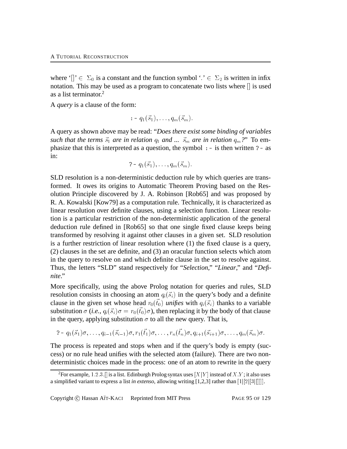where ' $[] \in \Sigma_0$  is a constant and the function symbol '.'  $\in \Sigma_2$  is written in infix notation. This may be used as a program to concatenate two lists where  $[]$  is used as a list terminator.2

A *query* is a clause of the form:

:- qsqmsm

A query as shown above may be read: "*Does there exist some binding of variables such that the terms*  $\vec{s}_1$  *are in relation*  $q_1$  *and* ...  $\vec{s}_m$  *are in relation*  $q_m$ ?" To emphasize that this is interpreted as a question, the symbol  $\cdot$  - is then written  $? -$  as in:

$$
?-q_1(\vec{s}_1),\ldots,q_m(\vec{s}_m).
$$

SLD resolution is a non-deterministic deduction rule by which queries are transformed. It owes its origins to Automatic Theorem Proving based on the Resolution Principle discovered by J. A. Robinson [Rob65] and was proposed by R. A. Kowalski [Kow79] as a computation rule. Technically, it is characterized as linear resolution over definite clauses, using a selection function. Linear resolution is a particular restriction of the non-deterministic application of the general deduction rule defined in [Rob65] so that one single fixed clause keeps being transformed by resolving it against other clauses in a given set. SLD resolution is a further restriction of linear resolution where (1) the fixed clause is a query, (2) clauses in the set are definite, and (3) an oracular function selects which atom in the query to resolve on and which definite clause in the set to resolve against. Thus, the letters "SLD" stand respectively for "*Selection*," "*Linear*," and "*Definite*."

More specifically, using the above Prolog notation for queries and rules, SLD resolution consists in choosing an atom  $q_i(\vec{s}_i)$  in the query's body and a definite clause in the given set whose head  $r_0(\vec{t}_0)$  *unifies* with  $q_i(\vec{s}_i)$  thanks to a variable substitution  $\sigma$  (*i.e.*,  $q_i(\vec{s_i})\sigma = r_0(\vec{t_0})\sigma$ ), then replacing it by the body of that clause in the query, applying substitution  $\sigma$  to all the new query. That is,

$$
?-q_1(\vec{s}_1)\sigma,\ldots,q_{i-1}(\vec{s}_{i-1})\sigma,r_1(\vec{t}_1)\sigma,\ldots,r_n(\vec{t}_n)\sigma,q_{i+1}(\vec{s}_{i+1})\sigma,\ldots,q_m(\vec{s}_m)\sigma.
$$

The process is repeated and stops when and if the query's body is empty (success) or no rule head unifies with the selected atom (failure). There are two nondeterministic choices made in the process: one of an atom to rewrite in the query

<sup>&</sup>lt;sup>2</sup>For example, 1.2.3. [] is a list. Edinburgh Prolog syntax uses  $[X|Y]$  instead of  $X.Y$  ; it also uses a simplified variant to express a list *in extenso*, allowing writing  $[1,2,3]$  rather than  $[1|[2|[3||]]]$ .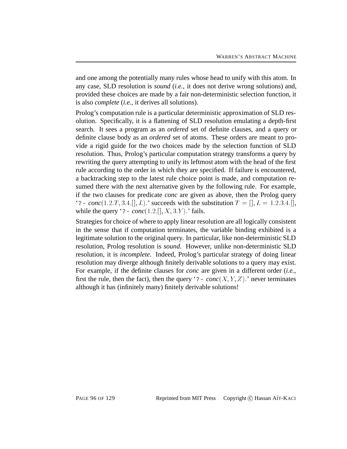and one among the potentially many rules whose head to unify with this atom. In any case, SLD resolution is *sound* (*i.e.*, it does not derive wrong solutions) and, provided these choices are made by a fair non-deterministic selection function, it is also *complete* (*i.e.*, it derives all solutions).

Prolog's computation rule is a particular deterministic approximation of SLD resolution. Specifically, it is a flattening of SLD resolution emulating a depth-first search. It sees a program as an *ordered* set of definite clauses, and a query or definite clause body as an *ordered* set of atoms. These orders are meant to provide a rigid guide for the two choices made by the selection function of SLD resolution. Thus, Prolog's particular computation strategy transforms a query by rewriting the query attempting to unify its leftmost atom with the head of the first rule according to the order in which they are specified. If failure is encountered, a backtracking step to the latest rule choice point is made, and computation resumed there with the next alternative given by the following rule. For example, if the two clauses for predicate *conc* are given as above, then the Prolog query  $\text{``?} \text{-} conc(1.2.1, 3.4.[], L).$ ' succeeds with the substitution  $T = []$ ,  $L = 1.2.3.4.[],$ while the query '? -  $conc(1.2.[], X, 3. Y)$ .' fails.

Strategies for choice of where to apply linear resolution are all logically consistent in the sense that if computation terminates, the variable binding exhibited is a legitimate solution to the original query. In particular, like non-deterministic SLD resolution, Prolog resolution is *sound*. However, unlike non-deterministic SLD resolution, it is *incomplete*. Indeed, Prolog's particular strategy of doing linear resolution may diverge although finitely derivable solutions to a query may exist. For example, if the definite clauses for *conc* are given in a different order (*i.e.*, first the rule, then the fact), then the query '? -  $conc(X, Y, Z)$ .' never terminates although it has (infinitely many) finitely derivable solutions!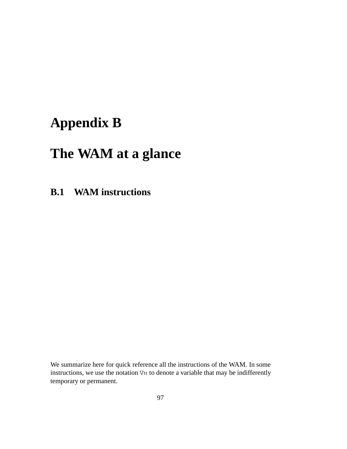# **Appendix B**

# **The WAM at a glance**

**B.1 WAM instructions**

We summarize here for quick reference all the instructions of the WAM. In some instructions, we use the notation  $\nabla n$  to denote a variable that may be indifferently temporary or permanent.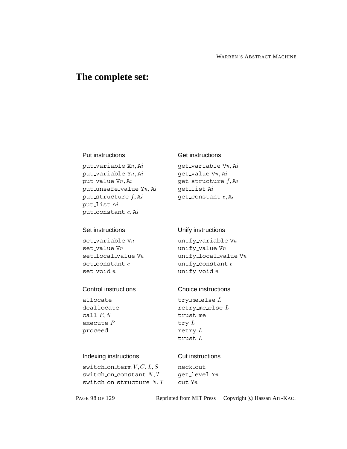## **The complete set:**

#### Put instructions

put variable  $X_n$ , Ai put variable Yn A<sup>i</sup> put value  $Vn$ , Ai put unsafe value  $Yn$ , Ai put structure  $f, Ai$ put list A<sup>i</sup> put constant  $c, A$ 

#### Set instructions

set\_variable $Vn$ set\_value  $Vn$ set local value  $V_n$ set\_constant  $c$ set void  $n$ 

#### Control instructions

allocate deallocate call  $P, N$ execute  $P$ proceed

#### Get instructions

 $q$ et variable V $n$ , A $i$ get value  $V_n$ , Ai get structure  $f$ , Ai get list A<sup>i</sup> get constant  $c, Ai$ 

#### Unify instructions

unify\_variable  $Vn$ unify value  $V_n$ unify local value V<sup>n</sup> unify\_constant $c$ unify void  $n$ 

#### Choice instructions

try\_me\_else  $L$ retry me else <sup>L</sup> trust me try <sup>L</sup> retry <sup>L</sup> trust <sup>L</sup>

#### Indexing instructions

Cut instructions

switch on term  $V, C, L, S$ switch on constant  $N,T$ switch on structure  $N, T$  neck cut get level Y<sup>n</sup> cut Y<sup>n</sup>

PAGE 98 OF 129 Reprinted from MIT Press Copyright © Hassan AïT-KACI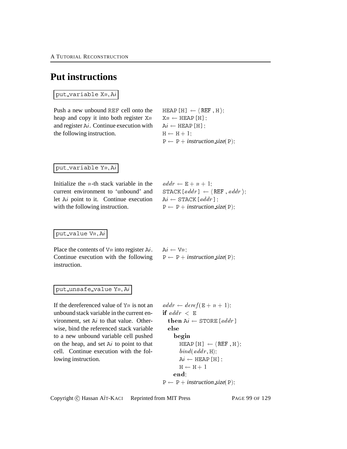### **Put instructions**

#### $put$ -variable  $Xn$ . Ai

Push a new unbound REF cell onto the heap and copy it into both register  $X_n$ and register Ai. Continue execution with the following instruction.

 $HEAP[H] \leftarrow \langle REF, H \rangle;$  $Xn \leftarrow \text{HEAD}[H]$ ;  $Ai \leftarrow \text{HEAD} [H]$ ;  $H \leftarrow H + 1$ ;  $P \leftarrow P + instruction_size(P);$ 

#### put variable  $Yn$ , Ai

Initialize the  $n$ -th stack variable in the current environment to 'unbound' and let A<sup>i</sup> point to it. Continue execution with the following instruction.

```
addr \leftarrow \mathbf{E} + n + 1;\texttt{STACK}[addr] \leftarrow \langle \texttt{REF},addr \rangle;Ai \leftarrow STACK[addr];
P \leftarrow P + instruction\_size(P);
```
#### put value  $Vn$ , Ai

Place the contents of  $\nabla n$  into register Ai. Continue execution with the following instruction.

 $Ai \leftarrow \nabla n$ ;  $P \leftarrow P + instruction size(P);$ 

#### put unsafe value  $Yn, Ai$

If the dereferenced value of  $Y_n$  is not an unbound stack variable in the current environment, set A<sup>i</sup> to that value. Otherwise, bind the referenced stack variable to a new unbound variable cell pushed on the heap, and set  $Ai$  to point to that cell. Continue execution with the following instruction.

```
addr \leftarrow deref(\mathbf{E} + n + 1);if addr < E{\rm \bf then\ A}i\leftarrow {\rm \,STORE\,}[\,addr\,]elsebeginHEAP[H] \leftarrow \langle REF, H \rangle;bind(\,addr, H);Ai \leftarrow \text{HEAD [H]};
         \text{H} \gets \text{H} + 1end
P \leftarrow P + instruction\_size(P);
```
Copyright © Hassan AïT-KACI Reprinted from MIT Press PAGE 99 OF 129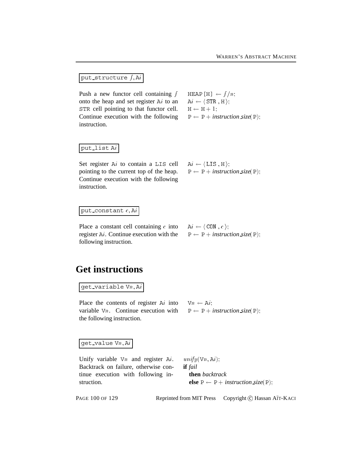put structure  $f, Ai$ 

Push a new functor cell containing <sup>f</sup> onto the heap and set register A<sup>i</sup> to an STR cell pointing to that functor cell. Continue execution with the following instruction.

HEAP [H]  $\leftarrow$  f/n;  $\mathrm{A}i \leftarrow \langle \, \texttt{STR}\, , \mathrm{H} \, \rangle;$  $H \leftarrow H + 1;$  $P \leftarrow P + instruction\_size(P);$ 

put list A<sup>i</sup>

Set register A<sup>i</sup> to contain a LIS cell pointing to the current top of the heap. Continue execution with the following instruction.

 $Ai \leftarrow \langle \text{LIS}, \text{H} \rangle;$  $P \leftarrow P + instruction\_size(P);$ 

put constant  $c$ , A $i$ 

Place a constant cell containing  $c$  into register Ai. Continue execution with the following instruction.  $\mathrm{A}i \leftarrow \langle$  CON  $,c \rangle$ ;  $P \leftarrow P + instruction size(P);$ 

### **Get instructions**

 $get\_variable$   $Vn, Ai$ 

Place the contents of register  $Ai$  into variable Vn. Continue execution with the following instruction.  $\nabla n \leftarrow \mathbf{A}$ *i*:  $P \leftarrow P + instruction\_size(P);$ 

get value  $Vn$ , Ai

Unify variable Vn and register Ai. Backtrack on failure, otherwise continue execution with following instruction.

 $unify( *Vn*, A<sub>i</sub>)$ ; **if** *fail* **then** *backtrack* **else**  $P \leftarrow P + instruction size(P)$ ;

PAGE 100 OF 129 Reprinted from MIT Press Copyright C Hassan AÏT-KACI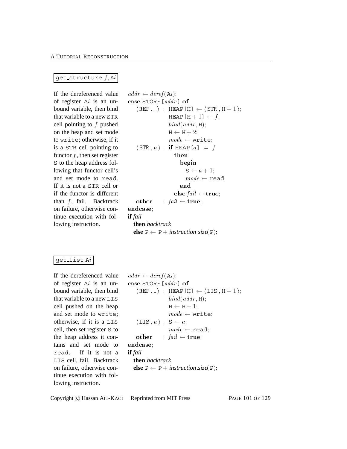#### get\_structure  $f$ , Ai

If the dereferenced value of register  $Ai$  is an unbound variable, then bind that variable to a new STR cell pointing to  $f$  pushed on the heap and set mode to write; otherwise, if it is a STR cell pointing to functor  $f$ , then set register S to the heap address following that functor cell's and set mode to read. If it is not a STR cell or if the functor is different than  $f$ , fail. Backtrack on failure, otherwise continue execution with following instruction.

#### $addr \leftarrow \text{deref(Ai)}$ ;  $\mathbf{case} \ \text{STORE} \ [ \textit{addr} \ ] \ \mathbf{of}$  $\langle$  REF  $, \_ \rangle$  : HEAP [H]  $\leftarrow$   $\langle$  STR  $, H + 1 \rangle$ ; HEAP  $[H + 1] \leftarrow f$ ;  $bind(addr, H);$  $H \leftarrow H + 2;$  $mode \leftarrow \texttt{write};$  $\langle$  STR  $, a \rangle$  : if HEAP [ $a$ ] =  $f$ thenbegin $S \leftarrow a + 1;$  $mode \leftarrow \texttt{read}$ endelse  $\tau a u \leftarrow \texttt{true:}$ other:  $fail \leftarrow true;$ endcase **if** *fail* **then** *backtrack* **else**  $P \leftarrow P + instruction_size(P)$ ;

#### get list A<sup>i</sup>

If the dereferenced value of register  $Ai$  is an unbound variable, then bind that variable to a new LIS cell pushed on the heap and set mode to write; otherwise, if it is a LIS cell, then set register S to the heap address it contains and set mode to read. If it is not a LIS cell, fail. Backtrack on failure, otherwise continue execution with following instruction.

```
addr \leftarrow \text{deref}(\text{A}i);case STORE [addr] of
     \langle REF , \_ : HEAP [H] \leftarrow \langle LIS , H + 1 \rangle;
                      bind(addr, H);H \leftarrow H + 1;
                      mode \leftarrow \texttt{write};\langle LIS , a \rangle : S \leftarrow a;
                      mode \leftarrow \texttt{read};other: fail \leftarrow true;
endcase
if fail
   then backtrack
   else P \leftarrow P + instruction_size(P);
```
Copyright C Hassan AïT-KACI Reprinted from MIT Press PAGE 101 OF 129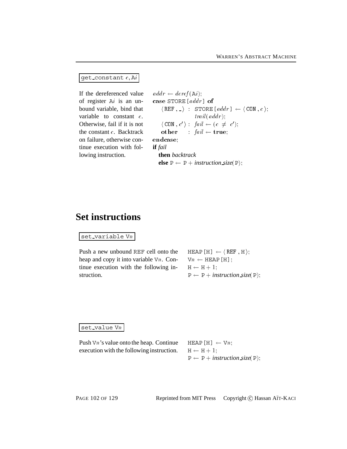get constant  $c,$  A $i$ 

If the dereferenced value of register  $Ai$  is an unbound variable, bind that variable to constant <sup>c</sup>. Otherwise, fail if it is not the constant <sup>c</sup>. Backtrack on failure, otherwise continue execution with following instruction.

```
addr \leftarrow deref(\mathrm{A}i);\mathbf{case} \ \text{STORE} \ [ \textit{addr} \ ] \ \mathbf{of}\langle REF , \_ \rangle : STORE [addr] \leftarrow \langle CON , c \rangle;
                          trail addr 
      \langle CON ,c' \rangle: \mathit{fail} \leftarrow (c \ \neq \ c') ;other\therefore fail \leftarrow true;
endcase
if fail
   then backtrack
   else P \leftarrow P + instruction_size(P);
```
## **Set instructions**

set\_variable  $Vn$ 

Push a new unbound REF cell onto the heap and copy it into variable Vn. Continue execution with the following instruction.  $HEAP[H] \leftarrow \langle REF, H \rangle;$  $\nabla n \leftarrow \text{HEAD [H]}$ ;  $H \leftarrow H + 1$ ;  $P \leftarrow P + instruction size(P);$ 

set\_value  $\nu$ n

| Push $V_n$ 's value onto the heap. Continue                      | $HERP[H] \leftarrow \forall n$ ;        |
|------------------------------------------------------------------|-----------------------------------------|
| execution with the following instruction. $H \leftarrow H + 1$ ; |                                         |
|                                                                  | $P \leftarrow P + instruction size(P);$ |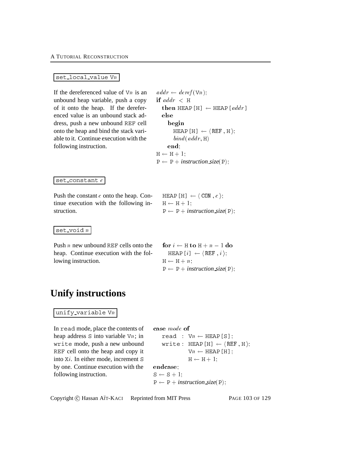#### set local value V<sup>n</sup>

If the dereferenced value of  $\nabla n$  is an unbound heap variable, push a copy of it onto the heap. If the dereferenced value is an unbound stack address, push a new unbound REF cell onto the heap and bind the stack variable to it. Continue execution with the following instruction.

 $addr \leftarrow deref(\forall n);$ if  $addr < H$  ${\bf then}\ \mathtt{HEAD}\ [{\rm H}] \ \leftarrow \mathtt{HEAD}\ [\textit{addr}\ ]$ elsebeginHEAP [H]  $\leftarrow$   $\langle$  REF, H  $\rangle$ ;  $bind(\,addr,\text{H})$ end  $H \leftarrow H + 1$ ;  $P \leftarrow P + instruction size(P);$ 

#### set constant  $c$

Push the constant  $c$  onto the heap. Continue execution with the following instruction.

 $HEAP[H] \leftarrow \langle CON, c \rangle;$  $H \leftarrow H + 1$ ;  $P \leftarrow P + instruction.size(P);$ 

#### set void  $n$

Push  $n$  new unbound REF cells onto the heap. Continue execution with the following instruction.

```
for i \leftarrow H to H + n-1 do
  HEAP[i] \leftarrow \langleREF, i );
H \leftarrow H + n;P \leftarrow P + instruction.size(P);
```
### **Unify instructions**

#### unify variable V<sup>n</sup>

In read mode, place the contents of heap address  $S$  into variable  $V_n$ ; in write mode, push a new unbound REF cell onto the heap and copy it into Xi. In either mode, increment S by one. Continue execution with the following instruction.

#### case mode of

```
read : Vn \leftarrow \text{HEAD}[S];
    write: HEAP[H] \leftarrow \langle REF, H \rangle;
                   \nabla n \leftarrow \text{HEAD}[H];
                   H \leftarrow H + 1;
endcase
```
 $S \leftarrow S + 1$ ;  $P \leftarrow P + instruction size(P);$ 

Copyright © Hassan AïT-KACI Reprinted from MIT Press PAGE 103 OF 129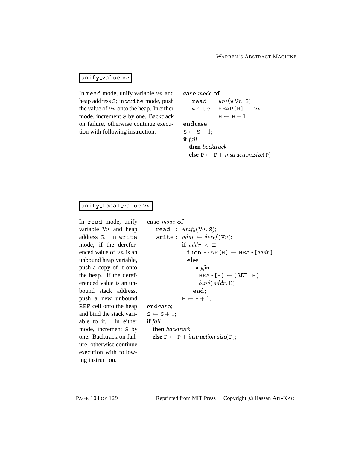#### unify value V<sup>n</sup>

In read mode, unify variable  $\nabla n$  and heap address S; in write mode, push the value of V<sup>n</sup> onto the heap. In either mode, increment S by one. Backtrack on failure, otherwise continue execution with following instruction.

```
case mode of
   read : unify(vn, S);write: HEAP[H] \leftarrow Vn;
              H \leftarrow H + 1:
endcase
S \leftarrow S + 1;if fail
  then backtrack
  else P \leftarrow P + instruction size(P);
```
#### unify\_local\_value  $Vn$

In read mode, unify variable V<sup>n</sup> and heap address S. In write mode, if the dereferenced value of V<sup>n</sup> is an unbound heap variable, push a copy of it onto the heap. If the dereferenced value is an unbound stack address, push a new unbound REF cell onto the heap and bind the stack variable to it. In either mode, increment S by one. Backtrack on failure, otherwise continue execution with following instruction.

```
case mode of
    read : unify(vn, S);
    write: addr \leftarrow deref(\nabla n);if addr \ < H \,{\bf then}\ \mathtt{HEAD}\ [{\tt H}] \ \leftarrow {\tt HEAD}\ [{\mathit{addr}}\ {\tt ]}elsebeginHEAP [H] \leftarrow \langle REF, H \rangle;
                           bind(addr, H)end
                 H \leftarrow H + 1;endcase
S \leftarrow S + 1;
if fail
   then backtrack
   else P \leftarrow P + instruction_size(P);
```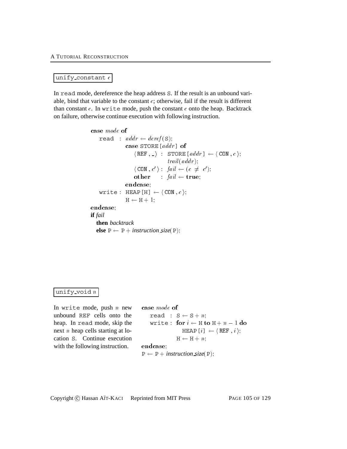#### unify constant  $c$

In read mode, dereference the heap address S. If the result is an unbound variable, bind that variable to the constant  $c$ ; otherwise, fail if the result is different than constant  $c$ . In write mode, push the constant  $c$  onto the heap. Backtrack on failure, otherwise continue execution with following instruction.

```
case mode of
    read : addr \leftarrow deref(S):
                   \mathbf{case}\ \text{STORE}\ [addr]\ \mathbf{of}\langle REF , \_ \rangle : STORE [addr] \leftarrow \langle CON , c \rangle;
                                           trail addr 
                        \langle CON ,c' \rangle: \mathit{fail} \leftarrow (c \ \neq \ c') ;other : {{a}u \leftarrow {\mathbf{true}}:
                   endcase
    write: HEAP[H] \leftarrow \langle CON, c \rangle;
                   H \leftarrow H + 1;endcase
if fail
   then backtrack
   else P \leftarrow P + instruction_size(P);
```
#### unify void  $n$

In write mode, push  $n$  new unbound REF cells onto the heap. In read mode, skip the next <sup>n</sup> heap cells starting at location S. Continue execution with the following instruction.

```
read : S \leftarrow S + n;
   write: for i \leftarrow H to H + n - 1 do
                   HEAP[i] \leftarrow \langleREF, i );
                H \leftarrow H + n;endcase
P \leftarrow P + instruction.size(P);
```
Copyright C Hassan AïT-KACI Reprinted from MIT Press PAGE 105 OF 129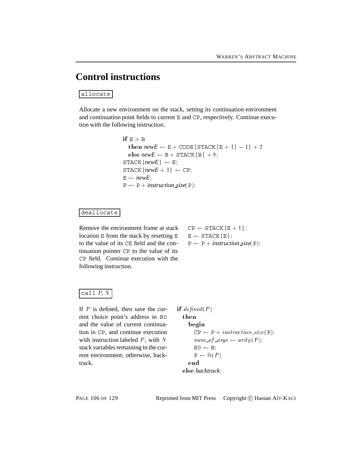## **Control instructions**

#### allocate

Allocate a new environment on the stack, setting its continuation environment and continuation point fields to current E and CP, respectively. Continue execution with the following instruction.

```
if \mathtt{E}>\mathtt{B}\text{then } newE \leftarrow \text{E} + \text{CODE}[\text{STACK}[\text{E} + 1] - 1] + 2\mathbf{else}~newE \leftarrow \texttt{B} + \texttt{STACK} \left[ \texttt{B} \right] + 8;STACK[newE] \leftarrow E;
STATE[newE + 1] \leftarrow CP;E \leftarrow newE;
P \leftarrow P + instruction size(P);
```
#### deallocate

Remove the environment frame at stack location E from the stack by resetting E to the value of its CE field and the continuation pointer CP to the value of its CP field. Continue execution with the following instruction.

 $CP \leftarrow$  STACK  $[E + 1]$ ;  $E \leftarrow$  STACK[E];  $P \leftarrow P + instruction\_size(P);$ 

#### call  $P, N$

If  $P$  is defined, then save the current choice point's address in B0 and the value of current continuation in CP, and continue execution with instruction labeled  $P$ , with  $N$ stack variables remaining in the current environment; otherwise, backtrack.

```
if de errette de en antique de la possibilitat de la possibilitat de la possibilitat de la possibilitat de la
   thenbegin\text{CP} \leftarrow \text{P} + instruction\_size(\text{P});num\_of\_args \leftarrow array(F).
            B0 \leftarrow BP \leftarrow \mathbb{Q}(P)endelse backtrack
```
PAGE 106 OF 129 Reprinted from MIT Press Copyright © Hassan AïT-KACI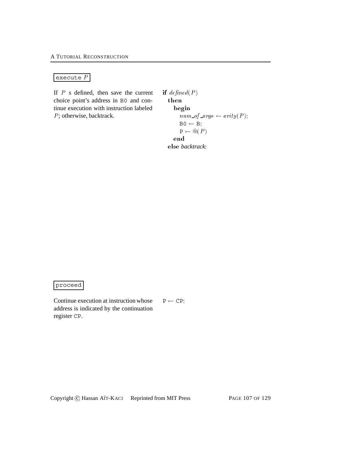#### execute  $P$

If  $P$  s defined, then save the current choice point's address in B0 and continue execution with instruction labeled  $P$ ; otherwise, backtrack.

 $\cdots$  denotes be a set of  $\cdots$ thenbegin $num\_of\_args \leftarrow array(F).$  $B0 \leftarrow B$ ;  $P \leftarrow \mathbb{Q}(P)$ endelse *backtrack*

proceed

Continue execution at instruction whose address is indicated by the continuation register CP.  $P \leftarrow CP$ 

Copyright © Hassan AïT-KACI Reprinted from MIT Press PAGE 107 OF 129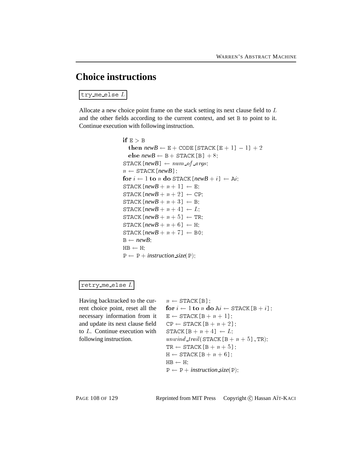### **Choice instructions**

try me else <sup>L</sup>

Allocate a new choice point frame on the stack setting its next clause field to <sup>L</sup> and the other fields according to the current context, and set B to point to it. Continue execution with following instruction.

```
if \mathtt{E}>\mathtt{B}\mathbf{then} \ \mathit{newB} \leftarrow \mathbf{E} + \mathbf{CODE} \ [\texttt{STACK} \ [\mathbf{E} + 1] - 1] + 2\mathbf{else}~newB \leftarrow \texttt{B} + \texttt{STACK} \left[ \texttt{B} \right] + 8;STACK[newB] \leftarrow num\_of\_args;n \leftarrow \texttt{STACK}\left[\textit{newB}\right];for i \leftarrow 1 to n do STACK [\mathit{newB} + i] \leftarrow \mathit{Ai};\text{STACK}[newB + n + 1] \leftarrow E;\texttt{STACK}[newB + n + 2] \leftarrow \texttt{CP};STACK[newB + n + 3] \leftarrow B;
\text{STACK}[newB + n + 4] \leftarrow L;\text{STACK}[newB + n + 5] \leftarrow \text{TR};\text{STACK}[newB + n + 6] \leftarrow H;STACK[newB + n + 7] \leftarrow B0;B \leftarrow newB;
HB \leftarrow H;
P \leftarrow P + instruction\_size(P);
```
#### retry me else <sup>L</sup>

Having backtracked to the current choice point, reset all the necessary information from it and update its next clause field to <sup>L</sup>. Continue execution with following instruction.

```
n \leftarrow \texttt{STACK}[{\texttt{B}}] \, ;for i\leftarrow 1 to n do Ai\leftarrow \texttt{STACK}\left[\texttt{B}+i\right];E \leftarrow STACK [B + n + 1];
CP \leftarrow STACK [B + n + 2];
STACK [B + n + 4] \leftarrow L;
unwind_trail(\text{STACK}[B + n + 5], TR);
TR \leftarrow STACK [B + n + 5];
H \leftarrow STACK [B + n + 6];
HB \leftarrow H;
P \leftarrow P + instruction size(P);
```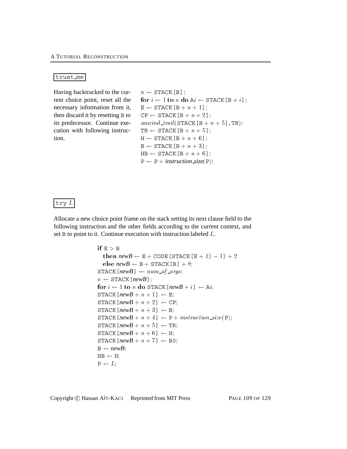#### trust me

Having backtracked to the current choice point, reset all the necessary information from it, then discard it by resetting B to its predecessor. Continue execution with following instruction.

```
n \leftarrow \texttt{STACK}[B] ;
for i \leftarrow 1 to n do Ai \leftarrow \texttt{STACK}[B + i];
E \leftarrow STACK [B + n + 1];
CP \leftarrow STACK [B + n + 2];
unwind\_trail(\text{STACK } [B + n + 5], TR);
TR \leftarrow STACK [B + n + 5];
H \leftarrow STACK [B + n + 6];
B \leftarrow STACK [B + n + 3];
HB \leftarrow STACK [B + n + 6];
P \leftarrow P + instruction\_size(P);
```
#### try <sup>L</sup>

Allocate a new choice point frame on the stack setting its next clause field to the following instruction and the other fields according to the current context, and set B to point to it. Continue execution with instruction labeled L.

```
if \mathtt{E}>\mathtt{B}\text{then } newB \leftarrow \text{E} + \text{CODE}[\text{STACK}[\text{E} + 1] - 1] + 2\mathbf{else}~newB \leftarrow \texttt{B} + \texttt{STACK} \left[ \texttt{B} \right] + 8;STACK[newB] \leftarrow num_of_{args};n \leftarrow \texttt{STACK}\left[\textit{newB}\right];for i \leftarrow 1 to n do STACK [\mathit{newB} + i] \leftarrow \mathit{Ai};STACK[newB + n + 1] \leftarrow E;\texttt{STACK}[newB + n + 2] \leftarrow \texttt{CP};\text{STACK}[newB + n + 3] \leftarrow B;STACK[newB + n + 4] \leftarrow P + instruction\_size(P);STACK[newB + n + 5] \leftarrow TR;STACK [newB + n + 6] \leftarrow H;
STACK[newB + n + 7] \leftarrow B0;B \leftarrow newBHB \leftarrow H;
P \leftarrow L;
```
Copyright © Hassan AïT-KACI Reprinted from MIT Press PAGE 109 OF 129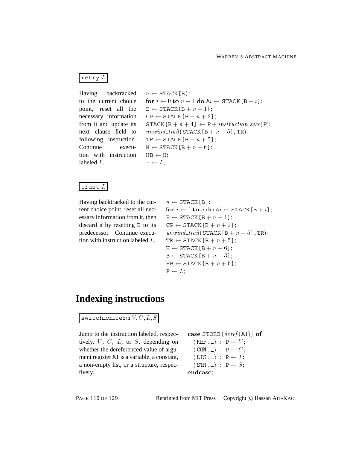#### retry <sup>L</sup>

Having backtracked to the current choice point, reset all the necessary information from it and update its next clause field to following instruction. Continue execution with instruction labeled <sup>L</sup>.

```
n \leftarrow \texttt{STACK}[{\texttt{B}}] \, ;for i \leftarrow 0 to n-1 do Ai \leftarrow \texttt{STACK}\left[\mathtt{B}+i\right];E \leftarrow STACK [B + n + 1];
CP \leftarrow STACK [B + n + 2];
STACK [B + n + 4] \leftarrow P + instruction\_size(P);unwind_trail(\text{STACK}[B + n + 5], TR);
TR \leftarrow STACK [B + n + 5];
H \leftarrow STACK [B + n + 6];
HB \leftarrow H:
P \leftarrow L;
```
trust  $L$ 

Having backtracked to the current choice point, reset all necessary information from it, then discard it by resetting B to its predecessor. Continue execution with instruction labeled <sup>L</sup>.

 $n \leftarrow \texttt{STACK} \left[ \texttt{B} \right] ;$ for  $i\leftarrow 1$  to  $n$  do A $i\leftarrow \texttt{STACK}\left[\texttt{B}+i\right];$  $E \leftarrow$  STACK  $[B + n + 1]$ ;  $CP \leftarrow$  STACK  $[B + n + 2]$ ; unwind\_trail( $\text{STACK}[B + n + 5]$ , TR);  $TR \leftarrow$  STACK  $[B + n + 5]$ ;  $H \leftarrow$  STACK [B + n + 6];  $B \leftarrow$  STACK  $[B + n + 3]$ ;  $HB \leftarrow$  STACK  $[B + n + 6]$ ;  $P \leftarrow L$ ;

## **Indexing instructions**

switch on term  $V, C, L, S$ 

Jump to the instruction labeled, respectively,  $V$ ,  $C$ ,  $L$ , or  $S$ , depending on whether the dereferenced value of argument register A1 is a variable, a constant, a non-empty list, or a structure, respectively.

```
case STORE [\, \mathit{deref}(\text{A1}) ]\, of
    \langle REF , \_ \rangle : P \leftarrow V;
    \langle CON , \_\rangle : P \leftarrow C;
    \langle LIS , \_ \rangle : P \leftarrow L;
    \langle STR , \_ \rangle : P \leftarrow S;
endcase
```
PAGE 110 OF 129 Reprinted from MIT Press Copyright C Hassan AïT-KACI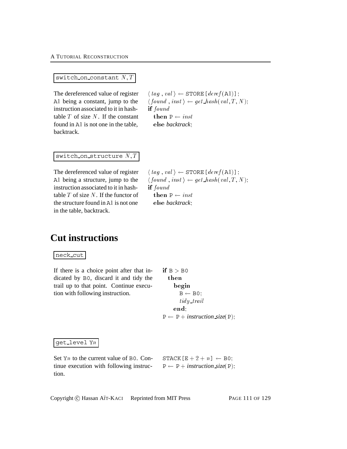#### switch on constant  $N,T$

The dereferenced value of register Al being a constant, jump to the instruction associated to it in hashtable  $T$  of size  $N$ . If the constant found in A1 is not one in the table, backtrack.

 $\langle tag, val \rangle \leftarrow$  STORE [deref(A1)];  $\langle$  found, inst  $\rangle \leftarrow get\_hash(val, T, N);$  $\blacksquare$  if  $\blacksquare$  if  $\blacksquare$  if  $\blacksquare$ then P  $\leftarrow$   $inst$ else *backtrack*

switch on structure  $N, T$ 

The dereferenced value of register Al being a structure, jump to the instruction associated to it in hashtable  $T$  of size  $N$ . If the functor of the structure found in A1 is not one in the table, backtrack.

```
\langle tag, val \rangle \leftarrow STORE [deref(A1)];
\langle found, inst \rangle \leftarrow get\_hash(val, T, N);\cdots found \cdotsthen P \leftarrow instelse backtrack
```
## **Cut instructions**

#### neck cut

If there is a choice point after that indicated by B0, discard it and tidy the trail up to that point. Continue execution with following instruction.

if  $\texttt{B}>\texttt{B0}$ thenbegin $B \leftarrow B0$ ; tid the trail of the trail of the trail of the trail of the trail of the trail of the trail of the trail of the trail of the trail of the trail of the trail of the trail of the trail of the trail of the trail of the trail end  $P \leftarrow P + instruction\_size(P);$ 

#### $get$ level Yn

Set  $Y_n$  to the current value of B0. Continue execution with following instruction.

 $\texttt{STACK}[\texttt{E} + 2 + n] \leftarrow \texttt{B0};$  $P \leftarrow P + instruction\_size(P);$ 

Copyright C Hassan AïT-KACI Reprinted from MIT Press PAGE 111 OF 129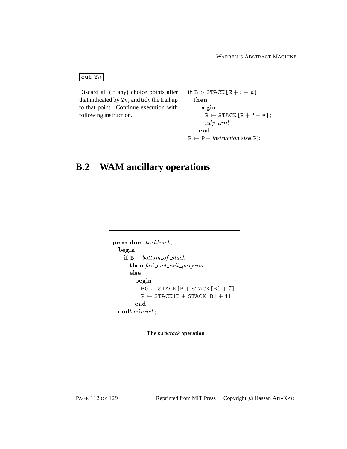cut Y<sup>n</sup>

Discard all (if any) choice points after that indicated by  $Yn$ , and tidy the trail up to that point. Continue execution with following instruction.

 $\mathbf{if}\;\mathtt{B}>\mathtt{STACK}\left[\mathtt{E}+2+n\right]$ thenbegin $\texttt{B} \leftarrow \texttt{STACK} \left[ \texttt{E} + 2 + n \right];$  $\sigma$  to  $\sigma$   $\sigma$   $\sigma$   $\sigma$   $\sigma$   $\sigma$ end  $P \leftarrow P + instruction size(P);$ 

## **B.2 WAM ancillary operations**

```
procedure backtrack 
  beginif B = bottom_of\_stackthe fail and exit programs and exit programs and exit programs are a set of the set of the set of the set of t
        elsebeginB0 \leftarrow STACK [B + STACK [B] + 7;
              P \leftarrow STACK [B + STACK [B] + 4]
          endendbacktrack
```
**The** *backtrack* **operation**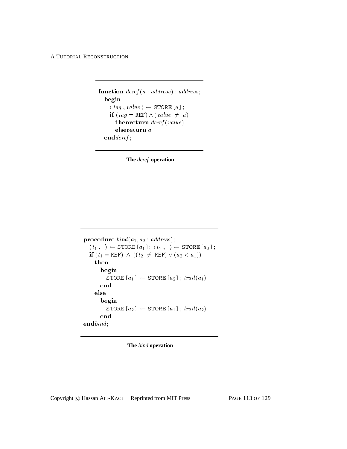```
f , and f and f and f address to f and f and f address to fbegin\langle tag, value \rangle \leftarrow \text{STOP}[a];\textbf{if} \,\, (\textit{tag} = \texttt{REF}) \wedge (\textit{value} \,\, \neq \,\, a)the second deresting value of the second of the second of the second second second the second second second second second second second second second second second second second second second second second second second se
      endderef
```
**The** *deref* **operation**

```
\mathbf{p}_1ocedure \mathit{onna}(u_1, u_2, \ldots, u_n)\langle\, t_1 \, , \_ \rangle \leftarrow \texttt{STORE}\left[ \textcolor{red}{a_1} \right] ; \: \langle\, t_2 \, , \_ \rangle \leftarrow \texttt{STORE}\left[ \textcolor{red}{a_2} \right] ;\textbf{if} \hspace{0.1cm} (t_1 \,=\, \texttt{REF}) \hspace{0.2cm} \wedge \hspace{0.2cm} ((t_2 \; \neq \; \texttt{REF}) \vee (a_2 < a_1))thenbeginSTORE [a_1] \leftarrow \texttt{STORE}[a_2]; \textit{trail}(a_1)endelsebeginSTORE [a_2] \leftarrow \texttt{STORE}[a_1]; \textit{trail}(a_2)ende^e . e^e
```
**The** *bind* **operation**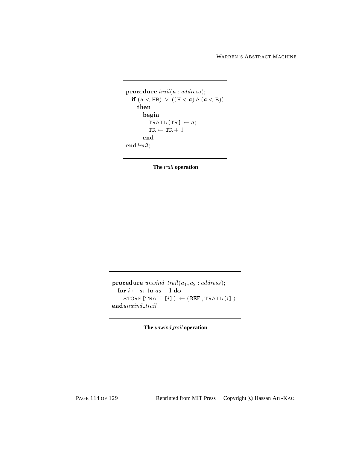```
procedure trail a  address 
  if (a < HB) \vee ((H < a) \wedge (a < B))thenbeginTRAIL [TR] \leftarrow a;
        TR \leftarrow TR + 1endende viewer
```
**The** *trail* **operation**

 $\mathbf{p}_1$ ocedure unwind nuu $\{a_1, a_2\}$  addition, for  $i \leftarrow a_1$  to  $a_2 - 1$  do STORE [TRAIL[ $i$ ]]  $\leftarrow$   $\langle$  REF, TRAIL[ $i$ ]  $\rangle$ ; endunwind trail

**The** *unwind trail* **operation**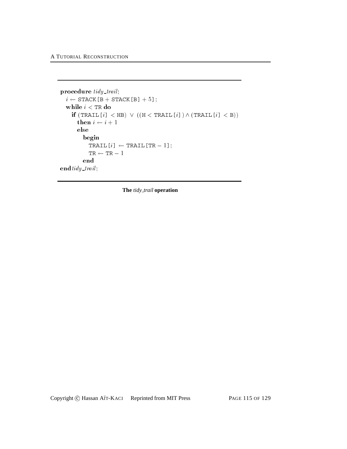```
procedure tidy trail 
   i \leftarrow \texttt{STACK} \left[ \texttt{B} + \texttt{STACK} \left[ \texttt{B} \right] + 5 \right];while i < {\tt TR} do
       \textbf{if (TRAIL[}i] ~<\texttt{HB}) ~\lor~ \left((\texttt{H} < \texttt{TRAIL}[i]~) ~\land~ \left(\texttt{TRAIL}[i] ~<\texttt{B}\right)\right)\texttt{then } i \leftarrow i+1elsebegin\texttt{TRAIL}[i] \leftarrow \texttt{TRAIL}[ \texttt{TR} - 1];TR \leftarrow TR - 1endendtidy trail
```
**The** *tidy trail* **operation**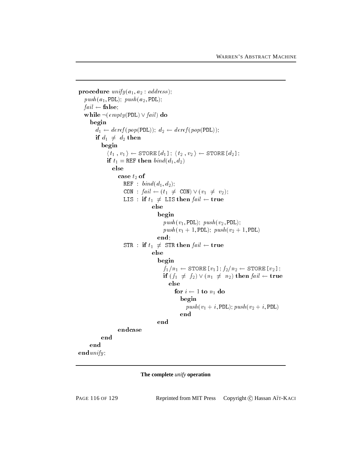```
\mathbf{p}_1 oceaure unify \{u_1, u_2, \ldots, u_n\}p as p_1, p_2 and p_3 are p_4 and p_5 are p_6 and p_7 are p_8 and p_9 are p_9\mathit{tau} \leftarrow \mathbf{raise}:
   while \neg(empty(\text{PDL}) \vee fail) do
       begina_1 \leftarrow aerej( pop( PDL); a_2 \leftarrow aerej( pop( PDL);
           if d_1\ \neq\ d_2 then
              begin\langle\, t_1\ ,\ v_1\, \rangle \leftarrow \texttt{STORE}\left[d_1\,\right];\ \langle\, t_2\ ,\ v_2\, \rangle \leftarrow \texttt{STORE}\left[d_2\,\right];If t_1 = \text{max} then \sigma_{\text{true}}(a_1, a_2)elsecase t-
 of
                              \mathbf{u} = \mathbf{u} \cdot \mathbf{v} and \mathbf{u} \cdot \mathbf{u} \cdot \mathbf{u}CON : fail \leftarrow (t_1 \neq CON) \vee (v_1 \neq v_2);<code>LIS</code> : if t_1~\neq~ <code>LIS</code> then \mathit{fail} \leftarrow <code>true</code>
                                                elsebeginp as v_1 , v_2 is push v-2, v_2 , v_3 is v_1, v_2p able ( v_1 ) v_2 is v_3 in v_4 is v_2 in v_3 in v_4 in v_5 in v_6 is v_7 in v_8 in v_9 in v_1end
                              <code>STR</code> : if t_1~\neq~ STR then \mathit{fail} \leftarrow <code>true</code>
                                                elsebeginf_1/n_1 \leftarrow \texttt{STORE}\left[ \left. v_1 \right. \right] ; f_2/n_2 \leftarrow \texttt{STORE}\left[ \left. v_2 \right. \right] ;if (f_1 \neq f_2) \vee (n_1 \neq n_2) then \mathit{fail} \leftarrow true
                                                           elsefor i \leftarrow 1 to n_1 do
                                                                   beginpws. ( ) | 0, - - - 1, pws. ( 0 2 | 0, - - - 1
                                                                   endendendcaseendende^{\frac{1}{2}}
```
#### **The complete** *unify* **operation**

PAGE 116 OF 129 Reprinted from MIT Press Copyright © Hassan AïT-KACI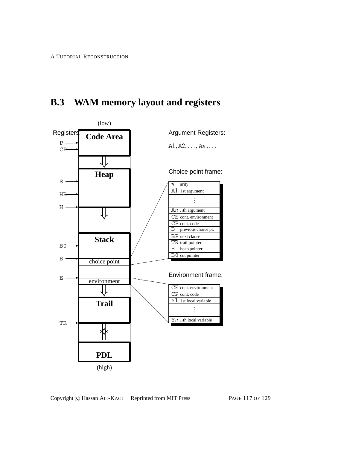## **B.3 WAM memory layout and registers**



Copyright © Hassan AïT-KACI Reprinted from MIT Press PAGE 117 OF 129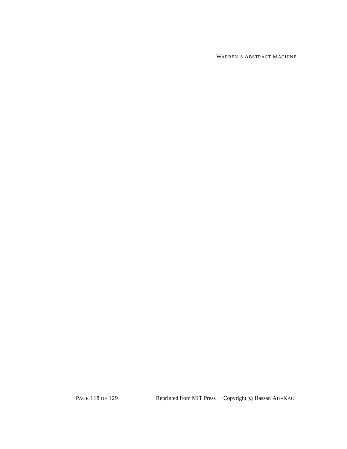WARREN'S ABSTRACT MACHINE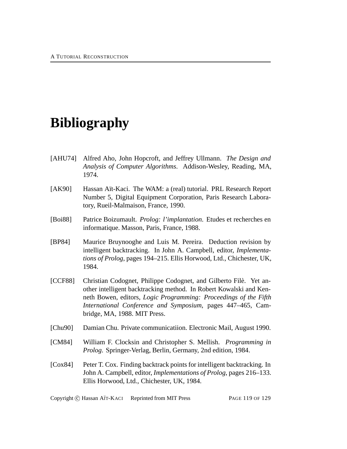## **Bibliography**

- [AHU74] Alfred Aho, John Hopcroft, and Jeffrey Ullmann. *The Design and Analysis of Computer Algorithms*. Addison-Wesley, Reading, MA, 1974.
- [AK90] Hassan Aït-Kaci. The WAM: a (real) tutorial. PRL Research Report Number 5, Digital Equipment Corporation, Paris Research Laboratory, Rueil-Malmaison, France, 1990.
- [Boi88] Patrice Boizumault. *Prolog: l'implantation*. Etudes et recherches en informatique. Masson, Paris, France, 1988.
- [BP84] Maurice Bruynooghe and Luis M. Pereira. Deduction revision by intelligent backtracking. In John A. Campbell, editor, *Implementations of Prolog*, pages 194–215. Ellis Horwood, Ltd., Chichester, UK, 1984.
- [CCF88] Christian Codognet, Philippe Codognet, and Gilberto File. Yet another intelligent backtracking method. In Robert Kowalski and Kenneth Bowen, editors, *Logic Programming: Proceedings of the Fifth International Conference and Symposium*, pages 447–465, Cambridge, MA, 1988. MIT Press.
- [Chu90] Damian Chu. Private communicatiion. Electronic Mail, August 1990.
- [CM84] William F. Clocksin and Christopher S. Mellish. *Programming in Prolog*. Springer-Verlag, Berlin, Germany, 2nd edition, 1984.
- [Cox84] Peter T. Cox. Finding backtrack points for intelligent backtracking. In John A. Campbell, editor, *Implementations of Prolog*, pages 216–133. Ellis Horwood, Ltd., Chichester, UK, 1984.

Copyright C Hassan AïT-KACI Reprinted from MIT Press PAGE 119 OF 129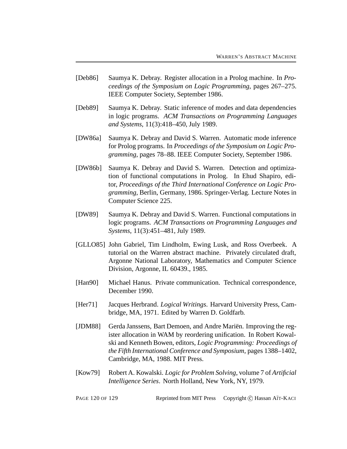- [Deb86] Saumya K. Debray. Register allocation in a Prolog machine. In *Proceedings of the Symposium on Logic Programming*, pages 267–275. IEEE Computer Society, September 1986.
- [Deb89] Saumya K. Debray. Static inference of modes and data dependencies in logic programs. *ACM Transactions on Programming Languages and Systems*, 11(3):418–450, July 1989.
- [DW86a] Saumya K. Debray and David S. Warren. Automatic mode inference for Prolog programs. In *Proceedings of the Symposium on Logic Programming*, pages 78–88. IEEE Computer Society, September 1986.
- [DW86b] Saumya K. Debray and David S. Warren. Detection and optimization of functional computations in Prolog. In Ehud Shapiro, editor, *Proceedings of the Third International Conference on Logic Programming*, Berlin, Germany, 1986. Springer-Verlag. Lecture Notes in Computer Science 225.
- [DW89] Saumya K. Debray and David S. Warren. Functional computations in logic programs. *ACM Transactions on Programming Languages and Systems*, 11(3):451–481, July 1989.
- [GLLO85] John Gabriel, Tim Lindholm, Ewing Lusk, and Ross Overbeek. A tutorial on the Warren abstract machine. Privately circulated draft, Argonne National Laboratory, Mathematics and Computer Science Division, Argonne, IL 60439., 1985.
- [Han90] Michael Hanus. Private communication. Technical correspondence, December 1990.
- [Her71] Jacques Herbrand. *Logical Writings*. Harvard University Press, Cambridge, MA, 1971. Edited by Warren D. Goldfarb.
- [JDM88] Gerda Janssens, Bart Demoen, and Andre Mariën. Improving the register allocation in WAM by reordering unification. In Robert Kowalski and Kenneth Bowen, editors, *Logic Programming: Proceedings of the Fifth International Conference and Symposium*, pages 1388–1402, Cambridge, MA, 1988. MIT Press.
- [Kow79] Robert A. Kowalski. *Logic for Problem Solving*, volume 7 of *Artificial Intelligence Series*. North Holland, New York, NY, 1979.

PAGE 120 OF 129 Reprinted from MIT Press Copyright © Hassan AïT-KACI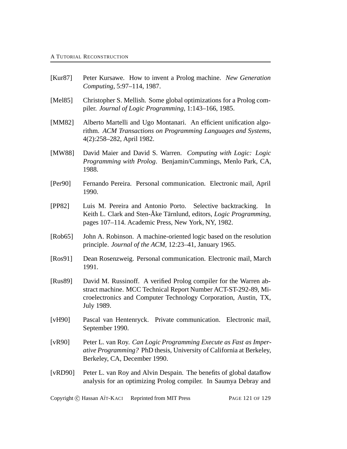- [Kur87] Peter Kursawe. How to invent a Prolog machine. *New Generation Computing*, 5:97–114, 1987.
- [Mel85] Christopher S. Mellish. Some global optimizations for a Prolog compiler. *Journal of Logic Programming*, 1:143–166, 1985.
- [MM82] Alberto Martelli and Ugo Montanari. An efficient unification algorithm. *ACM Transactions on Programming Languages and Systems*, 4(2):258–282, April 1982.
- [MW88] David Maier and David S. Warren. *Computing with Logic: Logic Programming with Prolog*. Benjamin/Cummings, Menlo Park, CA, 1988.
- [Per90] Fernando Pereira. Personal communication. Electronic mail, April 1990.
- [PP82] Luis M. Pereira and Antonio Porto. Selective backtracking. In Keith L. Clark and Sten-Åke Tärnlund, editors, *Logic Programming*, pages 107–114. Academic Press, New York, NY, 1982.
- [Rob65] John A. Robinson. A machine-oriented logic based on the resolution principle. *Journal of the ACM*, 12:23–41, January 1965.
- [Ros91] Dean Rosenzweig. Personal communication. Electronic mail, March 1991.
- [Rus89] David M. Russinoff. A verified Prolog compiler for the Warren abstract machine. MCC Technical Report Number ACT-ST-292-89, Microelectronics and Computer Technology Corporation, Austin, TX, July 1989.
- [vH90] Pascal van Hentenryck. Private communication. Electronic mail, September 1990.
- [vR90] Peter L. van Roy. *Can Logic Programming Execute as Fast as Imperative Programming?* PhD thesis, University of California at Berkeley, Berkeley, CA, December 1990.
- [vRD90] Peter L. van Roy and Alvin Despain. The benefits of global dataflow analysis for an optimizing Prolog compiler. In Saumya Debray and

Copyright C Hassan AïT-KACI Reprinted from MIT Press PAGE 121 OF 129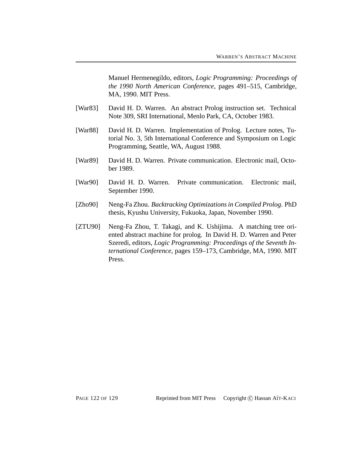Manuel Hermenegildo, editors, *Logic Programming: Proceedings of the 1990 North American Conference*, pages 491–515, Cambridge, MA, 1990. MIT Press.

- [War83] David H. D. Warren. An abstract Prolog instruction set. Technical Note 309, SRI International, Menlo Park, CA, October 1983.
- [War88] David H. D. Warren. Implementation of Prolog. Lecture notes, Tutorial No. 3, 5th International Conference and Symposium on Logic Programming, Seattle, WA, August 1988.
- [War89] David H. D. Warren. Private communication. Electronic mail, October 1989.
- [War90] David H. D. Warren. Private communication. Electronic mail, September 1990.
- [Zho90] Neng-Fa Zhou. *Backtracking Optimizations in Compiled Prolog*. PhD thesis, Kyushu University, Fukuoka, Japan, November 1990.
- [ZTU90] Neng-Fa Zhou, T. Takagi, and K. Ushijima. A matching tree oriented abstract machine for prolog. In David H. D. Warren and Peter Szeredi, editors, *Logic Programming: Proceedings of the Seventh International Conference*, pages 159–173, Cambridge, MA, 1990. MIT Press.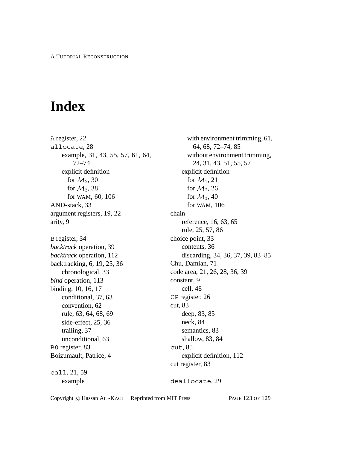# **Index**

A register, 22 allocate, 28 example, 31, 43, 55, 57, 61, 64, 72–74 explicit definition for  $\mathcal{M}_2$ , 30 for  $\mathcal{M}_3$ , 38 for WAM, 60, 106 AND-stack, 33 argument registers, 19, 22 arity, 9 B register, 34 *backtrack* operation, 39 *backtrack* operation, 112 backtracking, 6, 19, 25, 36 chronological, 33 *bind* operation, 113 binding, 10, 16, 17 conditional, 37, 63 convention, 62 rule, 63, 64, 68, 69 side-effect, 25, 36 trailing, 37 unconditional, 63 B0 register, 83 Boizumault, Patrice, 4 call, 21, 59 example

with environment trimming, 61, 64, 68, 72–74, 85 without environment trimming, 24, 31, 43, 51, 55, 57 explicit definition for  $\mathcal{M}_1$ , 21 for  $\overline{\mathcal{M}}_2, 26$ for  $\mathcal{M}_3$ , 40 for WAM, 106 chain reference, 16, 63, 65 rule, 25, 57, 86 choice point, 33 contents, 36 discarding, 34, 36, 37, 39, 83–85 Chu, Damian, 71 code area, 21, 26, 28, 36, 39 constant, 9 cell, 48 CP register, 26 cut, 83 deep, 83, 85 neck, 84 semantics, 83 shallow, 83, 84 cut, 85 explicit definition, 112 cut register, 83 deallocate, 29

Copyright © Hassan AïT-KACI Reprinted from MIT Press PAGE 123 OF 129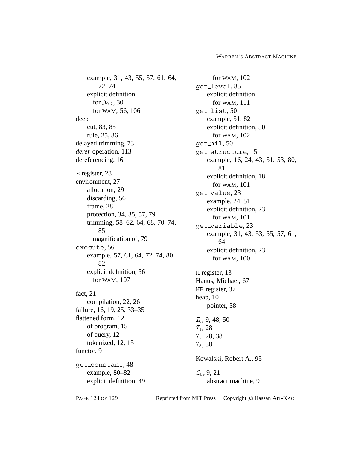example, 31, 43, 55, 57, 61, 64, 72–74 explicit definition for  $\mathcal{M}_2$ , 30 for WAM, 56, 106 deep cut, 83, 85 rule, 25, 86 delayed trimming, 73 *deref* operation, 113 dereferencing, 16 E register, 28 environment, 27 allocation, 29 discarding, 56 frame, 28 protection, 34, 35, 57, 79 trimming, 58–62, 64, 68, 70–74, 85 magnification of, 79 execute, 56 example, 57, 61, 64, 72–74, 80– 82 explicit definition, 56 for WAM, 107 fact, 21

compilation, 22, 26 failure, 16, 19, 25, 33–35 flattened form, 12 of program, 15 of query, 12 tokenized, 12, 15 functor, 9 get constant, 48 example, 80–82 explicit definition, 49

for WAM, 102 get level, 85 explicit definition for WAM, 111 get list, 50 example, 51, 82 explicit definition, 50 for WAM, 102 get nil, 50 get structure, 15 example, 16, 24, 43, 51, 53, 80, 81 explicit definition, 18 for WAM, 101 get value, 23 example, 24, 51 explicit definition, 23 for WAM, 101 get variable, 23 example, 31, 43, 53, 55, 57, 61, 64 explicit definition, 23 for WAM, 100 H register, 13 Hanus, Michael, 67 HB register, 37 heap, 10

pointer, 38  $\mathcal{I}_0$ , 9, 48, 50  $\mathcal{I}_1$ , 28

#### $\mathcal{I}_2$ , 28, 38  $\mathcal{I}_3$ , 38

Kowalski, Robert A., 95

 $\mathcal{L}_0$ , 9, 21 abstract machine, 9

PAGE 124 OF 129 Reprinted from MIT Press Copyright © Hassan AÏT-KACI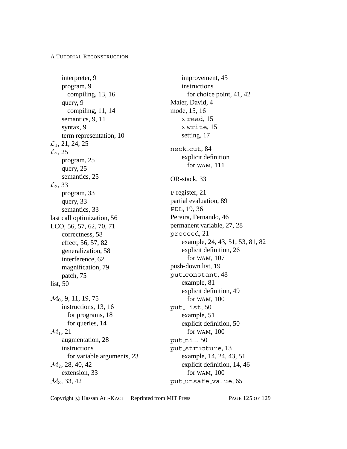interpreter, 9 program, 9 compiling, 13, 16 query, 9 compiling, 11, 14 semantics, 9, 11 syntax, 9 term representation, 10  $\mathcal{L}_1$ , 21, 24, 25  $\mathcal{L}_2, 25$ program, 25 query, 25 semantics, 25  $\mathcal{L}_3$ , 33 program, 33 query, 33 semantics, 33 last call optimization, 56 LCO, 56, 57, 62, 70, 71 correctness, 58 effect, 56, 57, 82 generalization, 58 interference, 62 magnification, 79 patch, 75 list, 50  $\mathcal{M}_0$ , 9, 11, 19, 75 instructions, 13, 16 for programs, 18 for queries, 14  $\mathcal{M}_1$ , 21 augmentation, 28 instructions for variable arguments, 23  $\mathcal{M}_2$ , 28, 40, 42 extension, 33  $M_3$ , 33, 42

improvement, 45 instructions for choice point, 41, 42 Maier, David, 4 mode, 15, 16 x read, 15 x write, 15 setting, 17 neck cut, 84 explicit definition for WAM, 111 OR-stack, 33 P register, 21 partial evaluation, 89 PDL, 19, 36 Pereira, Fernando, 46 permanent variable, 27, 28 proceed, 21 example, 24, 43, 51, 53, 81, 82 explicit definition, 26 for WAM, 107 push-down list, 19 put constant, 48 example, 81 explicit definition, 49 for WAM, 100 put list, 50 example, 51 explicit definition, 50 for WAM, 100 put nil, 50 put structure, 13 example, 14, 24, 43, 51 explicit definition, 14, 46 for WAM, 100 put unsafe value, 65

Copyright C Hassan AïT-KACI Reprinted from MIT Press PAGE 125 OF 129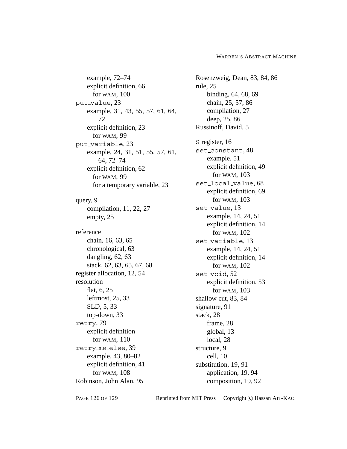example, 72–74 explicit definition, 66 for WAM, 100 put\_value, 23 example, 31, 43, 55, 57, 61, 64, 72 explicit definition, 23 for WAM, 99 put variable, 23 example, 24, 31, 51, 55, 57, 61, 64, 72–74 explicit definition, 62 for WAM, 99 for a temporary variable, 23 query, 9 compilation, 11, 22, 27 empty, 25 reference chain, 16, 63, 65 chronological, 63 dangling, 62, 63 stack, 62, 63, 65, 67, 68 register allocation, 12, 54 resolution flat, 6, 25 leftmost, 25, 33 SLD, 5, 33 top-down, 33 retry, 79 explicit definition for WAM, 110 retry me else, 39 example, 43, 80–82 explicit definition, 41 for WAM, 108 Robinson, John Alan, 95

Rosenzweig, Dean, 83, 84, 86 rule, 25 binding, 64, 68, 69 chain, 25, 57, 86 compilation, 27 deep, 25, 86 Russinoff, David, 5 S register, 16 set\_constant, 48 example, 51 explicit definition, 49 for WAM, 103 set local value, 68 explicit definition, 69 for WAM, 103 set value, 13 example, 14, 24, 51 explicit definition, 14 for WAM, 102 set variable, 13 example, 14, 24, 51 explicit definition, 14 for WAM, 102 set void, 52 explicit definition, 53 for WAM, 103 shallow cut, 83, 84 signature, 91 stack, 28 frame, 28 global, 13 local, 28 structure, 9 cell, 10 substitution, 19, 91 application, 19, 94 composition, 19, 92

PAGE 126 OF 129 Reprinted from MIT Press Copyright © Hassan AïT-KACI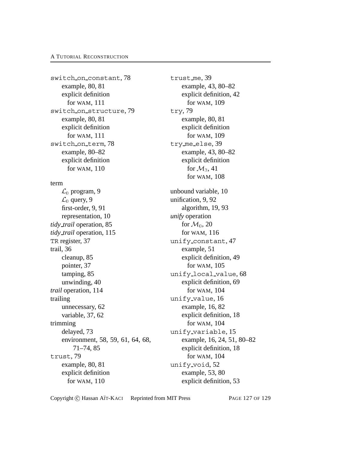switch on constant, 78 example, 80, 81 explicit definition for WAM, 111 switch on structure, 79 example, 80, 81 explicit definition for WAM, 111 switch on term, 78 example, 80–82 explicit definition for WAM, 110 term  $\mathcal{L}_0$  program, 9  $\mathcal{L}_0$  query, 9 first-order, 9, 91 representation, 10 *tidy trail* operation, 85 *tidy trail* operation, 115 TR register, 37 trail, 36 cleanup, 85 pointer, 37 tamping, 85 unwinding, 40 *trail* operation, 114 trailing unnecessary, 62 variable, 37, 62 trimming delayed, 73 environment, 58, 59, 61, 64, 68, 71–74, 85 trust, 79 example, 80, 81 explicit definition for WAM, 110

trust me, 39 example, 43, 80–82 explicit definition, 42 for WAM, 109 try, 79 example, 80, 81 explicit definition for WAM, 109 try me else, 39 example, 43, 80–82 explicit definition for  $\mathcal{M}_3$ , 41 for WAM, 108 unbound variable, 10 unification, 9, 92 algorithm, 19, 93 *unify* operation for  $\mathcal{M}_0$ , 20 for WAM, 116 unify constant, 47 example, 51 explicit definition, 49 for WAM, 105 unify local value, 68 explicit definition, 69 for WAM, 104 unify value, 16 example, 16, 82 explicit definition, 18 for WAM, 104 unify variable, 15 example, 16, 24, 51, 80–82 explicit definition, 18 for WAM, 104 unify void, 52 example, 53, 80 explicit definition, 53

Copyright C Hassan AïT-KACI Reprinted from MIT Press PAGE 127 OF 129